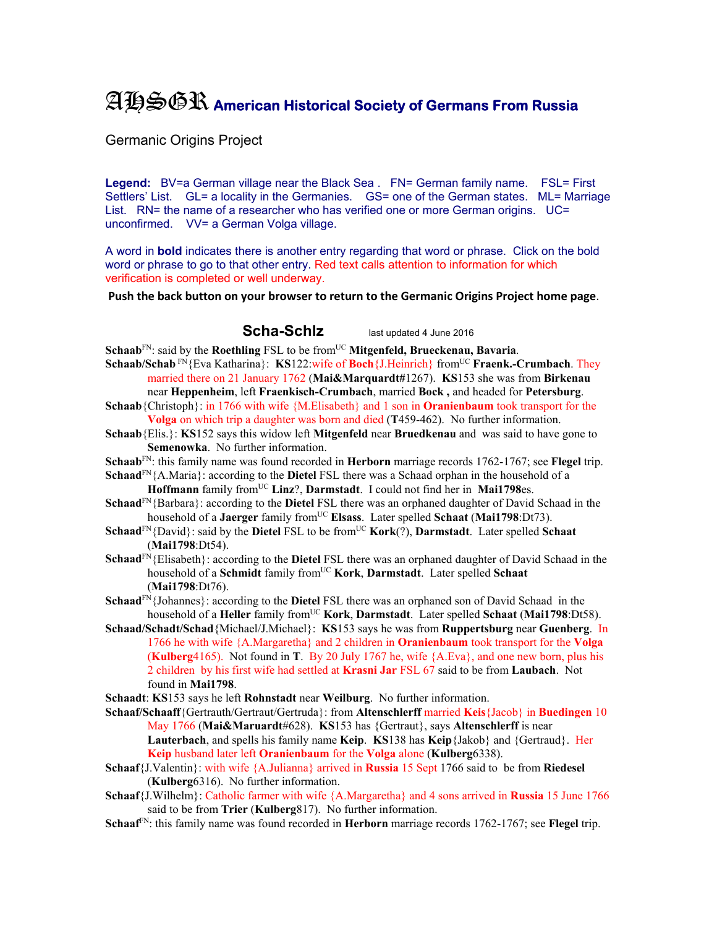## AHSGR **American Historical Society of Germans From Russia**

Germanic Origins Project

Legend: BV=a German village near the Black Sea . FN= German family name. FSL= First Settlers' List. GL= a locality in the Germanies. GS= one of the German states. ML= Marriage List. RN= the name of a researcher who has verified one or more German origins. UC= unconfirmed. VV= a German Volga village.

A word in **bold** indicates there is another entry regarding that word or phrase. Click on the bold word or phrase to go to that other entry. Red text calls attention to information for which verification is completed or well underway.

**Push the back button on your browser to return to the Germanic Origins Project home page**.

**Scha-Schlz** last updated 4 June 2016

- **Schaab**<sup>FN</sup>: said by the **Roethling** FSL to be from<sup>UC</sup> Mitgenfeld, Brueckenau, Bavaria.
- **Schaab/Schab** FN{Eva Katharina}: **KS**122:wife of **Boch**{J.Heinrich} from<sup>UC</sup> **Fraenk.-Crumbach**. They married there on 21 January 1762 (**Mai&Marquardt#**1267). **KS**153 she was from **Birkenau**
- near **Heppenheim**, left **Fraenkisch-Crumbach**, married **Bock ,** and headed for **Petersburg**. **Schaab**{Christoph}: in 1766 with wife {M.Elisabeth} and 1 son in **Oranienbaum** took transport for the **Volga** on which trip a daughter was born and died (**T**459-462). No further information.
- **Schaab**{Elis.}: **KS**152 says this widow left **Mitgenfeld** near **Bruedkenau** and was said to have gone to **Semenowka**. No further information.
- **Schaab**FN: this family name was found recorded in **Herborn** marriage records 1762-1767; see **Flegel** trip.
- **Schaad**FN{A.Maria}: according to the **Dietel** FSL there was a Schaad orphan in the household of a Hoffmann family from<sup>UC</sup> Linz?, Darmstadt. I could not find her in Mai1798es.
- **Schaad**FN{Barbara}: according to the **Dietel** FSL there was an orphaned daughter of David Schaad in the household of a **Jaerger** family from<sup>UC</sup> **Elsass**. Later spelled **Schaat** (Mai1798:Dt73).
- **Schaad**FN{David}: said by the **Dietel** FSL to be fromUC **Kork**(?), **Darmstadt**. Later spelled **Schaat** (**Mai1798**:Dt54).
- **Schaad**FN{Elisabeth}: according to the **Dietel** FSL there was an orphaned daughter of David Schaad in the household of a **Schmidt** family fromUC **Kork**, **Darmstadt**. Later spelled **Schaat** (**Mai1798**:Dt76).
- **Schaad**FN{Johannes}: according to the **Dietel** FSL there was an orphaned son of David Schaad in the household of a **Heller** family from<sup>UC</sup> **Kork**, **Darmstadt**. Later spelled **Schaat** (**Mai1798**:Dt58).
- **Schaad/Schadt/Schad**{Michael/J.Michael}: **KS**153 says he was from **Ruppertsburg** near **Guenberg**. In 1766 he with wife {A.Margaretha} and 2 children in **Oranienbaum** took transport for the **Volga**  (**Kulberg**4165). Not found in **T**. By 20 July 1767 he, wife {A.Eva}, and one new born, plus his 2 children by his first wife had settled at **Krasni Jar** FSL 67 said to be from **Laubach**. Not found in **Mai1798**.
- **Schaadt**: **KS**153 says he left **Rohnstadt** near **Weilburg**. No further information.
- **Schaaf/Schaaff**{Gertrauth/Gertraut/Gertruda}: from **Altenschlerff** married **Keis**{Jacob} in **Buedingen** 10 May 1766 (**Mai&Maruardt**#628). **KS**153 has {Gertraut}, says **Altenschlerff** is near **Lauterbach**, and spells his family name **Keip**. **KS**138 has **Keip**{Jakob} and {Gertraud}. Her **Keip** husband later left **Oranienbaum** for the **Volga** alone (**Kulberg**6338).
- **Schaaf**{J.Valentin}: with wife {A.Julianna} arrived in **Russia** 15 Sept 1766 said to be from **Riedesel** (**Kulberg**6316). No further information.
- **Schaaf**{J.Wilhelm}: Catholic farmer with wife {A.Margaretha} and 4 sons arrived in **Russia** 15 June 1766 said to be from **Trier** (**Kulberg**817). No further information.
- **Schaaf**FN: this family name was found recorded in **Herborn** marriage records 1762-1767; see **Flegel** trip.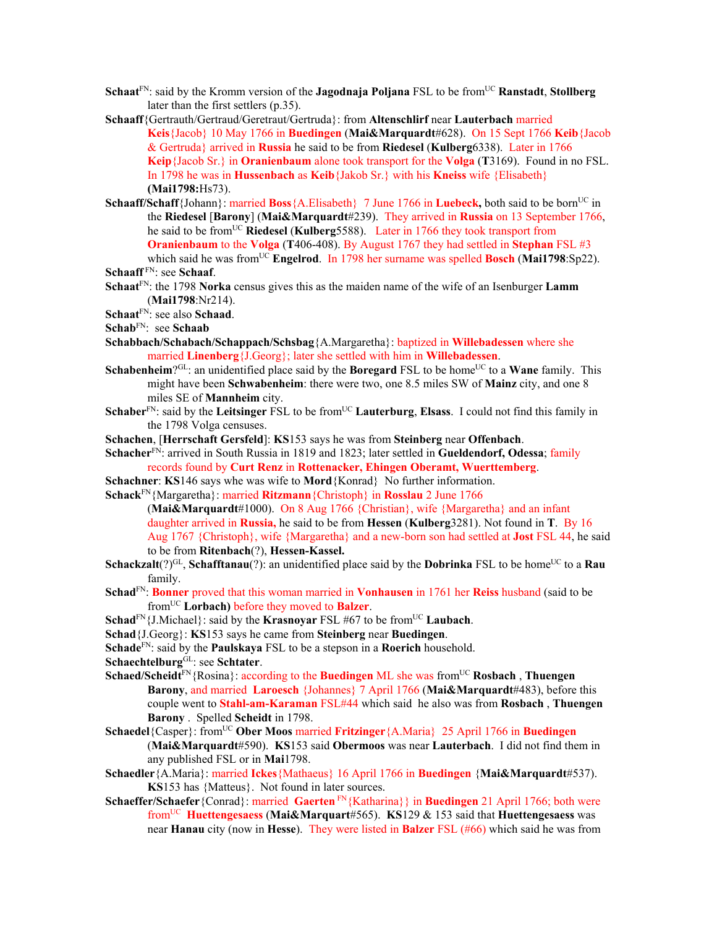- **Schaat**<sup>FN</sup>: said by the Kromm version of the **Jagodnaja Poljana** FSL to be from<sup>UC</sup> **Ranstadt**, **Stollberg** later than the first settlers (p.35).
- **Schaaff**{Gertrauth/Gertraud/Geretraut/Gertruda}: from **Altenschlirf** near **Lauterbach** married **Keis**{Jacob} 10 May 1766 in **Buedingen** (**Mai&Marquardt**#628). On 15 Sept 1766 **Keib**{Jacob & Gertruda} arrived in **Russia** he said to be from **Riedesel** (**Kulberg**6338). Later in 1766 **Keip**{Jacob Sr.} in **Oranienbaum** alone took transport for the **Volga** (**T**3169). Found in no FSL. In 1798 he was in **Hussenbach** as **Keib**{Jakob Sr.} with his **Kneiss** wife {Elisabeth} **(Mai1798:**Hs73).
- **Schaaff/Schaff**{Johann}: married **Boss** {A.Elisabeth} 7 June 1766 in **Luebeck**, both said to be born<sup>UC</sup> in the **Riedesel** [**Barony**] (**Mai&Marquardt**#239). They arrived in **Russia** on 13 September 1766, he said to be fromUC **Riedesel** (**Kulberg**5588). Later in 1766 they took transport from **Oranienbaum** to the **Volga** (**T**406-408). By August 1767 they had settled in **Stephan** FSL #3 which said he was fromUC **Engelrod**. In 1798 her surname was spelled **Bosch** (**Mai1798**:Sp22). **Schaaff** FN: see **Schaaf**.
- **Schaat**FN: the 1798 **Norka** census gives this as the maiden name of the wife of an Isenburger **Lamm** (**Mai1798**:Nr214).
- **Schaat**FN: see also **Schaad**.
- **Schab**FN: see **Schaab**
- **Schabbach/Schabach/Schappach/Schsbag**{A.Margaretha}: baptized in **Willebadessen** where she married **Linenberg**{J.Georg}; later she settled with him in **Willebadessen**.
- **Schabenheim**?<sup>GL</sup>: an unidentified place said by the **Boregard** FSL to be home<sup>UC</sup> to a **Wane** family. This might have been **Schwabenheim**: there were two, one 8.5 miles SW of **Mainz** city, and one 8 miles SE of **Mannheim** city.
- **Schaber**<sup>FN</sup>: said by the Leitsinger FSL to be from<sup>UC</sup> Lauterburg, Elsass. I could not find this family in the 1798 Volga censuses.
- **Schachen**, [**Herrschaft Gersfeld**]: **KS**153 says he was from **Steinberg** near **Offenbach**.
- **Schacher**FN: arrived in South Russia in 1819 and 1823; later settled in **Gueldendorf, Odessa**; family records found by **Curt Renz** in **Rottenacker, Ehingen Oberamt, Wuerttemberg**.
- **Schachner**: **KS**146 says whe was wife to **Mord**{Konrad} No further information.
- **Schack**FN{Margaretha}: married **Ritzmann**{Christoph} in **Rosslau** 2 June 1766
	- (**Mai&Marquardt**#1000). On 8 Aug 1766 {Christian}, wife {Margaretha} and an infant daughter arrived in **Russia,** he said to be from **Hessen** (**Kulberg**3281). Not found in **T**. By 16 Aug 1767 {Christoph}, wife {Margaretha} and a new-born son had settled at **Jost** FSL 44, he said to be from **Ritenbach**(?), **Hessen-Kassel.**
- **Schackzalt**(?)<sup>GL</sup>, **Schafftanau**(?): an unidentified place said by the **Dobrinka** FSL to be home<sup>UC</sup> to a **Rau** family.
- **Schad**FN: **Bonner** proved that this woman married in **Vonhausen** in 1761 her **Reiss** husband (said to be fromUC **Lorbach)** before they moved to **Balzer**.
- **Schad**<sup>FN</sup>{J.Michael}: said by the **Krasnoyar** FSL #67 to be from<sup>UC</sup> **Laubach**.
- **Schad**{J.Georg}: **KS**153 says he came from **Steinberg** near **Buedingen**.
- **Schade**FN: said by the **Paulskaya** FSL to be a stepson in a **Roerich** household.
- **Schaechtelburg**GL: see **Schtater**.
- **Schaed/Scheidt<sup>FN</sup>{Rosina}: according to the <b>Buedingen** ML she was from<sup>UC</sup> **Rosbach**, **Thuengen Barony**, and married **Laroesch** {Johannes} 7 April 1766 (**Mai&Marquardt**#483), before this couple went to **Stahl-am-Karaman** FSL#44 which said he also was from **Rosbach** , **Thuengen Barony** . Spelled **Scheidt** in 1798.
- **Schaedel**{Casper}: fromUC **Ober Moos** married **Fritzinger**{A.Maria} 25 April 1766 in **Buedingen** (**Mai&Marquardt**#590). **KS**153 said **Obermoos** was near **Lauterbach**. I did not find them in any published FSL or in **Mai**1798.
- **Schaedler**{A.Maria}: married **Ickes**{Mathaeus} 16 April 1766 in **Buedingen** {**Mai&Marquardt**#537). **KS**153 has {Matteus}. Not found in later sources.
- **Schaeffer/Schaefer**{Conrad}: married **Gaerten** FN{Katharina}} in **Buedingen** 21 April 1766; both were fromUC **Huettengesaess** (**Mai&Marquart**#565). **KS**129 & 153 said that **Huettengesaess** was near **Hanau** city (now in **Hesse**). They were listed in **Balzer** FSL (#66) which said he was from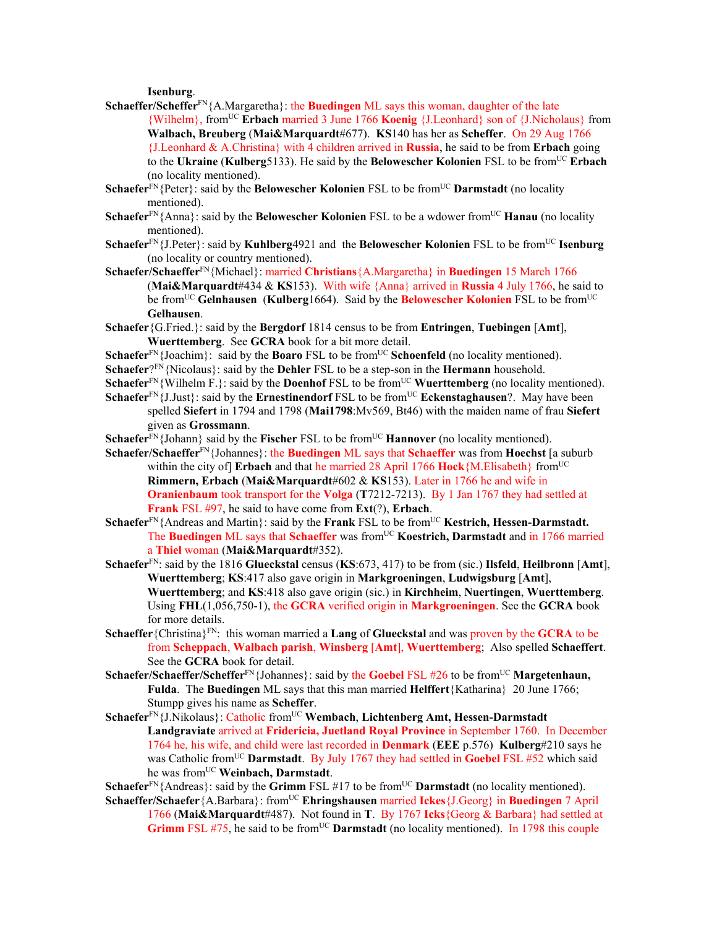**Isenburg**.

- **Schaeffer/Scheffer**<sup>FN</sup>{A.Margaretha}: the **Buedingen** ML says this woman, daughter of the late {Wilhelm}, fromUC **Erbach** married 3 June 1766 **Koenig** {J.Leonhard} son of {J.Nicholaus} from **Walbach, Breuberg** (**Mai&Marquardt**#677). **KS**140 has her as **Scheffer**. On 29 Aug 1766 {J.Leonhard & A.Christina} with 4 children arrived in **Russia**, he said to be from **Erbach** going to the **Ukraine** (**Kulberg**5133). He said by the **Belowescher Kolonien** FSL to be fromUC **Erbach**  (no locality mentioned).
- **Schaefer**<sup>FN</sup>{Peter}: said by the **Belowescher Kolonien** FSL to be from<sup>UC</sup> **Darmstadt** (no locality mentioned).
- **Schaefer**<sup>FN</sup>{Anna}: said by the **Belowescher Kolonien** FSL to be a wdower from<sup>UC</sup> **Hanau** (no locality mentioned).
- **Schaefer**FN{J.Peter}: said by **Kuhlberg**4921 and the **Belowescher Kolonien** FSL to be fromUC **Isenburg**  (no locality or country mentioned).
- **Schaefer/Schaeffer**FN{Michael}: married **Christians**{A.Margaretha} in **Buedingen** 15 March 1766 (**Mai&Marquardt**#434 & **KS**153). With wife {Anna} arrived in **Russia** 4 July 1766, he said to be fromUC **Gelnhausen** (**Kulberg**1664). Said by the **Belowescher Kolonien** FSL to be fromUC **Gelhausen**.
- **Schaefer**{G.Fried.}: said by the **Bergdorf** 1814 census to be from **Entringen**, **Tuebingen** [**Amt**], **Wuerttemberg**. See **GCRA** book for a bit more detail.
- **Schaefer**<sup>FN</sup>{Joachim}: said by the **Boaro** FSL to be from<sup>UC</sup> **Schoenfeld** (no locality mentioned).
- **Schaefer**?FN{Nicolaus}: said by the **Dehler** FSL to be a step-son in the **Hermann** household.
- **Schaefer**<sup>FN</sup>{Wilhelm F.}: said by the **Doenhof** FSL to be from<sup>UC</sup> **Wuerttemberg** (no locality mentioned).
- **Schaefer**<sup>FN</sup>{J.Just}: said by the **Ernestinendorf** FSL to be from<sup>UC</sup> **Eckenstaghausen**?. May have been spelled **Siefert** in 1794 and 1798 (**Mai1798**:Mv569, Bt46) with the maiden name of frau **Siefert** given as **Grossmann**.
- **Schaefer**<sup>FN</sup>{Johann} said by the **Fischer** FSL to be from<sup>UC</sup> **Hannover** (no locality mentioned).
- **Schaefer/Schaeffer**FN{Johannes}: the **Buedingen** ML says that **Schaeffer** was from **Hoechst** [a suburb within the city of] **Erbach** and that he married 28 April 1766 **Hock**{M.Elisabeth} from<sup>UC</sup> **Rimmern, Erbach** (**Mai&Marquardt**#602 & **KS**153). Later in 1766 he and wife in **Oranienbaum** took transport for the **Volga** (**T**7212-7213). By 1 Jan 1767 they had settled at **Frank** FSL #97, he said to have come from **Ext**(?), **Erbach**.
- **Schaefer**<sup>FN</sup>{Andreas and Martin}: said by the **Frank** FSL to be from<sup>UC</sup> **Kestrich, Hessen-Darmstadt.** The **Buedingen** ML says that **Schaeffer** was from<sup>UC</sup> **Koestrich, Darmstadt** and in 1766 married a **Thiel** woman (**Mai&Marquardt**#352).
- **Schaefer**FN: said by the 1816 **Glueckstal** census (**KS**:673, 417) to be from (sic.) **Ilsfeld**, **Heilbronn** [**Amt**], **Wuerttemberg**; **KS**:417 also gave origin in **Markgroeningen**, **Ludwigsburg** [**Amt**], **Wuerttemberg**; and **KS**:418 also gave origin (sic.) in **Kirchheim**, **Nuertingen**, **Wuerttemberg**. Using **FHL**(1,056,750-1), the **GCRA** verified origin in **Markgroeningen**. See the **GCRA** book for more details.
- **Schaeffer**{Christina}FN: this woman married a **Lang** of **Glueckstal** and was proven by the **GCRA** to be from **Scheppach**, **Walbach parish**, **Winsberg** [**Amt**], **Wuerttemberg**; Also spelled **Schaeffert**. See the **GCRA** book for detail.
- **Schaefer/Schaeffer/Scheffer**<sup>FN</sup>{Johannes}: said by the **Goebel** FSL #26 to be from<sup>UC</sup> **Margetenhaun, Fulda**. The **Buedingen** ML says that this man married **Helffert**{Katharina} 20 June 1766; Stumpp gives his name as **Scheffer**.
- Schaefer<sup>FN</sup>{J.Nikolaus}: Catholic from<sup>UC</sup> Wembach, Lichtenberg Amt, Hessen-Darmstadt **Landgraviate** arrived at **Fridericia, Juetland Royal Province** in September 1760. In December 1764 he, his wife, and child were last recorded in **Denmark** (**EEE** p.576) **Kulberg**#210 says he was Catholic from<sup>UC</sup> **Darmstadt**. By July 1767 they had settled in **Goebel** FSL #52 which said he was fromUC **Weinbach, Darmstadt**.
- **Schaefer**<sup>FN</sup>{Andreas}: said by the **Grimm** FSL #17 to be from<sup>UC</sup> **Darmstadt** (no locality mentioned).
- **Schaeffer/Schaefer**{A.Barbara}: fromUC **Ehringshausen** married **Ickes**{J.Georg} in **Buedingen** 7 April 1766 (**Mai&Marquardt**#487). Not found in **T**. By 1767 **Icks**{Georg & Barbara} had settled at **Grimm** FSL #75, he said to be from<sup>UC</sup> **Darmstadt** (no locality mentioned). In 1798 this couple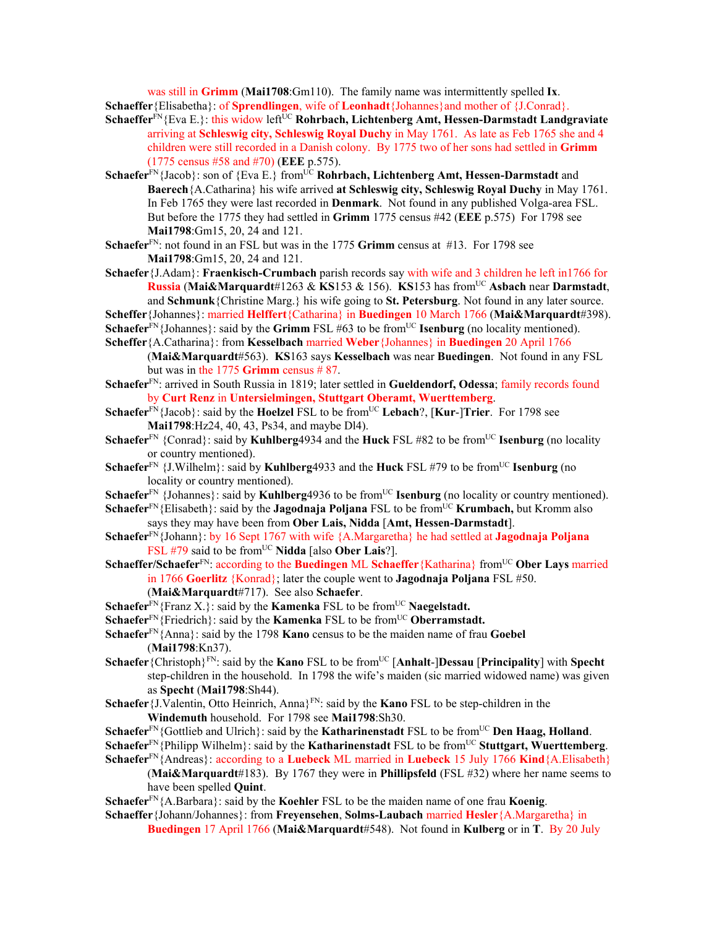was still in **Grimm** (**Mai1708**:Gm110). The family name was intermittently spelled **Ix**. **Schaeffer**{Elisabetha}: of **Sprendlingen**, wife of **Leonhadt**{Johannes}and mother of {J.Conrad}.

- **Schaeffer**<sup>FN</sup>{Eva E.}: this widow left<sup>UC</sup> **Rohrbach, Lichtenberg Amt, Hessen-Darmstadt Landgraviate** arriving at **Schleswig city, Schleswig Royal Duchy** in May 1761. As late as Feb 1765 she and 4 children were still recorded in a Danish colony. By 1775 two of her sons had settled in **Grimm** (1775 census #58 and #70) (**EEE** p.575).
- **Schaefer**<sup>FN</sup>{Jacob}: son of {Eva E.} from<sup>UC</sup> **Rohrbach, Lichtenberg Amt, Hessen-Darmstadt** and **Baerech**{A.Catharina} his wife arrived **at Schleswig city, Schleswig Royal Duchy** in May 1761. In Feb 1765 they were last recorded in **Denmark**. Not found in any published Volga-area FSL. But before the 1775 they had settled in **Grimm** 1775 census #42 (**EEE** p.575) For 1798 see **Mai1798**:Gm15, 20, 24 and 121.
- **Schaefer**FN: not found in an FSL but was in the 1775 **Grimm** census at #13. For 1798 see **Mai1798**:Gm15, 20, 24 and 121.
- **Schaefer**{J.Adam}: **Fraenkisch-Crumbach** parish records say with wife and 3 children he left in1766 for **Russia** (**Mai&Marquardt**#1263 & **KS**153 & 156). **KS**153 has fromUC **Asbach** near **Darmstadt**, and **Schmunk**{Christine Marg.} his wife going to **St. Petersburg**. Not found in any later source.
- **Scheffer**{Johannes}: married **Helffert**{Catharina} in **Buedingen** 10 March 1766 (**Mai&Marquardt**#398). **Schaefer**<sup>FN</sup>{Johannes}: said by the **Grimm** FSL #63 to be from<sup>UC</sup> **Isenburg** (no locality mentioned).
- **Scheffer**{A.Catharina}: from **Kesselbach** married **Weber**{Johannes} in **Buedingen** 20 April 1766
- (**Mai&Marquardt**#563). **KS**163 says **Kesselbach** was near **Buedingen**. Not found in any FSL but was in the 1775 **Grimm** census # 87.
- **Schaefer**FN: arrived in South Russia in 1819; later settled in **Gueldendorf, Odessa**; family records found by **Curt Renz** in **Untersielmingen, Stuttgart Oberamt, Wuerttemberg**.
- **Schaefer**FN{Jacob}: said by the **Hoelzel** FSL to be fromUC **Lebach**?, [**Kur**-]**Trier**. For 1798 see **Mai1798**:Hz24, 40, 43, Ps34, and maybe Dl4).
- **Schaefer**<sup>FN</sup> {Conrad}: said by **Kuhlberg**4934 and the **Huck** FSL #82 to be from<sup>UC</sup> **Isenburg** (no locality or country mentioned).
- **Schaefer**<sup>FN</sup> {J.Wilhelm}: said by **Kuhlberg**4933 and the **Huck** FSL #79 to be from<sup>UC</sup> **Isenburg** (no locality or country mentioned).
- **Schaefer**<sup>FN</sup> {Johannes}: said by **Kuhlberg**4936 to be from<sup>UC</sup> **Isenburg** (no locality or country mentioned).
- **Schaefer**<sup>FN</sup>{Elisabeth}: said by the **Jagodnaja Poljana** FSL to be from<sup>UC</sup> **Krumbach**, but Kromm also says they may have been from **Ober Lais, Nidda** [**Amt, Hessen-Darmstadt**].
- **Schaefer**FN{Johann}: by 16 Sept 1767 with wife {A.Margaretha} he had settled at **Jagodnaja Poljana**  FSL #79 said to be from<sup>UC</sup> Nidda [also Ober Lais?].
- **Schaeffer/Schaefer**<sup>FN</sup>: according to the **Buedingen** ML **Schaeffer**{Katharina} from<sup>UC</sup> **Ober Lays** married in 1766 **Goerlitz** {Konrad}; later the couple went to **Jagodnaja Poljana** FSL #50. (**Mai&Marquardt**#717). See also **Schaefer**.
- **Schaefer**<sup>FN</sup>{Franz X.}: said by the **Kamenka** FSL to be from<sup>UC</sup> **Naegelstadt.**
- **Schaefer**<sup>FN</sup>{Friedrich}: said by the **Kamenka** FSL to be from<sup>UC</sup> **Oberramstadt.**
- **Schaefer**FN{Anna}: said by the 1798 **Kano** census to be the maiden name of frau **Goebel** (**Mai1798**:Kn37).
- **Schaefer** {Christoph}<sup>FN</sup>: said by the **Kano** FSL to be from<sup>UC</sup> [Anhalt-]Dessau [Principality] with Specht step-children in the household. In 1798 the wife's maiden (sic married widowed name) was given as **Specht** (**Mai1798**:Sh44).
- **Schaefer** {J.Valentin, Otto Heinrich, Anna<sup>}FN</sup>: said by the **Kano** FSL to be step-children in the **Windemuth** household. For 1798 see **Mai1798**:Sh30.
- **Schaefer**FN{Gottlieb and Ulrich}: said by the **Katharinenstadt** FSL to be from<sup>UC</sup> Den Haag, Holland.
- **Schaefer**FN{Philipp Wilhelm}: said by the **Katharinenstadt** FSL to be fromUC **Stuttgart, Wuerttemberg**.
- **Schaefer**FN{Andreas}: according to a **Luebeck** ML married in **Luebeck** 15 July 1766 **Kind**{A.Elisabeth}
	- (**Mai&Marquardt**#183). By 1767 they were in **Phillipsfeld** (FSL #32) where her name seems to have been spelled **Quint**.

**Schaefer**FN{A.Barbara}: said by the **Koehler** FSL to be the maiden name of one frau **Koenig**.

**Schaeffer**{Johann/Johannes}: from **Freyensehen**, **Solms-Laubach** married **Hesler**{A.Margaretha} in **Buedingen** 17 April 1766 (**Mai&Marquardt**#548). Not found in **Kulberg** or in **T**. By 20 July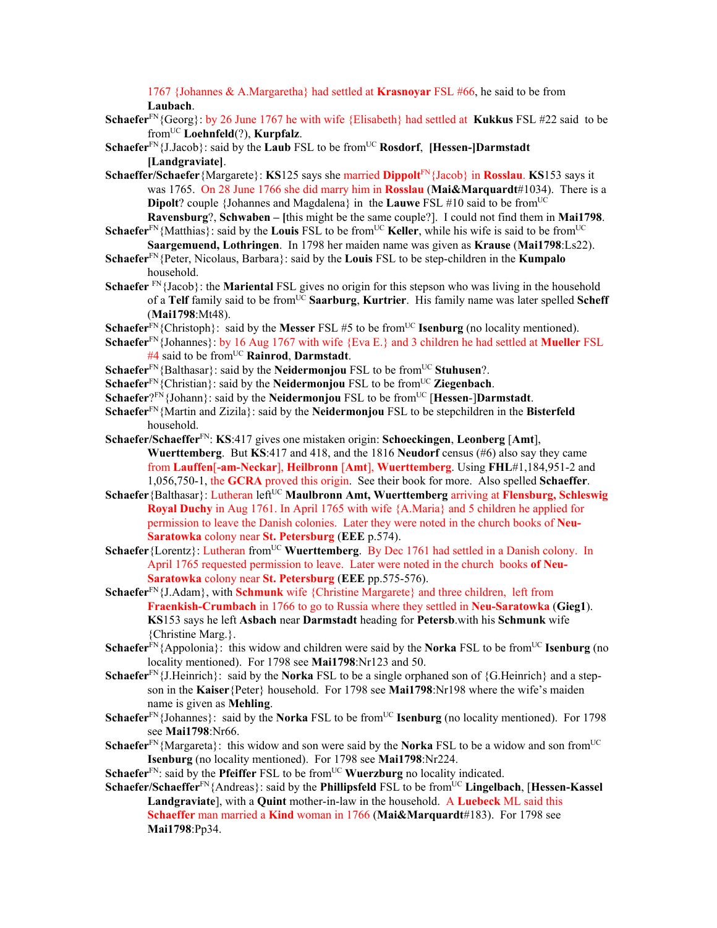1767 {Johannes & A.Margaretha} had settled at **Krasnoyar** FSL #66, he said to be from **Laubach**.

- **Schaefer**FN{Georg}: by 26 June 1767 he with wife {Elisabeth} had settled at **Kukkus** FSL #22 said to be fromUC **Loehnfeld**(?), **Kurpfalz**.
- **Schaefer**<sup>FN</sup>{J.Jacob}: said by the **Laub** FSL to be from<sup>UC</sup> **Rosdorf**, **[Hessen-]Darmstadt [Landgraviate]**.
- **Schaeffer/Schaefer**{Margarete}: **KS**125 says she married **Dippolt**FN{Jacob} in **Rosslau**. **KS**153 says it was 1765. On 28 June 1766 she did marry him in **Rosslau** (**Mai&Marquardt**#1034). There is a **Dipolt**? couple {Johannes and Magdalena} in the **Lauwe** FSL #10 said to be from<sup>UC</sup> **Ravensburg**?, **Schwaben – [**this might be the same couple?]. I could not find them in **Mai1798**.
- **Schaefer**<sup>FN</sup>{Matthias}: said by the **Louis** FSL to be from<sup>UC</sup> **Keller**, while his wife is said to be from<sup>UC</sup> **Saargemuend, Lothringen**. In 1798 her maiden name was given as **Krause** (**Mai1798**:Ls22).
- **Schaefer**FN{Peter, Nicolaus, Barbara}: said by the **Louis** FSL to be step-children in the **Kumpalo** household.
- Schaefer<sup> FN</sup>{Jacob}: the **Mariental** FSL gives no origin for this stepson who was living in the household of a **Telf** family said to be fromUC **Saarburg**, **Kurtrier**. His family name was later spelled **Scheff** (**Mai1798**:Mt48).
- **Schaefer**<sup>FN</sup>{Christoph}: said by the **Messer** FSL #5 to be from<sup>UC</sup> **Isenburg** (no locality mentioned).
- **Schaefer**FN{Johannes}: by 16 Aug 1767 with wife {Eva E.} and 3 children he had settled at **Mueller** FSL #4 said to be fromUC **Rainrod**, **Darmstadt**.
- **Schaefer**<sup>FN</sup>{Balthasar}: said by the **Neidermonjou** FSL to be from<sup>UC</sup> **Stuhusen**?.
- **Schaefer**<sup>FN</sup>{Christian}: said by the **Neidermonjou** FSL to be from<sup>UC</sup> **Ziegenbach**.
- **Schaefer**?FN{Johann}: said by the **Neidermonjou** FSL to be fromUC [**Hessen**-]**Darmstadt**.
- **Schaefer**FN{Martin and Zizila}: said by the **Neidermonjou** FSL to be stepchildren in the **Bisterfeld** household.
- **Schaefer/Schaeffer**FN: **KS**:417 gives one mistaken origin: **Schoeckingen**, **Leonberg** [**Amt**], **Wuerttemberg**. But **KS**:417 and 418, and the 1816 **Neudorf** census (#6) also say they came from **Lauffen**[**-am-Neckar**], **Heilbronn** [**Amt**], **Wuerttemberg**. Using **FHL**#1,184,951-2 and 1,056,750-1, the **GCRA** proved this origin. See their book for more. Also spelled **Schaeffer**.
- **Schaefer** {Balthasar}: Lutheran left<sup>UC</sup> **Maulbronn Amt, Wuerttemberg** arriving at **Flensburg, Schleswig Royal Duchy** in Aug 1761. In April 1765 with wife {A.Maria} and 5 children he applied for permission to leave the Danish colonies. Later they were noted in the church books of **Neu-Saratowka** colony near **St. Petersburg** (**EEE** p.574).
- Schaefer {Lorentz}: Lutheran from<sup>UC</sup> Wuerttemberg. By Dec 1761 had settled in a Danish colony. In April 1765 requested permission to leave. Later were noted in the church books **of Neu-Saratowka** colony near **St. Petersburg** (**EEE** pp.575-576).
- **Schaefer**FN{J.Adam}, with **Schmunk** wife {Christine Margarete} and three children, left from **Fraenkish-Crumbach** in 1766 to go to Russia where they settled in **Neu-Saratowka** (**Gieg1**). **KS**153 says he left **Asbach** near **Darmstadt** heading for **Petersb**.with his **Schmunk** wife {Christine Marg.}.
- **Schaefer**<sup>FN</sup>{Appolonia}: this widow and children were said by the **Norka** FSL to be from<sup>UC</sup> **Isenburg** (no locality mentioned). For 1798 see **Mai1798**:Nr123 and 50.
- **Schaefer**<sup>FN</sup>{J.Heinrich}: said by the **Norka** FSL to be a single orphaned son of  ${G}$ .Heinrich} and a stepson in the **Kaiser**{Peter} household. For 1798 see **Mai1798**:Nr198 where the wife's maiden name is given as **Mehling**.
- **Schaefer**<sup>FN</sup>{Johannes}: said by the **Norka** FSL to be from<sup>UC</sup> **Isenburg** (no locality mentioned). For 1798 see **Mai1798**:Nr66.
- **Schaefer**FN{Margareta}: this widow and son were said by the **Norka** FSL to be a widow and son from<sup>UC</sup> **Isenburg** (no locality mentioned). For 1798 see **Mai1798**:Nr224.
- **Schaefer**<sup>FN</sup>: said by the **Pfeiffer** FSL to be from<sup>UC</sup> **Wuerzburg** no locality indicated.
- **Schaefer/Schaeffer**<sup>FN</sup>{Andreas}: said by the **Phillipsfeld** FSL to be from<sup>UC</sup> Lingelbach, [Hessen-Kassel **Landgraviate**], with a **Quint** mother-in-law in the household. A **Luebeck** ML said this **Schaeffer** man married a **Kind** woman in 1766 (**Mai&Marquardt**#183). For 1798 see **Mai1798**:Pp34.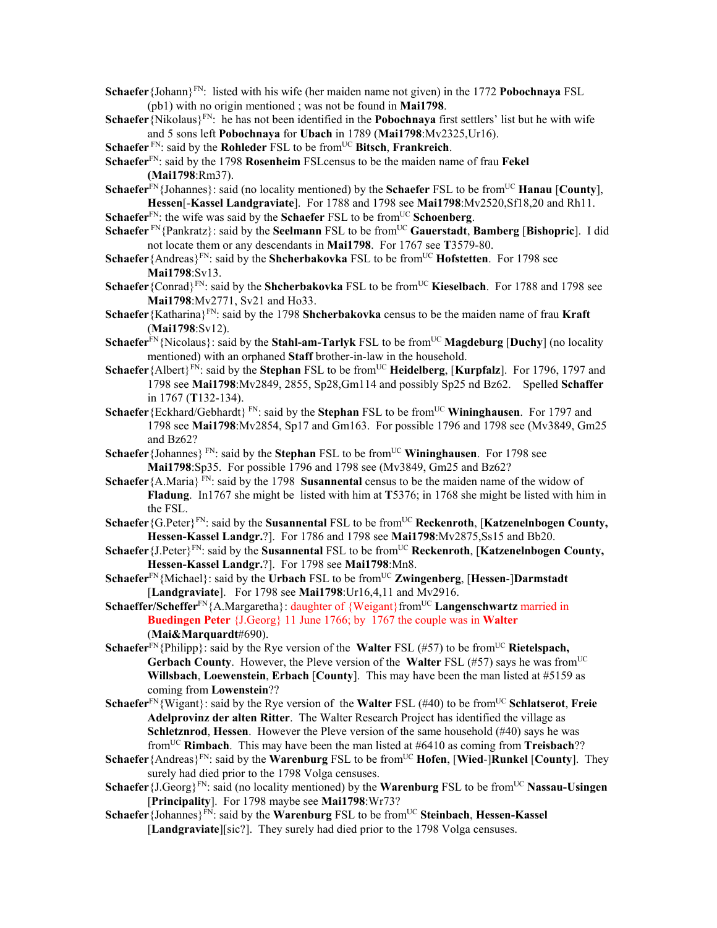**Schaefer**{Johann}FN: listed with his wife (her maiden name not given) in the 1772 **Pobochnaya** FSL (pb1) with no origin mentioned ; was not be found in **Mai1798**.

**Schaefer**{Nikolaus}FN: he has not been identified in the **Pobochnaya** first settlers' list but he with wife and 5 sons left **Pobochnaya** for **Ubach** in 1789 (**Mai1798**:Mv2325,Ur16).

**Schaefer** FN: said by the **Rohleder** FSL to be fromUC **Bitsch**, **Frankreich**.

**Schaefer**FN: said by the 1798 **Rosenheim** FSLcensus to be the maiden name of frau **Fekel (Mai1798**:Rm37).

**Schaefer**<sup>FN</sup>{Johannes}: said (no locality mentioned) by the **Schaefer** FSL to be from<sup>UC</sup> **Hanau** [**County**], **Hessen**[-**Kassel Landgraviate**]. For 1788 and 1798 see **Mai1798**:Mv2520,Sf18,20 and Rh11.

**Schaefer**<sup>FN</sup>: the wife was said by the **Schaefer** FSL to be from<sup>UC</sup> **Schoenberg**.

- **Schaefer** FN{Pankratz}: said by the **Seelmann** FSL to be from<sup>UC</sup> **Gauerstadt**, **Bamberg** [Bishopric]. I did not locate them or any descendants in **Mai1798**. For 1767 see **T**3579-80.
- **Schaefer** {Andreas}<sup>FN</sup>: said by the **Shcherbakovka** FSL to be from<sup>UC</sup> **Hofstetten**. For 1798 see **Mai1798**:Sv13.
- **Schaefer** {Conrad}<sup>FN</sup>: said by the **Shcherbakovka** FSL to be from<sup>UC</sup> **Kieselbach**. For 1788 and 1798 see **Mai1798**:Mv2771, Sv21 and Ho33.
- **Schaefer**{Katharina}FN: said by the 1798 **Shcherbakovka** census to be the maiden name of frau **Kraft** (**Mai1798**:Sv12).
- **Schaefer**<sup>FN</sup>{Nicolaus}: said by the **Stahl-am-Tarlyk** FSL to be from<sup>UC</sup> **Magdeburg** [Duchy] (no locality mentioned) with an orphaned **Staff** brother-in-law in the household.
- **Schaefer** {Albert}<sup>FN</sup>: said by the **Stephan** FSL to be from<sup>UC</sup> **Heidelberg**, [**Kurpfalz**]. For 1796, 1797 and 1798 see **Mai1798**:Mv2849, 2855, Sp28,Gm114 and possibly Sp25 nd Bz62. Spelled **Schaffer**  in 1767 (**T**132-134).
- **Schaefer** {Eckhard/Gebhardt} FN: said by the **Stephan** FSL to be from<sup>UC</sup> **Wininghausen**. For 1797 and 1798 see **Mai1798**:Mv2854, Sp17 and Gm163. For possible 1796 and 1798 see (Mv3849, Gm25 and Bz62?
- **Schaefer**{Johannes} FN: said by the **Stephan** FSL to be fromUC **Wininghausen**. For 1798 see **Mai1798**:Sp35. For possible 1796 and 1798 see (Mv3849, Gm25 and Bz62?
- **Schaefer** {A.Maria} FN: said by the 1798 **Susannental** census to be the maiden name of the widow of **Fladung**. In1767 she might be listed with him at **T**5376; in 1768 she might be listed with him in the FSL.
- **Schaefer** {G.Peter}<sup>FN</sup>: said by the **Susannental** FSL to be from<sup>UC</sup> **Reckenroth**, [**Katzenelnbogen County, Hessen-Kassel Landgr.**?]. For 1786 and 1798 see **Mai1798**:Mv2875,Ss15 and Bb20.
- **Schaefer** {J.Peter}<sup>FN</sup>: said by the **Susannental** FSL to be from<sup>UC</sup> **Reckenroth**, [**Katzenelnbogen County, Hessen-Kassel Landgr.**?]. For 1798 see **Mai1798**:Mn8.
- **Schaefer**FN{Michael}: said by the **Urbach** FSL to be fromUC **Zwingenberg**, [**Hessen**-]**Darmstadt** [**Landgraviate**]. For 1798 see **Mai1798**:Ur16,4,11 and Mv2916.
- **Schaeffer/Scheffer**<sup>FN</sup>{A.Margaretha}: daughter of {Weigant}from<sup>UC</sup> **Langenschwartz** married in **Buedingen Peter** {J.Georg} 11 June 1766; by 1767 the couple was in **Walter** (**Mai&Marquardt**#690).
- **Schaefer**<sup>FN</sup>{Philipp}: said by the Rye version of the **Walter** FSL (#57) to be from<sup>UC</sup> **Rietelspach, Gerbach County**. However, the Pleve version of the **Walter** FSL (#57) says he was from<sup>UC</sup> **Willsbach**, **Loewenstein**, **Erbach** [**County**]. This may have been the man listed at #5159 as coming from **Lowenstein**??
- **Schaefer**<sup>FN</sup>{Wigant}: said by the Rye version of the **Walter** FSL (#40) to be from<sup>UC</sup> **Schlatserot**, **Freie Adelprovinz der alten Ritter**. The Walter Research Project has identified the village as **Schletznrod**, **Hessen**. However the Pleve version of the same household (#40) says he was fromUC **Rimbach**. This may have been the man listed at #6410 as coming from **Treisbach**??
- **Schaefer**{Andreas}FN: said by the **Warenburg** FSL to be fromUC **Hofen**, [**Wied**-]**Runkel** [**County**]. They surely had died prior to the 1798 Volga censuses.
- **Schaefer** {J.Georg}<sup>FN</sup>: said (no locality mentioned) by the **Warenburg** FSL to be from<sup>UC</sup> **Nassau-Usingen** [**Principality**]. For 1798 maybe see **Mai1798**:Wr73?
- **Schaefer**{Johannes}<sup>FN</sup>: said by the **Warenburg** FSL to be from<sup>UC</sup> Steinbach, Hessen-Kassel [**Landgraviate**][sic?]. They surely had died prior to the 1798 Volga censuses.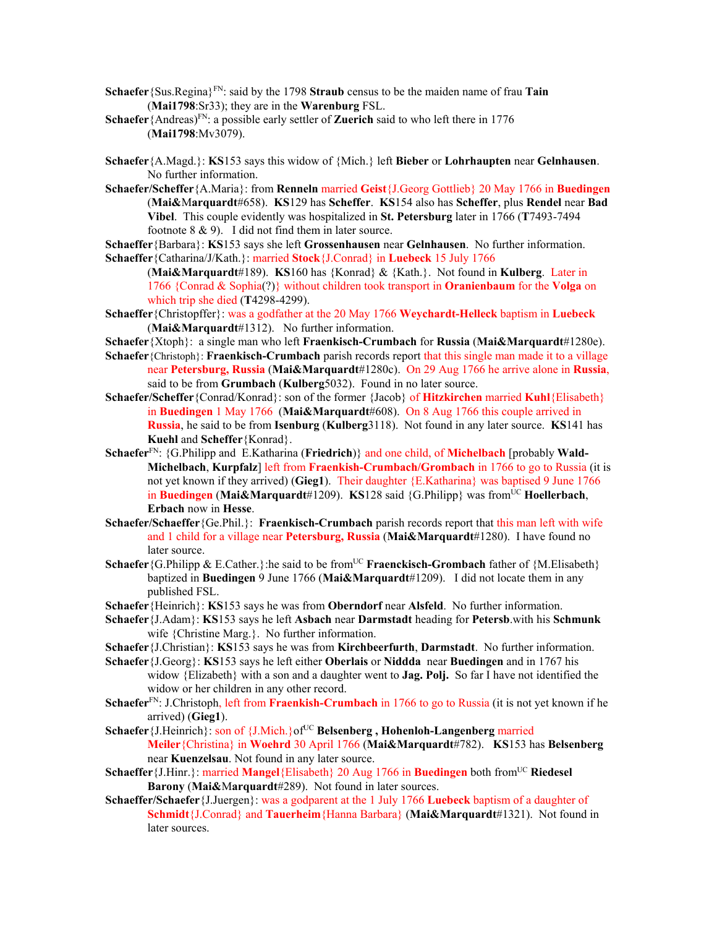- **Schaefer**{Sus.Regina}FN: said by the 1798 **Straub** census to be the maiden name of frau **Tain** (**Mai1798**:Sr33); they are in the **Warenburg** FSL.
- **Schaefer** {Andreas}<sup>FN</sup>: a possible early settler of **Zuerich** said to who left there in 1776 (**Mai1798**:Mv3079).
- **Schaefer**{A.Magd.}: **KS**153 says this widow of {Mich.} left **Bieber** or **Lohrhaupten** near **Gelnhausen**. No further information.
- **Schaefer/Scheffer**{A.Maria}: from **Renneln** married **Geist**{J.Georg Gottlieb} 20 May 1766 in **Buedingen** (**Mai&**M**arquardt**#658). **KS**129 has **Scheffer**. **KS**154 also has **Scheffer**, plus **Rendel** near **Bad Vibel**. This couple evidently was hospitalized in **St. Petersburg** later in 1766 (**T**7493-7494 footnote 8 & 9). I did not find them in later source.

**Schaeffer**{Barbara}: **KS**153 says she left **Grossenhausen** near **Gelnhausen**. No further information. **Schaeffer**{Catharina/J/Kath.}: married **Stock**{J.Conrad} in **Luebeck** 15 July 1766

- (**Mai&Marquardt**#189). **KS**160 has {Konrad} & {Kath.}. Not found in **Kulberg**. Later in 1766 {Conrad & Sophia(?)} without children took transport in **Oranienbaum** for the **Volga** on which trip she died (**T**4298-4299).
- **Schaeffer**{Christopffer}: was a godfather at the 20 May 1766 **Weychardt-Helleck** baptism in **Luebeck** (**Mai&Marquardt**#1312). No further information.
- **Schaefer**{Xtoph}: a single man who left **Fraenkisch-Crumbach** for **Russia** (**Mai&Marquardt**#1280e).
- **Schaefer**{Christoph}: **Fraenkisch-Crumbach** parish records report that this single man made it to a village near **Petersburg, Russia** (**Mai&Marquardt**#1280c). On 29 Aug 1766 he arrive alone in **Russia**, said to be from **Grumbach** (**Kulberg**5032). Found in no later source.
- **Schaefer/Scheffer**{Conrad/Konrad}: son of the former {Jacob} of **Hitzkirchen** married **Kuhl**{Elisabeth} in **Buedingen** 1 May 1766 (**Mai&Marquardt**#608). On 8 Aug 1766 this couple arrived in **Russia**, he said to be from **Isenburg** (**Kulberg**3118). Not found in any later source. **KS**141 has **Kuehl** and **Scheffer**{Konrad}.
- **Schaefer**FN: {G.Philipp and E.Katharina (**Friedrich**)} and one child, of **Michelbach** [probably **Wald-Michelbach**, **Kurpfalz**] left from **Fraenkish-Crumbach/Grombach** in 1766 to go to Russia (it is not yet known if they arrived) (**Gieg1**). Their daughter {E.Katharina} was baptised 9 June 1766 in **Buedingen** (Mai&Marquardt#1209). **KS**128 said {G.Philipp} was from<sup>UC</sup> **Hoellerbach**, **Erbach** now in **Hesse**.
- **Schaefer/Schaeffer**{Ge.Phil.}: **Fraenkisch-Crumbach** parish records report that this man left with wife and 1 child for a village near **Petersburg, Russia** (**Mai&Marquardt**#1280). I have found no later source.
- **Schaefer** {G.Philipp & E.Cather.}:he said to be from<sup>UC</sup> **Fraenckisch-Grombach** father of {M.Elisabeth} baptized in **Buedingen** 9 June 1766 (**Mai&Marquardt**#1209). I did not locate them in any published FSL.
- **Schaefer**{Heinrich}: **KS**153 says he was from **Oberndorf** near **Alsfeld**. No further information.
- **Schaefer**{J.Adam}: **KS**153 says he left **Asbach** near **Darmstadt** heading for **Petersb**.with his **Schmunk**  wife {Christine Marg.}. No further information.
- **Schaefer**{J.Christian}: **KS**153 says he was from **Kirchbeerfurth**, **Darmstadt**. No further information.
- **Schaefer**{J.Georg}: **KS**153 says he left either **Oberlais** or **Niddda** near **Buedingen** and in 1767 his widow {Elizabeth} with a son and a daughter went to **Jag. Polj.** So far I have not identified the widow or her children in any other record.
- **Schaefer**FN: J.Christoph, left from **Fraenkish-Crumbach** in 1766 to go to Russia (it is not yet known if he arrived) (**Gieg1**).
- Schaefer {J.Heinrich}: son of {J.Mich.}of<sup>UC</sup> Belsenberg, Hohenloh-Langenberg married **Meiler**{Christina} in **Woehrd** 30 April 1766 (**Mai&Marquardt**#782). **KS**153 has **Belsenberg**  near **Kuenzelsau**. Not found in any later source.
- **Schaeffer**{J.Hinr.}: married **Mangel**{Elisabeth} 20 Aug 1766 in **Buedingen** both fromUC **Riedesel Barony** (**Mai&**M**arquardt**#289). Not found in later sources.
- **Schaeffer/Schaefer**{J.Juergen}: was a godparent at the 1 July 1766 **Luebeck** baptism of a daughter of **Schmidt**{J.Conrad} and **Tauerheim**{Hanna Barbara} (**Mai&Marquardt**#1321). Not found in later sources.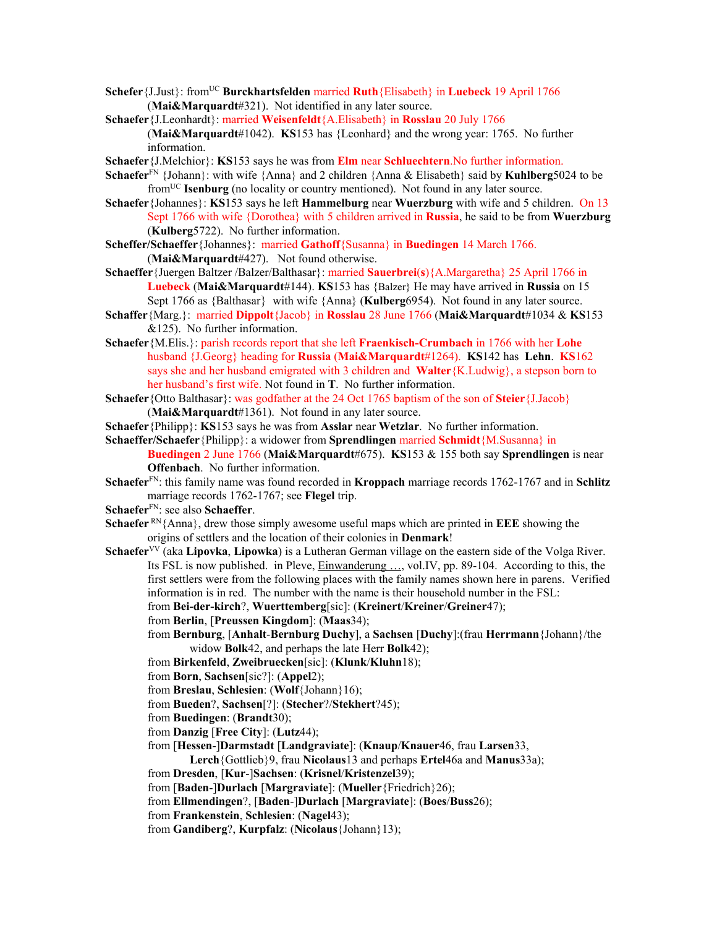- **Schefer** {J.Just}: from<sup>UC</sup> **Burckhartsfelden** married **Ruth** {Elisabeth} in **Luebeck** 19 April 1766 (**Mai&Marquardt**#321). Not identified in any later source.
- **Schaefer**{J.Leonhardt}: married **Weisenfeldt**{A.Elisabeth} in **Rosslau** 20 July 1766 (**Mai&Marquardt**#1042). **KS**153 has {Leonhard} and the wrong year: 1765. No further information.
- **Schaefer**{J.Melchior}: **KS**153 says he was from **Elm** near **Schluechtern**.No further information.
- **Schaefer**FN {Johann}: with wife {Anna} and 2 children {Anna & Elisabeth} said by **Kuhlberg**5024 to be fromUC **Isenburg** (no locality or country mentioned). Not found in any later source.
- **Schaefer**{Johannes}: **KS**153 says he left **Hammelburg** near **Wuerzburg** with wife and 5 children. On 13 Sept 1766 with wife {Dorothea} with 5 children arrived in **Russia**, he said to be from **Wuerzburg**  (**Kulberg**5722). No further information.
- **Scheffer/Schaeffer**{Johannes}: married **Gathoff**{Susanna} in **Buedingen** 14 March 1766. (**Mai&Marquardt**#427). Not found otherwise.
- **Schaeffer**{Juergen Baltzer /Balzer/Balthasar}: married **Sauerbrei**(**s**){A.Margaretha} 25 April 1766 in **Luebeck** (**Mai&Marquardt**#144). **KS**153 has {Balzer} He may have arrived in **Russia** on 15 Sept 1766 as {Balthasar} with wife {Anna} (**Kulberg**6954). Not found in any later source.
- **Schaffer**{Marg.}: married **Dippolt**{Jacob} in **Rosslau** 28 June 1766 (**Mai&Marquardt**#1034 & **KS**153 &125). No further information.
- **Schaefer**{M.Elis.}: parish records report that she left **Fraenkisch-Crumbach** in 1766 with her **Lohe**  husband {J.Georg} heading for **Russia** (**Mai&Marquardt**#1264). **KS**142 has **Lehn**. **KS**162 says she and her husband emigrated with 3 children and **Walter**{K.Ludwig}, a stepson born to her husband's first wife. Not found in **T**. No further information.
- **Schaefer**{Otto Balthasar}: was godfather at the 24 Oct 1765 baptism of the son of **Steier**{J.Jacob} (**Mai&Marquardt**#1361). Not found in any later source.
- **Schaefer**{Philipp}: **KS**153 says he was from **Asslar** near **Wetzlar**. No further information.
- **Schaeffer/Schaefer**{Philipp}: a widower from **Sprendlingen** married **Schmidt**{M.Susanna} in
	- **Buedingen** 2 June 1766 (**Mai&Marquardt**#675). **KS**153 & 155 both say **Sprendlingen** is near **Offenbach**. No further information.
- **Schaefer**FN: this family name was found recorded in **Kroppach** marriage records 1762-1767 and in **Schlitz** marriage records 1762-1767; see **Flegel** trip.
- **Schaefer**FN: see also **Schaeffer**.
- **Schaefer** RN{Anna}, drew those simply awesome useful maps which are printed in **EEE** showing the origins of settlers and the location of their colonies in **Denmark**!
- **Schaefer**VV (aka **Lipovka**, **Lipowka**) is a Lutheran German village on the eastern side of the Volga River. Its FSL is now published. in Pleve, Einwanderung …, vol.IV, pp. 89-104. According to this, the first settlers were from the following places with the family names shown here in parens. Verified information is in red. The number with the name is their household number in the FSL:
	- from **Bei-der-kirch**?, **Wuerttemberg**[sic]: (**Kreinert**/**Kreiner**/**Greiner**47);
	- from **Berlin**, [**Preussen Kingdom**]: (**Maas**34);
	- from **Bernburg**, [**Anhalt**-**Bernburg Duchy**], a **Sachsen** [**Duchy**]:(frau **Herrmann**{Johann}/the widow **Bolk**42, and perhaps the late Herr **Bolk**42);
	- from **Birkenfeld**, **Zweibruecken**[sic]: (**Klunk**/**Kluhn**18);
	- from **Born**, **Sachsen**[sic?]: (**Appel**2);
	- from **Breslau**, **Schlesien**: (**Wolf**{Johann}16);
	- from **Bueden**?, **Sachsen**[?]: (**Stecher**?/**Stekhert**?45);
	- from **Buedingen**: (**Brandt**30);
	- from **Danzig** [**Free City**]: (**Lutz**44);
	- from [**Hessen**-]**Darmstadt** [**Landgraviate**]: (**Knaup**/**Knauer**46, frau **Larsen**33,
		- **Lerch**{Gottlieb}9, frau **Nicolaus**13 and perhaps **Ertel**46a and **Manus**33a);
	- from **Dresden**, [**Kur**-]**Sachsen**: (**Krisnel**/**Kristenzel**39);
	- from [**Baden**-]**Durlach** [**Margraviate**]: (**Mueller**{Friedrich}26);
	- from **Ellmendingen**?, [**Baden**-]**Durlach** [**Margraviate**]: (**Boes**/**Buss**26);
	- from **Frankenstein**, **Schlesien**: (**Nagel**43);
	- from **Gandiberg**?, **Kurpfalz**: (**Nicolaus**{Johann}13);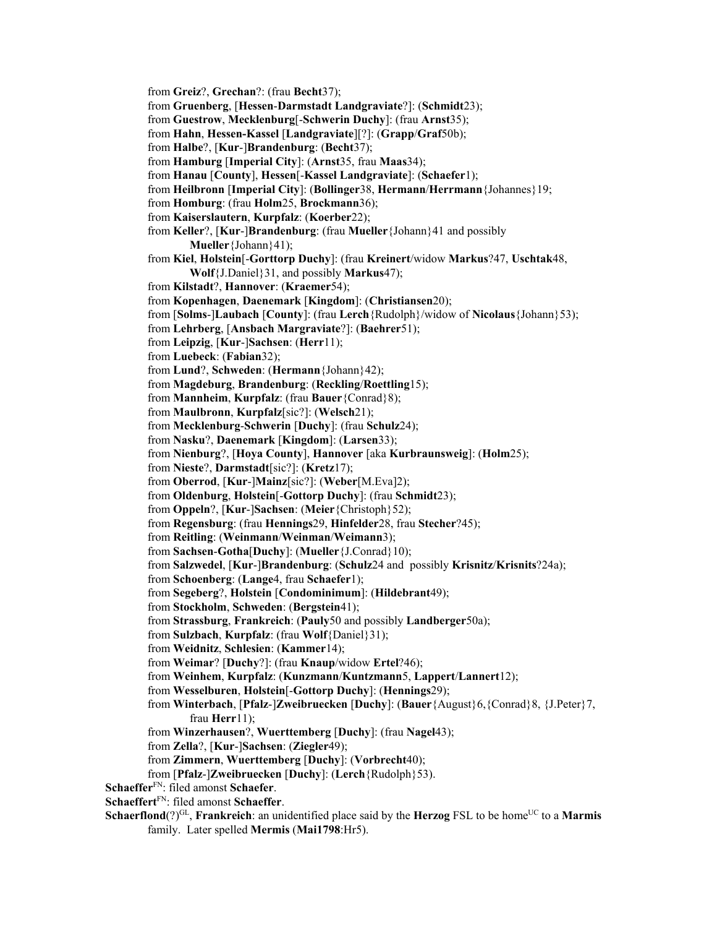from **Gruenberg**, [**Hessen**-**Darmstadt Landgraviate**?]: (**Schmidt**23); from **Guestrow**, **Mecklenburg**[-**Schwerin Duchy**]: (frau **Arnst**35); from **Hahn**, **Hessen-Kassel** [**Landgraviate**][?]: (**Grapp**/**Graf**50b); from **Halbe**?, [**Kur**-]**Brandenburg**: (**Becht**37); from **Hamburg** [**Imperial City**]: (**Arnst**35, frau **Maas**34); from **Hanau** [**County**], **Hessen**[-**Kassel Landgraviate**]: (**Schaefer**1); from **Heilbronn** [**Imperial City**]: (**Bollinger**38, **Hermann**/**Herrmann**{Johannes}19; from **Homburg**: (frau **Holm**25, **Brockmann**36); from **Kaiserslautern**, **Kurpfalz**: (**Koerber**22); from **Keller**?, [**Kur**-]**Brandenburg**: (frau **Mueller**{Johann}41 and possibly **Mueller**{Johann}41); from **Kiel**, **Holstein**[-**Gorttorp Duchy**]: (frau **Kreinert**/widow **Markus**?47, **Uschtak**48, **Wolf**{J.Daniel}31, and possibly **Markus**47); from **Kilstadt**?, **Hannover**: (**Kraemer**54); from **Kopenhagen**, **Daenemark** [**Kingdom**]: (**Christiansen**20); from [**Solms**-]**Laubach** [**County**]: (frau **Lerch**{Rudolph}/widow of **Nicolaus**{Johann}53); from **Lehrberg**, [**Ansbach Margraviate**?]: (**Baehrer**51); from **Leipzig**, [**Kur**-]**Sachsen**: (**Herr**11); from **Luebeck**: (**Fabian**32); from **Lund**?, **Schweden**: (**Hermann**{Johann}42); from **Magdeburg**, **Brandenburg**: (**Reckling**/**Roettling**15); from **Mannheim**, **Kurpfalz**: (frau **Bauer**{Conrad}8); from **Maulbronn**, **Kurpfalz**[sic?]: (**Welsch**21); from **Mecklenburg**-**Schwerin** [**Duchy**]: (frau **Schulz**24); from **Nasku**?, **Daenemark** [**Kingdom**]: (**Larsen**33); from **Nienburg**?, [**Hoya County**], **Hannover** [aka **Kurbraunsweig**]: (**Holm**25); from **Nieste**?, **Darmstadt**[sic?]: (**Kretz**17); from **Oberrod**, [**Kur**-]**Mainz**[sic?]: (**Weber**[M.Eva]2); from **Oldenburg**, **Holstein**[-**Gottorp Duchy**]: (frau **Schmidt**23); from **Oppeln**?, [**Kur**-]**Sachsen**: (**Meier**{Christoph}52); from **Regensburg**: (frau **Hennings**29, **Hinfelder**28, frau **Stecher**?45); from **Reitling**: (**Weinmann**/**Weinman**/**Weimann**3); from **Sachsen**-**Gotha**[**Duchy**]: (**Mueller**{J.Conrad}10); from **Salzwedel**, [**Kur**-]**Brandenburg**: (**Schulz**24 and possibly **Krisnitz**/**Krisnits**?24a); from **Schoenberg**: (**Lange**4, frau **Schaefer**1); from **Segeberg**?, **Holstein** [**Condominimum**]: (**Hildebrant**49); from **Stockholm**, **Schweden**: (**Bergstein**41); from **Strassburg**, **Frankreich**: (**Pauly**50 and possibly **Landberger**50a); from **Sulzbach**, **Kurpfalz**: (frau **Wolf**{Daniel}31); from **Weidnitz**, **Schlesien**: (**Kammer**14); from **Weimar**? [**Duchy**?]: (frau **Knaup**/widow **Ertel**?46); from **Weinhem**, **Kurpfalz**: (**Kunzmann**/**Kuntzmann**5, **Lappert**/**Lannert**12); from **Wesselburen**, **Holstein**[-**Gottorp Duchy**]: (**Hennings**29); from **Winterbach**, [**Pfalz**-]**Zweibruecken** [**Duchy**]: (**Bauer**{August}6,{Conrad}8, {J.Peter}7, frau **Herr**11); from **Winzerhausen**?, **Wuerttemberg** [**Duchy**]: (frau **Nagel**43); from **Zella**?, [**Kur**-]**Sachsen**: (**Ziegler**49); from **Zimmern**, **Wuerttemberg** [**Duchy**]: (**Vorbrecht**40); from [**Pfalz**-]**Zweibruecken** [**Duchy**]: (**Lerch**{Rudolph}53). **Schaeffer**FN: filed amonst **Schaefer**. **Schaeffert**FN: filed amonst **Schaeffer**. **Schaerflond**(?)<sup>GL</sup>, **Frankreich**: an unidentified place said by the **Herzog** FSL to be home<sup>UC</sup> to a **Marmis** family. Later spelled **Mermis** (**Mai1798**:Hr5).

from **Greiz**?, **Grechan**?: (frau **Becht**37);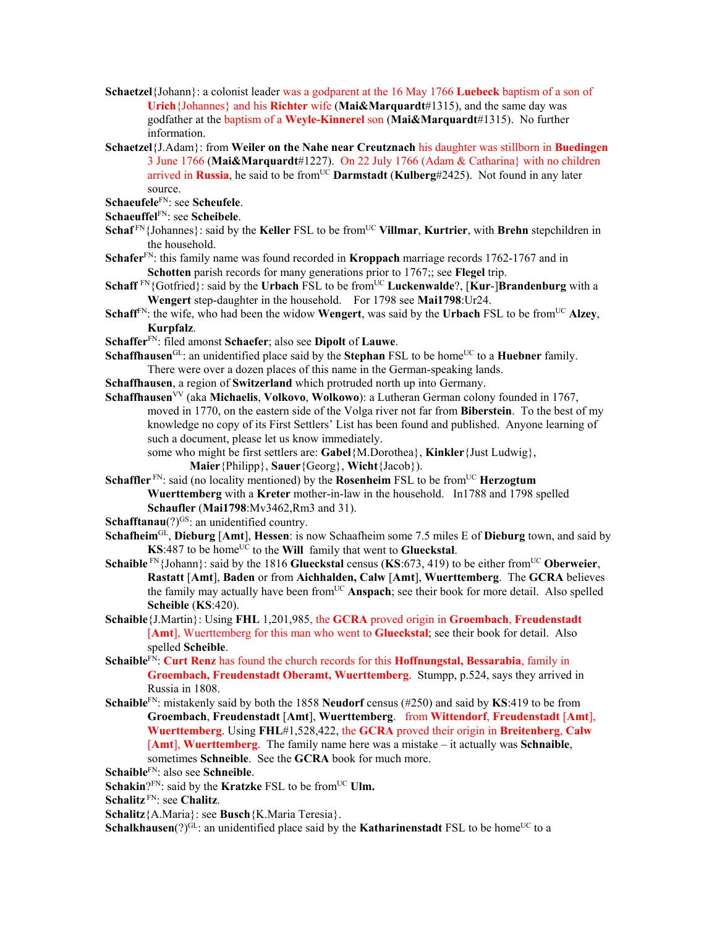- **Schaetzel**{Johann}: a colonist leader was a godparent at the 16 May 1766 **Luebeck** baptism of a son of **Urich**{Johannes} and his **Richter** wife (**Mai&Marquardt**#1315), and the same day was godfather at the baptism of a **Weyle-Kinnerel** son (**Mai&Marquardt**#1315). No further information.
- **Schaetzel**{J.Adam}: from **Weiler on the Nahe near Creutznach** his daughter was stillborn in **Buedingen**  3 June 1766 (**Mai&Marquardt**#1227). On 22 July 1766 (Adam & Catharina} with no children arrived in **Russia**, he said to be from<sup>UC</sup> **Darmstadt** (**Kulberg**#2425). Not found in any later source.

**Schaeufele**FN: see **Scheufele**.

- **Schaeuffel**FN: see **Scheibele**.
- **Schaf** FN {Johannes}: said by the **Keller** FSL to be from<sup>UC</sup> **Villmar**, **Kurtrier**, with **Brehn** stepchildren in the household.
- **Schafer**FN: this family name was found recorded in **Kroppach** marriage records 1762-1767 and in **Schotten** parish records for many generations prior to 1767;; see **Flegel** trip.
- **Schaff** <sup>FN</sup>{Gotfried}: said by the **Urbach** FSL to be from<sup>UC</sup> **Luckenwalde**?, [**Kur-]Brandenburg** with a **Wengert** step-daughter in the household. For 1798 see **Mai1798**:Ur24.
- **Schaff**<sup>FN</sup>: the wife, who had been the widow **Wengert**, was said by the **Urbach** FSL to be from<sup>UC</sup> Alzey, **Kurpfalz**.
- **Schaffer**FN: filed amonst **Schaefer**; also see **Dipolt** of **Lauwe**.
- **Schaffhausen**<sup>GL</sup>: an unidentified place said by the **Stephan** FSL to be home<sup>UC</sup> to a **Huebner** family. There were over a dozen places of this name in the German-speaking lands.
- **Schaffhausen**, a region of **Switzerland** which protruded north up into Germany.
- **Schaffhausen**<sup>VV</sup> (aka **Michaelis, Volkovo, Wolkowo**): a Lutheran German colony founded in 1767, moved in 1770, on the eastern side of the Volga river not far from **Biberstein**. To the best of my knowledge no copy of its First Settlers' List has been found and published. Anyone learning of such a document, please let us know immediately.

some who might be first settlers are: **Gabel**{M.Dorothea}, **Kinkler**{Just Ludwig}, **Maier**{Philipp}, **Sauer**{Georg}, **Wicht**{Jacob}).

**Schaffler**<sup>FN</sup>: said (no locality mentioned) by the **Rosenheim** FSL to be from<sup>UC</sup> **Herzogtum Wuerttemberg** with a **Kreter** mother-in-law in the household. In1788 and 1798 spelled **Schaufler** (**Mai1798**:Mv3462,Rm3 and 31).

**Schafftanau**(?)<sup>GS</sup>: an unidentified country.

- **Schafheim**GL, **Dieburg** [**Amt**], **Hessen**: is now Schaafheim some 7.5 miles E of **Dieburg** town, and said by **KS:**487 to be home<sup>UC</sup> to the **Will** family that went to **Glueckstal**.
- **Schaible** FN{Johann}: said by the 1816 **Glueckstal** census (**KS**:673, 419) to be either fromUC **Oberweier**, **Rastatt** [**Amt**], **Baden** or from **Aichhalden, Calw** [**Amt**], **Wuerttemberg**. The **GCRA** believes the family may actually have been fromUC **Anspach**; see their book for more detail. Also spelled **Scheible** (**KS**:420).
- **Schaible**{J.Martin}: Using **FHL** 1,201,985, the **GCRA** proved origin in **Groembach**, **Freudenstadt** [**Amt**], Wuerttemberg for this man who went to **Glueckstal**; see their book for detail. Also spelled **Scheible**.
- **Schaible**FN: **Curt Renz** has found the church records for this **Hoffnungstal, Bessarabia**, family in **Groembach, Freudenstadt Oberamt, Wuerttemberg**. Stumpp, p.524, says they arrived in Russia in 1808.
- **Schaible**FN: mistakenly said by both the 1858 **Neudorf** census (#250) and said by **KS**:419 to be from **Groembach**, **Freudenstadt** [**Amt**], **Wuerttemberg**. from **Wittendorf**, **Freudenstadt** [**Amt**], **Wuerttemberg**. Using **FHL**#1,528,422, the **GCRA** proved their origin in **Breitenberg**, **Calw** [**Amt**], **Wuerttemberg**. The family name here was a mistake – it actually was **Schnaible**, sometimes **Schneible**. See the **GCRA** book for much more.
- **Schaible**FN: also see **Schneible**.
- Schakin?<sup>FN</sup>: said by the **Kratzke** FSL to be from<sup>UC</sup> **Ulm.**
- **Schalitz** FN: see **Chalitz**.

**Schalitz**{A.Maria}: see **Busch**{K.Maria Teresia}.

**Schalkhausen**(?) $G<sup>GL</sup>$ : an unidentified place said by the **Katharinenstadt** FSL to be home<sup>UC</sup> to a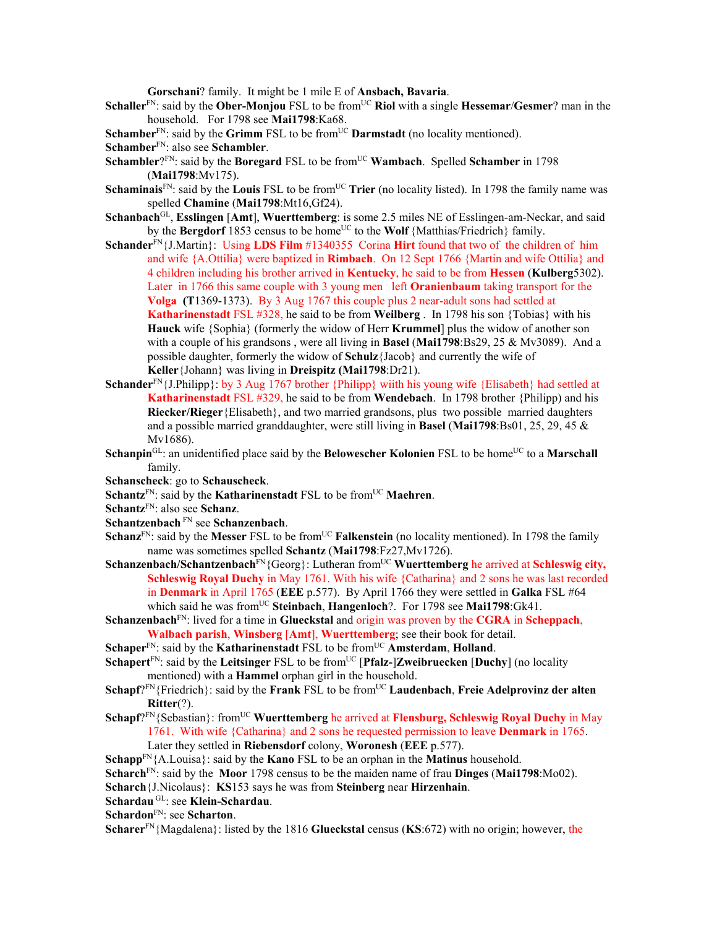**Gorschani**? family. It might be 1 mile E of **Ansbach, Bavaria**.

- **Schaller**<sup>FN</sup>: said by the **Ober-Monjou** FSL to be from<sup>UC</sup> Riol with a single **Hessemar/Gesmer**? man in the household. For 1798 see **Mai1798**:Ka68.
- **Schamber**<sup>FN</sup>: said by the **Grimm** FSL to be from<sup>UC</sup> **Darmstadt** (no locality mentioned).

- **Schambler**?FN: said by the **Boregard** FSL to be from<sup>UC</sup> **Wambach**. Spelled **Schamber** in 1798 (**Mai1798**:Mv175).
- **Schaminais**<sup>FN</sup>: said by the **Louis** FSL to be from<sup>UC</sup> **Trier** (no locality listed). In 1798 the family name was spelled **Chamine** (**Mai1798**:Mt16,Gf24).
- **Schanbach**GL, **Esslingen** [**Amt**], **Wuerttemberg**: is some 2.5 miles NE of Esslingen-am-Neckar, and said by the **Bergdorf** 1853 census to be home<sup>UC</sup> to the **Wolf** {Matthias/Friedrich} family.
- **Schander**FN{J.Martin}: Using **LDS Film** #1340355 Corina **Hirt** found that two of the children of him and wife {A.Ottilia} were baptized in **Rimbach**.On 12 Sept 1766 {Martin and wife Ottilia} and 4 children including his brother arrived in **Kentucky**, he said to be from **Hessen** (**Kulberg**5302). Later in 1766 this same couple with 3 young men left **Oranienbaum** taking transport for the **Volga (T**1369-1373). By 3 Aug 1767 this couple plus 2 near-adult sons had settled at **Katharinenstadt** FSL #328, he said to be from **Weilberg** . In 1798 his son {Tobias} with his **Hauck** wife {Sophia} (formerly the widow of Herr **Krummel**] plus the widow of another son with a couple of his grandsons , were all living in **Basel** (**Mai1798**:Bs29, 25 & Mv3089). And a possible daughter, formerly the widow of **Schulz**{Jacob} and currently the wife of **Keller**{Johann} was living in **Dreispitz (Mai1798**:Dr21).
- Schander<sup>FN</sup>{J.Philipp}: by 3 Aug 1767 brother {Philipp} wiith his young wife {Elisabeth} had settled at **Katharinenstadt** FSL #329, he said to be from **Wendebach**. In 1798 brother {Philipp) and his **Riecker/Rieger**{Elisabeth}, and two married grandsons, plus two possible married daughters and a possible married granddaughter, were still living in **Basel** (**Mai1798**:Bs01, 25, 29, 45 & Mv1686).
- **Schanpin**<sup>GL</sup>: an unidentified place said by the **Belowescher Kolonien** FSL to be home<sup>UC</sup> to a **Marschall** family.
- **Schanscheck**: go to **Schauscheck**.
- **Schantz<sup>FN</sup>: said by the Katharinenstadt FSL to be from<sup>UC</sup> Maehren.**
- **Schantz**FN: also see **Schanz**.
- **Schantzenbach** FN see **Schanzenbach**.
- **Schanz**<sup>FN</sup>: said by the **Messer** FSL to be from<sup>UC</sup> **Falkenstein** (no locality mentioned). In 1798 the family name was sometimes spelled **Schantz** (**Mai1798**:Fz27,Mv1726).
- **Schanzenbach/Schantzenbach**FN{Georg}: Lutheran fromUC **Wuerttemberg** he arrived at **Schleswig city, Schleswig Royal Duchy** in May 1761. With his wife {Catharina} and 2 sons he was last recorded in **Denmark** in April 1765 (**EEE** p.577). By April 1766 they were settled in **Galka** FSL #64 which said he was fromUC **Steinbach**, **Hangenloch**?. For 1798 see **Mai1798**:Gk41.
- **Schanzenbach**FN: lived for a time in **Glueckstal** and origin was proven by the **CGRA** in **Scheppach**, **Walbach parish**, **Winsberg** [**Amt**], **Wuerttemberg**; see their book for detail.
- **Schaper**<sup>FN</sup>: said by the **Katharinenstadt** FSL to be from<sup>UC</sup> **Amsterdam**, **Holland**.
- **Schapert**<sup>FN</sup>: said by the **Leitsinger** FSL to be from<sup>UC</sup> [**Pfalz-**]**Zweibruecken** [**Duchy**] (no locality mentioned) with a **Hammel** orphan girl in the household.
- Schapf?<sup>FN</sup>{Friedrich}: said by the **Frank** FSL to be from<sup>UC</sup> **Laudenbach**, **Freie Adelprovinz der alten Ritter**(?).
- **Schapf**?FN{Sebastian}: fromUC **Wuerttemberg** he arrived at **Flensburg, Schleswig Royal Duchy** in May 1761. With wife {Catharina} and 2 sons he requested permission to leave **Denmark** in 1765. Later they settled in **Riebensdorf** colony, **Woronesh** (**EEE** p.577).

**Schapp**FN{A.Louisa}: said by the **Kano** FSL to be an orphan in the **Matinus** household.

- **Scharch**FN: said by the **Moor** 1798 census to be the maiden name of frau **Dinges** (**Mai1798**:Mo02).
- **Scharch**{J.Nicolaus}: **KS**153 says he was from **Steinberg** near **Hirzenhain**.
- **Schardau** GL: see **Klein-Schardau**.

**Schardon**FN: see **Scharton**.

**Scharer**FN{Magdalena}: listed by the 1816 **Glueckstal** census (**KS**:672) with no origin; however, the

**Schamber**FN: also see **Schambler**.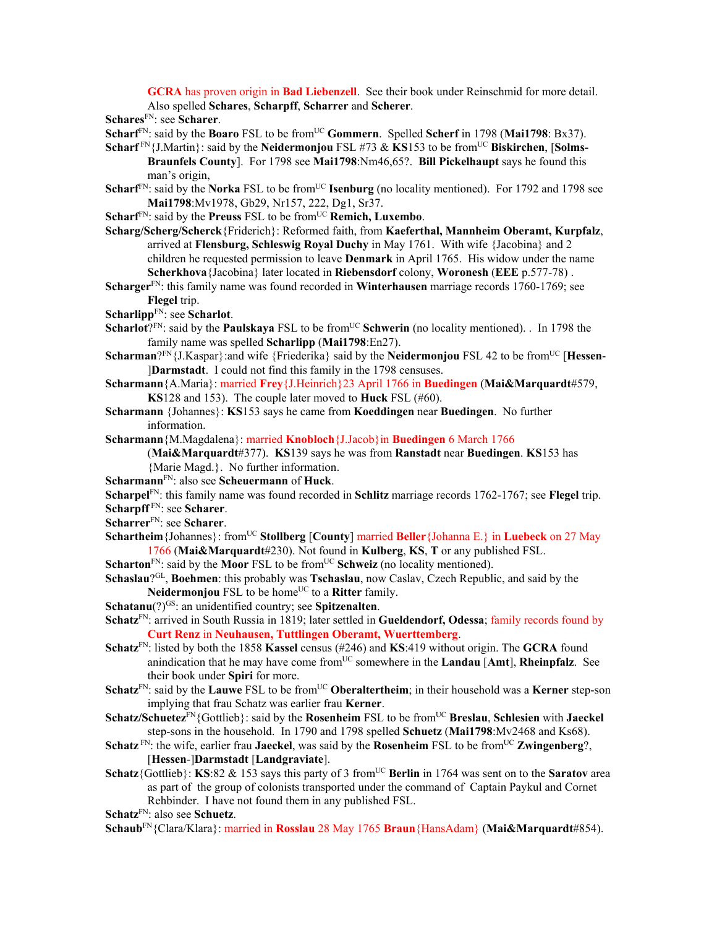**GCRA** has proven origin in **Bad Liebenzell**. See their book under Reinschmid for more detail. Also spelled **Schares**, **Scharpff**, **Scharrer** and **Scherer**.

**Schares**FN: see **Scharer**.

- **Scharf**FN: said by the **Boaro** FSL to be fromUC **Gommern**. Spelled **Scherf** in 1798 (**Mai1798**: Bx37).
- **Scharf**<sup>FN</sup>{J.Martin}: said by the **Neidermonjou** FSL #73 & **KS**153 to be from<sup>UC</sup> **Biskirchen**, [Solms-**Braunfels County**]. For 1798 see **Mai1798**:Nm46,65?. **Bill Pickelhaupt** says he found this man's origin,
- **Scharf**<sup>FN</sup>: said by the **Norka** FSL to be from<sup>UC</sup> **Isenburg** (no locality mentioned). For 1792 and 1798 see **Mai1798**:Mv1978, Gb29, Nr157, 222, Dg1, Sr37.
- **Scharf**<sup>FN</sup>: said by the **Preuss** FSL to be from<sup>UC</sup> **Remich, Luxembo**.
- **Scharg/Scherg/Scherck**{Friderich}: Reformed faith, from **Kaeferthal, Mannheim Oberamt, Kurpfalz**, arrived at **Flensburg, Schleswig Royal Duchy** in May 1761. With wife {Jacobina} and 2 children he requested permission to leave **Denmark** in April 1765. His widow under the name **Scherkhova**{Jacobina} later located in **Riebensdorf** colony, **Woronesh** (**EEE** p.577-78) .
- **Scharger**FN: this family name was found recorded in **Winterhausen** marriage records 1760-1769; see **Flegel** trip.
- **Scharlipp**FN: see **Scharlot**.
- **Scharlot**?<sup>FN</sup>: said by the **Paulskaya** FSL to be from<sup>UC</sup> Schwerin (no locality mentioned). . In 1798 the family name was spelled **Scharlipp** (**Mai1798**:En27).
- **Scharman**?FN{J.Kaspar}: and wife {Friederika} said by the **Neidermonjou** FSL 42 to be from<sup>UC</sup> [**Hessen**-]**Darmstadt**. I could not find this family in the 1798 censuses.
- **Scharmann**{A.Maria}: married **Frey**{J.Heinrich}23 April 1766 in **Buedingen** (**Mai&Marquardt**#579, **KS**128 and 153). The couple later moved to **Huck** FSL (#60).
- **Scharmann** {Johannes}: **KS**153 says he came from **Koeddingen** near **Buedingen**. No further information.

**Scharmann**{M.Magdalena}: married **Knobloch**{J.Jacob}in **Buedingen** 6 March 1766

(**Mai&Marquardt**#377). **KS**139 says he was from **Ranstadt** near **Buedingen**. **KS**153 has {Marie Magd.}. No further information.

**Scharmann**FN: also see **Scheuermann** of **Huck**.

**Scharpel**FN: this family name was found recorded in **Schlitz** marriage records 1762-1767; see **Flegel** trip. **Scharpff** FN: see **Scharer**.

- **Scharrer**FN: see **Scharer**.
- **Schartheim** {Johannes}: from<sup>UC</sup> **Stollberg** [**County**] married **Beller** {Johanna E.} in **Luebeck** on 27 May 1766 (**Mai&Marquardt**#230). Not found in **Kulberg**, **KS**, **T** or any published FSL.
- **Scharton**<sup>FN</sup>: said by the **Moor** FSL to be from<sup>UC</sup> **Schweiz** (no locality mentioned).
- **Schaslau**?GL, **Boehmen**: this probably was **Tschaslau**, now Caslav, Czech Republic, and said by the **Neidermonjou** FSL to be home<sup>UC</sup> to a **Ritter** family.
- **Schatanu**(?)<sup>GS</sup>: an unidentified country; see **Spitzenalten**.
- **Schatz**FN: arrived in South Russia in 1819; later settled in **Gueldendorf, Odessa**; family records found by **Curt Renz** in **Neuhausen, Tuttlingen Oberamt, Wuerttemberg**.
- **Schatz**FN: listed by both the 1858 **Kassel** census (#246) and **KS**:419 without origin. The **GCRA** found anindication that he may have come from<sup>UC</sup> somewhere in the **Landau** [Amt], **Rheinpfalz**. See their book under **Spiri** for more.
- **Schatz**<sup>FN</sup>: said by the **Lauwe** FSL to be from<sup>UC</sup> Oberaltertheim; in their household was a **Kerner** step-son implying that frau Schatz was earlier frau **Kerner**.
- **Schatz/Schuetez**FN{Gottlieb}: said by the **Rosenheim** FSL to be fromUC **Breslau**, **Schlesien** with **Jaeckel** step-sons in the household. In 1790 and 1798 spelled **Schuetz** (**Mai1798**:Mv2468 and Ks68).
- **Schatz**  $F_N$ : the wife, earlier frau **Jaeckel**, was said by the **Rosenheim** FSL to be from  $U^C$  **Zwingenberg**?, [**Hessen**-]**Darmstadt** [**Landgraviate**].
- **Schatz**{Gottlieb}: **KS**:82 & 153 says this party of 3 from<sup>UC</sup> **Berlin** in 1764 was sent on to the **Saratov** area as part of the group of colonists transported under the command of Captain Paykul and Cornet Rehbinder. I have not found them in any published FSL.

**Schatz**FN: also see **Schuetz**.

**Schaub**FN{Clara/Klara}: married in **Rosslau** 28 May 1765 **Braun**{HansAdam} (**Mai&Marquardt**#854).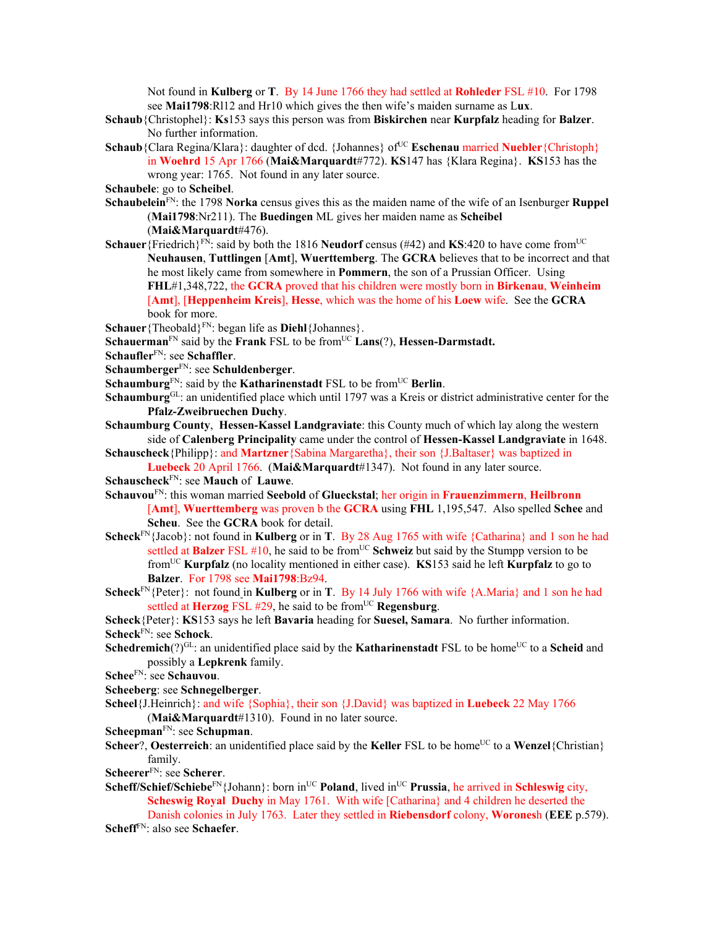Not found in **Kulberg** or **T**. By 14 June 1766 they had settled at **Rohleder** FSL #10. For 1798 see **Mai1798**:Rl12 and Hr10 which gives the then wife's maiden surname as L**ux**.

- **Schaub**{Christophel}: **Ks**153 says this person was from **Biskirchen** near **Kurpfalz** heading for **Balzer**. No further information.
- **Schaub**{Clara Regina/Klara}: daughter of dcd. {Johannes} of<sup>UC</sup> **Eschenau** married **Nuebler**{Christoph} in **Woehrd** 15 Apr 1766 (**Mai&Marquardt**#772). **KS**147 has {Klara Regina}. **KS**153 has the wrong year: 1765. Not found in any later source.

**Schaubele**: go to **Scheibel**.

- **Schaubelein**FN: the 1798 **Norka** census gives this as the maiden name of the wife of an Isenburger **Ruppel** (**Mai1798**:Nr211). The **Buedingen** ML gives her maiden name as **Scheibel** (**Mai&Marquardt**#476).
- **Schauer**{Friedrich}<sup>FN</sup>: said by both the 1816 **Neudorf** census (#42) and **KS**:420 to have come from<sup>UC</sup> **Neuhausen**, **Tuttlingen** [**Amt**], **Wuerttemberg**. The **GCRA** believes that to be incorrect and that he most likely came from somewhere in **Pommern**, the son of a Prussian Officer. Using **FHL**#1,348,722, the **GCRA** proved that his children were mostly born in **Birkenau**, **Weinheim** [**Amt**], [**Heppenheim Kreis**], **Hesse**, which was the home of his **Loew** wife. See the **GCRA** book for more.
- Schauer<sup>{Theobald}<sup>FN</sup>: began life as **Diehl**{Johannes}.</sup>
- **Schauerman**<sup>FN</sup> said by the **Frank** FSL to be from<sup>UC</sup> **Lans**(?), **Hessen-Darmstadt.**
- **Schaufler**FN: see **Schaffler**.
- **Schaumberger**FN: see **Schuldenberger**.
- **Schaumburg**<sup>FN</sup>: said by the **Katharinenstadt** FSL to be from<sup>UC</sup> **Berlin**.
- **Schaumburg**GL: an unidentified place which until 1797 was a Kreis or district administrative center for the **Pfalz-Zweibruechen Duchy**.
- **Schaumburg County**, **Hessen-Kassel Landgraviate**: this County much of which lay along the western side of **Calenberg Principality** came under the control of **Hessen-Kassel Landgraviate** in 1648.
- **Schauscheck**{Philipp}: and **Martzner**{Sabina Margaretha}, their son {J.Baltaser} was baptized in **Luebeck** 20 April 1766. (**Mai&Marquardt**#1347). Not found in any later source.
- **Schauscheck**FN: see **Mauch** of **Lauwe**.
- **Schauvou**FN: this woman married **Seebold** of **Glueckstal**; her origin in **Frauenzimmern**, **Heilbronn** [**Amt**], **Wuerttemberg** was proven b the **GCRA** using **FHL** 1,195,547. Also spelled **Schee** and **Scheu**. See the **GCRA** book for detail.
- **Scheck**FN{Jacob}: not found in **Kulberg** or in **T**. By 28 Aug 1765 with wife {Catharina} and 1 son he had settled at **Balzer** FSL #10, he said to be from<sup>UC</sup> Schweiz but said by the Stumpp version to be fromUC **Kurpfalz** (no locality mentioned in either case). **KS**153 said he left **Kurpfalz** to go to **Balzer**. For 1798 see **Mai1798**:Bz94.
- **Scheck**<sup>FN</sup>{Peter}: not found in **Kulberg** or in **T**. By 14 July 1766 with wife {A.Maria} and 1 son he had settled at **Herzog** FSL #29, he said to be from<sup>UC</sup> **Regensburg**.
- **Scheck**{Peter}: **KS**153 says he left **Bavaria** heading for **Suesel, Samara**. No further information. **Scheck**FN: see **Schock**.
- **Schedremich**(?)<sup>GL</sup>: an unidentified place said by the **Katharinenstadt** FSL to be home<sup>UC</sup> to a **Scheid** and possibly a **Lepkrenk** family.
- **Schee**FN: see **Schauvou**.
- **Scheeberg**: see **Schnegelberger**.
- **Scheel**{J.Heinrich}: and wife {Sophia}, their son {J.David} was baptized in **Luebeck** 22 May 1766 (**Mai&Marquardt**#1310). Found in no later source.
- **Scheepman**FN: see **Schupman**.
- **Scheer**?, **Oesterreich**: an unidentified place said by the **Keller** FSL to be home<sup>UC</sup> to a **Wenzel**{Christian} family.
- **Scheerer**FN: see **Scherer**.
- **Scheff/Schief/Schiebe**<sup>FN</sup>{Johann}: born in<sup>UC</sup> **Poland**, lived in<sup>UC</sup> **Prussia**, he arrived in **Schleswig** city, **Scheswig Royal Duchy** in May 1761. With wife [Catharina] and 4 children he deserted the Danish colonies in July 1763. Later they settled in **Riebensdorf** colony, **Worones**h (**EEE** p.579).

**Scheff**FN: also see **Schaefer**.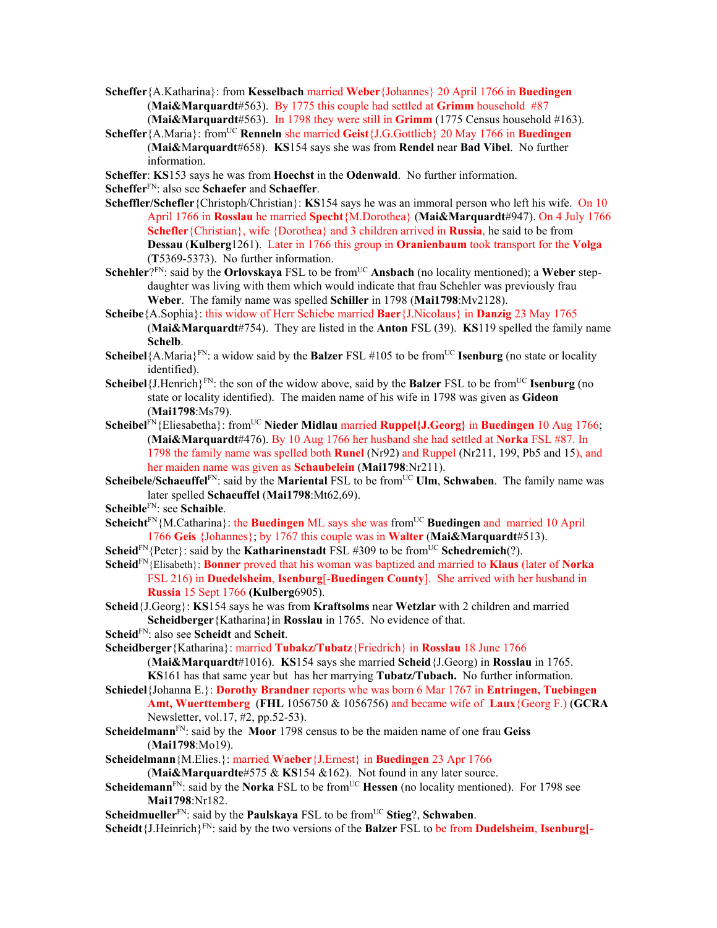- **Scheffer**{A.Katharina}: from **Kesselbach** married **Weber**{Johannes} 20 April 1766 in **Buedingen**  (**Mai&Marquardt**#563). By 1775 this couple had settled at **Grimm** household #87 (**Mai&Marquardt**#563). In 1798 they were still in **Grimm** (1775 Census household #163).
- **Scheffer**{A.Maria}: fromUC **Renneln** she married **Geist**{J.G.Gottlieb} 20 May 1766 in **Buedingen** (**Mai&**M**arquardt**#658). **KS**154 says she was from **Rendel** near **Bad Vibel**. No further information.
- **Scheffer**: **KS**153 says he was from **Hoechst** in the **Odenwald**. No further information.

**Scheffer**FN: also see **Schaefer** and **Schaeffer**.

- **Scheffler/Schefler**{Christoph/Christian}: **KS**154 says he was an immoral person who left his wife. On 10 April 1766 in **Rosslau** he married **Specht**{M.Dorothea} (**Mai&Marquardt**#947). On 4 July 1766 **Schefler**{Christian}, wife {Dorothea} and 3 children arrived in **Russia**, he said to be from **Dessau** (**Kulberg**1261). Later in 1766 this group in **Oranienbaum** took transport for the **Volga**  (**T**5369-5373). No further information.
- **Schehler**?<sup>FN</sup>: said by the **Orlovskaya** FSL to be from<sup>UC</sup> **Ansbach** (no locality mentioned); a Weber stepdaughter was living with them which would indicate that frau Schehler was previously frau **Weber**. The family name was spelled **Schiller** in 1798 (**Mai1798**:Mv2128).
- **Scheibe**{A.Sophia}: this widow of Herr Schiebe married **Baer**{J.Nicolaus} in **Danzig** 23 May 1765 (**Mai&Marquardt**#754). They are listed in the **Anton** FSL (39). **KS**119 spelled the family name **Schelb**.
- **Scheibel** ${A.Maria}^{\text{FN}}$ : a widow said by the **Balzer** FSL #105 to be from<sup>UC</sup> **Isenburg** (no state or locality identified).
- **Scheibel**{ $J.Henrich$ <sup>*FN*</sup>: the son of the widow above, said by the **Balzer** *FSL* to be from<sup>UC</sup> **Isenburg** (no state or locality identified). The maiden name of his wife in 1798 was given as **Gideon** (**Mai1798**:Ms79).
- **Scheibel**FN{Eliesabetha}: fromUC **Nieder Midlau** married **Ruppel{J.Georg}** in **Buedingen** 10 Aug 1766; (**Mai&Marquardt**#476). By 10 Aug 1766 her husband she had settled at **Norka** FSL #87. In 1798 the family name was spelled both **Runel** (Nr92) and Ruppel (Nr211, 199, Pb5 and 15), and her maiden name was given as **Schaubelein** (**Mai1798**:Nr211).
- **Scheibele/Schaeuffel**<sup>FN</sup>: said by the **Mariental** FSL to be from<sup>UC</sup> **Ulm, Schwaben**. The family name was later spelled **Schaeuffel** (**Mai1798**:Mt62,69).
- **Scheible**FN: see **Schaible**.
- **Scheicht**<sup>FN</sup>{M.Catharina}: the **Buedingen** ML says she was from<sup>UC</sup> Buedingen and married 10 April 1766 **Geis** {Johannes}; by 1767 this couple was in **Walter** (**Mai&Marquardt**#513).
- **Scheid**<sup>FN</sup>{Peter}: said by the **Katharinenstadt** FSL #309 to be from<sup>UC</sup> **Schedremich**(?).
- **Scheid**FN{Elisabeth}: **Bonner** proved that his woman was baptized and married to **Klaus** (later of **Norka**  FSL 216) in **Duedelsheim**, **Isenburg**[-**Buedingen County**]. She arrived with her husband in **Russia** 15 Sept 1766 **(Kulberg**6905).

**Scheid**{J.Georg}: **KS**154 says he was from **Kraftsolms** near **Wetzlar** with 2 children and married **Scheidberger**{Katharina}in **Rosslau** in 1765. No evidence of that.

**Scheid**FN: also see **Scheidt** and **Scheit**.

**Scheidberger**{Katharina}: married **Tubakz/Tubatz**{Friedrich} in **Rosslau** 18 June 1766 (**Mai&Marquardt**#1016). **KS**154 says she married **Scheid**{J.Georg) in **Rosslau** in 1765. **KS**161 has that same year but has her marrying **Tubatz/Tubach.** No further information.

- **Schiedel**{Johanna E.}: **Dorothy Brandner** reports whe was born 6 Mar 1767 in **Entringen, Tuebingen Amt, Wuerttemberg** (**FHL** 1056750 & 1056756) and became wife of **Laux**{Georg F.) (**GCRA** Newsletter, vol.17, #2, pp.52-53).
- **Scheidelmann**FN: said by the **Moor** 1798 census to be the maiden name of one frau **Geiss** (**Mai1798**:Mo19).
- **Scheidelmann**{M.Elies.}: married **Waeber**{J.Ernest} in **Buedingen** 23 Apr 1766

(**Mai&Marquardte**#575 & **KS**154 &162). Not found in any later source.

- **Scheidemann**<sup>FN</sup>: said by the **Norka** FSL to be from<sup>UC</sup> **Hessen** (no locality mentioned). For 1798 see **Mai1798**:Nr182.
- **Scheidmueller**<sup>FN</sup>: said by the **Paulskaya** FSL to be from<sup>UC</sup> **Stieg**?, **Schwaben**.

**Scheidt**{J.Heinrich}FN: said by the two versions of the **Balzer** FSL to be from **Dudelsheim**, **Isenburg[-**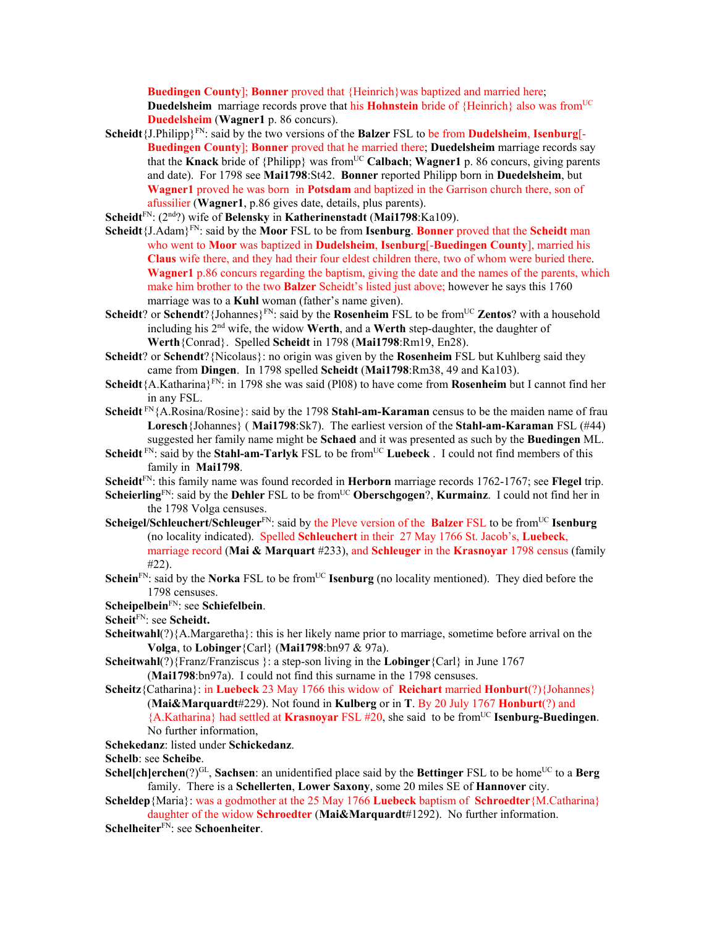**Buedingen County**]; **Bonner** proved that {Heinrich}was baptized and married here; **Duedelsheim** marriage records prove that his **Hohnstein** bride of {Heinrich} also was from<sup>UC</sup> **Duedelsheim** (**Wagner1** p. 86 concurs).

**Scheidt**{J.Philipp}FN: said by the two versions of the **Balzer** FSL to be from **Dudelsheim**, **Isenburg**[- **Buedingen County**]; **Bonner** proved that he married there; **Duedelsheim** marriage records say that the **Knack** bride of {Philipp} was from<sup>UC</sup> **Calbach**; **Wagner1** p. 86 concurs, giving parents and date). For 1798 see **Mai1798**:St42. **Bonner** reported Philipp born in **Duedelsheim**, but **Wagner1** proved he was born in **Potsdam** and baptized in the Garrison church there, son of afussilier (**Wagner1**, p.86 gives date, details, plus parents).

**Scheidt**FN: (2nd?) wife of **Belensky** in **Katherinenstadt** (**Mai1798**:Ka109).

- **Scheidt**{J.Adam}FN: said by the **Moor** FSL to be from **Isenburg**. **Bonner** proved that the **Scheidt** man who went to **Moor** was baptized in **Dudelsheim**, **Isenburg**[-**Buedingen County**], married his **Claus** wife there, and they had their four eldest children there, two of whom were buried there. **Wagner1** p.86 concurs regarding the baptism, giving the date and the names of the parents, which make him brother to the two **Balzer** Scheidt's listed just above; however he says this 1760 marriage was to a **Kuhl** woman (father's name given).
- **Scheidt**? or **Schendt**? {Johannes}<sup>FN</sup>: said by the **Rosenheim** FSL to be from<sup>UC</sup> **Zentos**? with a household including his 2nd wife, the widow **Werth**, and a **Werth** step-daughter, the daughter of **Werth**{Conrad}. Spelled **Scheidt** in 1798 (**Mai1798**:Rm19, En28).
- **Scheidt**? or **Schendt**?{Nicolaus}: no origin was given by the **Rosenheim** FSL but Kuhlberg said they came from **Dingen**. In 1798 spelled **Scheidt** (**Mai1798**:Rm38, 49 and Ka103).
- **Scheidt**{A.Katharina}FN: in 1798 she was said (Pl08) to have come from **Rosenheim** but I cannot find her in any FSL.
- **Scheidt** FN{A.Rosina/Rosine}: said by the 1798 **Stahl-am-Karaman** census to be the maiden name of frau **Loresch**{Johannes} ( **Mai1798**:Sk7). The earliest version of the **Stahl-am-Karaman** FSL (#44) suggested her family name might be **Schaed** and it was presented as such by the **Buedingen** ML.
- **Scheidt**  $F_N$ : said by the **Stahl-am-Tarlyk** FSL to be from<sup>UC</sup> **Luebeck**. I could not find members of this family in **Mai1798**.
- **Scheidt**FN: this family name was found recorded in **Herborn** marriage records 1762-1767; see **Flegel** trip.
- **Scheierling**FN: said by the **Dehler** FSL to be from<sup>UC</sup> **Oberschgogen**?, **Kurmainz**. I could not find her in the 1798 Volga censuses.
- **Scheigel/Schleuchert/Schleuger**<sup>FN</sup>: said by the Pleve version of the **Balzer** FSL to be from<sup>UC</sup> **Isenburg** (no locality indicated). Spelled **Schleuchert** in their 27 May 1766 St. Jacob's, **Luebeck**, marriage record (**Mai & Marquart** #233), and **Schleuger** in the **Krasnoyar** 1798 census (family #22).
- **Schein**FN: said by the **Norka** FSL to be from<sup>UC</sup> **Isenburg** (no locality mentioned). They died before the 1798 censuses.

## **Scheipelbein**FN: see **Schiefelbein**.

- **Scheit**FN: see **Scheidt.**
- **Scheitwahl**(?){A.Margaretha}: this is her likely name prior to marriage, sometime before arrival on the **Volga**, to **Lobinger**{Carl} (**Mai1798**:bn97 & 97a).
- **Scheitwahl**(?){Franz/Franziscus }: a step-son living in the **Lobinger**{Carl} in June 1767 (**Mai1798**:bn97a). I could not find this surname in the 1798 censuses.
- **Scheitz**{Catharina}: in **Luebeck** 23 May 1766 this widow of **Reichart** married **Honburt**(?){Johannes} (**Mai&Marquardt**#229). Not found in **Kulberg** or in **T**. By 20 July 1767 **Honburt**(?) and {A.Katharina} had settled at **Krasnoyar** FSL #20, she said to be fromUC **Isenburg-Buedingen**. No further information,
- **Schekedanz**: listed under **Schickedanz**.

**Schelb**: see **Scheibe**.

- **Schel[ch]erchen** $(?)^{GL}$ , **Sachsen**: an unidentified place said by the **Bettinger** FSL to be home<sup>UC</sup> to a **Berg** family. There is a **Schellerten**, **Lower Saxony**, some 20 miles SE of **Hannover** city.
- **Scheldep**{Maria}: was a godmother at the 25 May 1766 **Luebeck** baptism of **Schroedter**{M.Catharina} daughter of the widow **Schroedter** (**Mai&Marquardt**#1292). No further information.
- **Schelheiter**FN: see **Schoenheiter**.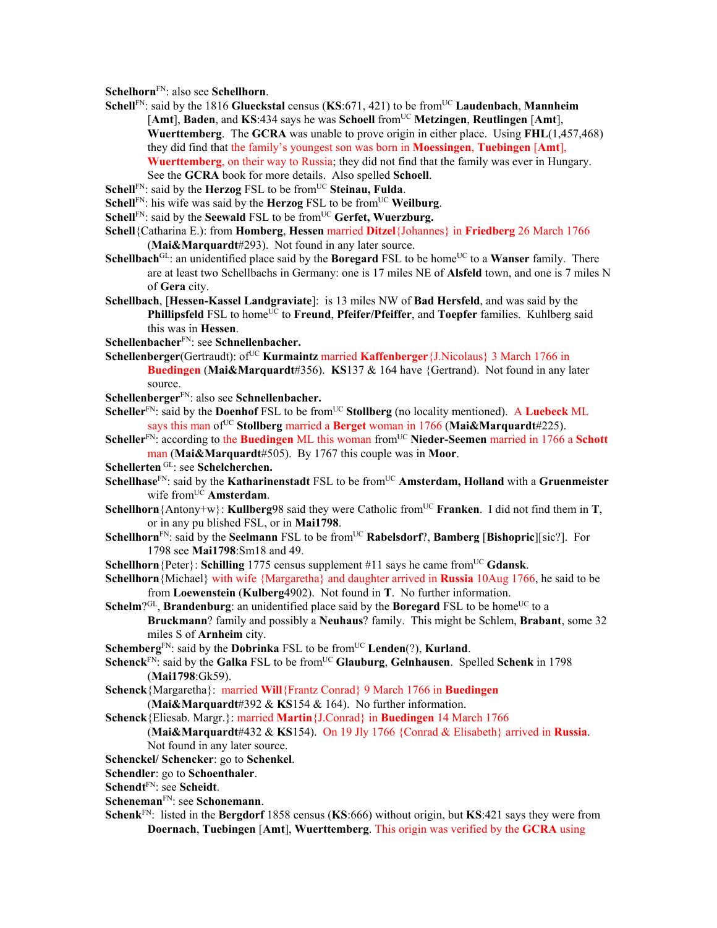**Schelhorn**FN: also see **Schellhorn**.

- **Schell**<sup>FN</sup>: said by the 1816 **Glueckstal** census (**KS**:671, 421) to be from<sup>UC</sup> **Laudenbach**, **Mannheim** [Amt], **Baden**, and **KS**:434 says he was **Schoell** from<sup>UC</sup> **Metzingen**, **Reutlingen** [Amt], **Wuerttemberg**. The **GCRA** was unable to prove origin in either place. Using **FHL**(1,457,468) they did find that the family's youngest son was born in **Moessingen**, **Tuebingen** [**Amt**], **Wuerttemberg**, on their way to Russia; they did not find that the family was ever in Hungary. See the **GCRA** book for more details.Also spelled **Schoell**.
- **Schell**FN: said by the **Herzog** FSL to be from<sup>UC</sup> Steinau, Fulda.
- **Schell**FN: his wife was said by the **Herzog** FSL to be from<sup>UC</sup> **Weilburg**.
- **Schell**<sup>FN</sup>: said by the **Seewald** FSL to be from<sup>UC</sup> **Gerfet, Wuerzburg.**
- **Schell**{Catharina E.): from **Homberg**, **Hessen** married **Ditzel**{Johannes} in **Friedberg** 26 March 1766 (**Mai&Marquardt**#293). Not found in any later source.
- **Schellbach**<sup>GL</sup>: an unidentified place said by the **Boregard** FSL to be home<sup>UC</sup> to a **Wanser** family. There are at least two Schellbachs in Germany: one is 17 miles NE of **Alsfeld** town, and one is 7 miles N of **Gera** city.
- **Schellbach**, [**Hessen-Kassel Landgraviate**]: is 13 miles NW of **Bad Hersfeld**, and was said by the **Phillipsfeld** FSL to home<sup>UC</sup> to **Freund**, **Pfeifer/Pfeiffer**, and **Toepfer** families. Kuhlberg said this was in **Hessen**.
- **Schellenbacher**FN: see **Schnellenbacher.**
- **Schellenberger**(Gertraudt): of<sup>UC</sup> **Kurmaintz married Kaffenberger** {J.Nicolaus} 3 March 1766 in **Buedingen** (**Mai&Marquardt**#356). **KS**137 & 164 have {Gertrand). Not found in any later source.
- **Schellenberger**FN: also see **Schnellenbacher.**
- **Scheller**<sup>FN</sup>: said by the **Doenhof** FSL to be from<sup>UC</sup> **Stollberg** (no locality mentioned). A **Luebeck** ML says this man ofUC **Stollberg** married a **Berget** woman in 1766 (**Mai&Marquardt**#225).
- **Scheller<sup>FN</sup>: according to the Buedingen** ML this woman from<sup>UC</sup> Nieder-Seemen married in 1766 a Schott man (**Mai&Marquardt**#505). By 1767 this couple was in **Moor**.
- **Schellerten** GL: see **Schelcherchen.**
- **Schellhase**<sup>FN</sup>: said by the **Katharinenstadt** FSL to be from<sup>UC</sup> **Amsterdam, Holland** with a **Gruenmeister** wife from<sup>UC</sup> Amsterdam.
- **Schellhorn**{Antony+w}: **Kullberg**98 said they were Catholic from<sup>UC</sup> **Franken**. I did not find them in **T**, or in any pu blished FSL, or in **Mai1798**.
- **Schellhorn**<sup>FN</sup>: said by the **Seelmann** FSL to be from<sup>UC</sup> **Rabelsdorf**?, **Bamberg** [Bishopric][sic?]. For 1798 see **Mai1798**:Sm18 and 49.

**Schellhorn** {Peter}: **Schilling** 1775 census supplement #11 says he came from<sup>UC</sup> **Gdansk**.

- **Schellhorn**{Michael} with wife {Margaretha} and daughter arrived in **Russia** 10Aug 1766, he said to be from **Loewenstein** (**Kulberg**4902). Not found in **T**. No further information.
- **Schelm**?GL, **Brandenburg**: an unidentified place said by the **Boregard** FSL to be home<sup>UC</sup> to a **Bruckmann**? family and possibly a **Neuhaus**? family. This might be Schlem, **Brabant**, some 32 miles S of **Arnheim** city.
- **Schemberg**<sup>FN</sup>: said by the **Dobrinka** FSL to be from<sup>UC</sup> **Lenden**(?), **Kurland**.
- Schenck<sup>FN</sup>: said by the Galka FSL to be from<sup>UC</sup> Glauburg, Gelnhausen. Spelled Schenk in 1798 (**Mai1798**:Gk59).
- **Schenck**{Margaretha}: married **Will**{Frantz Conrad} 9 March 1766 in **Buedingen**  (**Mai&Marquardt**#392 & **KS**154 & 164). No further information.
- **Schenck**{Eliesab. Margr.}: married **Martin**{J.Conrad} in **Buedingen** 14 March 1766

## (**Mai&Marquardt**#432 & **KS**154). On 19 Jly 1766 {Conrad & Elisabeth} arrived in **Russia**. Not found in any later source.

- **Schenckel/ Schencker**: go to **Schenkel**.
- **Schendler**: go to **Schoenthaler**.
- **Schendt**FN: see **Scheidt**.
- **Scheneman**FN: see **Schonemann**.
- **Schenk**FN: listed in the **Bergdorf** 1858 census (**KS**:666) without origin, but **KS**:421 says they were from **Doernach**, **Tuebingen** [**Amt**], **Wuerttemberg**. This origin was verified by the **GCRA** using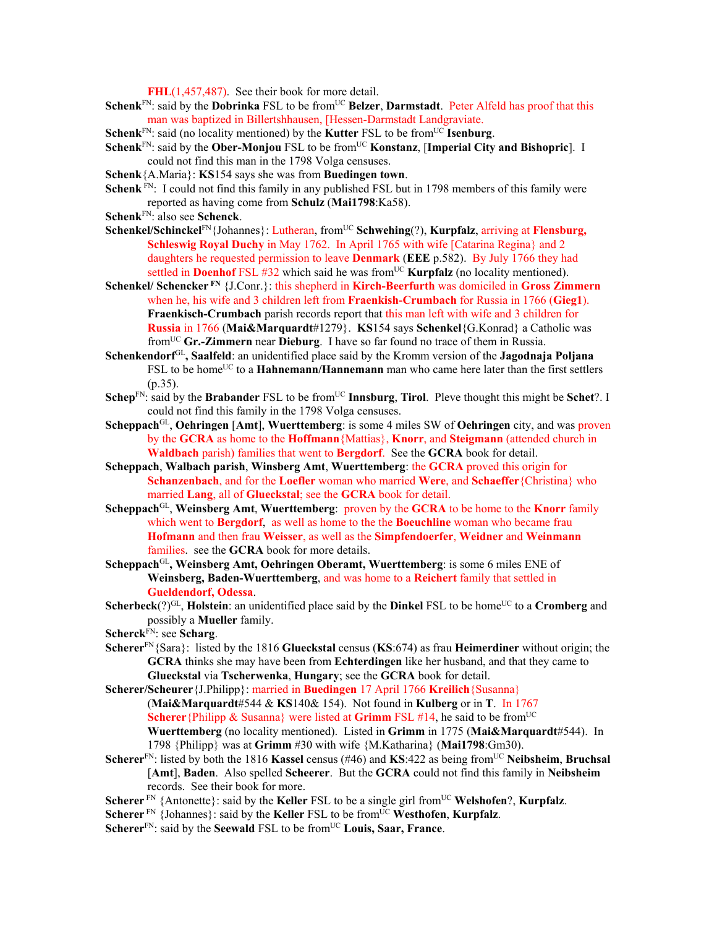**FHL**(1,457,487). See their book for more detail.

- **Schenk**<sup>FN</sup>: said by the **Dobrinka** FSL to be from<sup>UC</sup> Belzer, **Darmstadt**. Peter Alfeld has proof that this man was baptized in Billertshhausen, [Hessen-Darmstadt Landgraviate.
- **Schenk**<sup>FN</sup>: said (no locality mentioned) by the **Kutter** FSL to be from<sup>UC</sup> **Isenburg**.
- **Schenk**<sup>FN</sup>: said by the **Ober-Monjou** FSL to be from<sup>UC</sup> **Konstanz**, [Imperial City and Bishopric]. I could not find this man in the 1798 Volga censuses.
- **Schenk**{A.Maria}: **KS**154 says she was from **Buedingen town**.
- **Schenk** F<sub>N:</sub> I could not find this family in any published FSL but in 1798 members of this family were reported as having come from **Schulz** (**Mai1798**:Ka58).
- **Schenk**FN: also see **Schenck**.
- **Schenkel/Schinckel**FN{Johannes}: Lutheran, from<sup>UC</sup> **Schwehing**(?), **Kurpfalz**, arriving at **Flensburg**, **Schleswig Royal Duchy** in May 1762. In April 1765 with wife [Catarina Regina} and 2 daughters he requested permission to leave **Denmark** (**EEE** p.582). By July 1766 they had settled in **Doenhof** FSL #32 which said he was from<sup>UC</sup> **Kurpfalz** (no locality mentioned).
- **Schenkel/ Schencker FN** {J.Conr.}: this shepherd in **Kirch-Beerfurth** was domiciled in **Gross Zimmern** when he, his wife and 3 children left from **Fraenkish-Crumbach** for Russia in 1766 (**Gieg1**). **Fraenkisch-Crumbach** parish records report that this man left with wife and 3 children for **Russia** in 1766 (**Mai&Marquardt**#1279}. **KS**154 says **Schenkel**{G.Konrad} a Catholic was fromUC **Gr.-Zimmern** near **Dieburg**. I have so far found no trace of them in Russia.
- **Schenkendorf**GL**, Saalfeld**: an unidentified place said by the Kromm version of the **Jagodnaja Poljana** FSL to be home<sup>UC</sup> to a **Hahnemann/Hannemann** man who came here later than the first settlers  $(p.35)$ .
- **Schep**<sup>FN</sup>: said by the **Brabander** FSL to be from<sup>UC</sup> **Innsburg**, **Tirol**. Pleve thought this might be **Schet**?. I could not find this family in the 1798 Volga censuses.
- **Scheppach**GL, **Oehringen** [**Amt**], **Wuerttemberg**: is some 4 miles SW of **Oehringen** city, and was proven by the **GCRA** as home to the **Hoffmann**{Mattias}, **Knorr**, and **Steigmann** (attended church in **Waldbach** parish) families that went to **Bergdorf**. See the **GCRA** book for detail.
- **Scheppach**, **Walbach parish**, **Winsberg Amt**, **Wuerttemberg**: the **GCRA** proved this origin for **Schanzenbach**, and for the **Loefler** woman who married **Were**, and **Schaeffer**{Christina} who married **Lang**, all of **Glueckstal**; see the **GCRA** book for detail.
- **Scheppach**GL, **Weinsberg Amt**, **Wuerttemberg**: proven by the **GCRA** to be home to the **Knorr** family which went to **Bergdorf**, as well as home to the the **Boeuchline** woman who became frau **Hofmann** and then frau **Weisser**, as well as the **Simpfendoerfer**, **Weidner** and **Weinmann**  families. see the **GCRA** book for more details.
- **Scheppach**GL**, Weinsberg Amt, Oehringen Oberamt, Wuerttemberg**: is some 6 miles ENE of **Weinsberg, Baden-Wuerttemberg**, and was home to a **Reichert** family that settled in **Gueldendorf, Odessa**.
- **Scherbeck**(?)<sup>GL</sup>, **Holstein**: an unidentified place said by the **Dinkel** FSL to be home<sup>UC</sup> to a **Cromberg** and possibly a **Mueller** family.
- **Scherck**FN: see **Scharg**.
- **Scherer**FN{Sara}: listed by the 1816 **Glueckstal** census (**KS**:674) as frau **Heimerdiner** without origin; the **GCRA** thinks she may have been from **Echterdingen** like her husband, and that they came to **Glueckstal** via **Tscherwenka**, **Hungary**; see the **GCRA** book for detail.
- **Scherer/Scheurer**{J.Philipp}: married in **Buedingen** 17 April 1766 **Kreilich**{Susanna} (**Mai&Marquardt**#544 & **KS**140& 154). Not found in **Kulberg** or in **T**. In 1767 **Scherer**{Philipp & Susanna} were listed at **Grimm** FSL #14, he said to be from<sup>UC</sup> **Wuerttemberg** (no locality mentioned). Listed in **Grimm** in 1775 (**Mai&Marquardt**#544). In 1798 {Philipp} was at **Grimm** #30 with wife {M.Katharina} (**Mai1798**:Gm30).
- **Scherer**FN: listed by both the 1816 **Kassel** census (#46) and **KS**:422 as being fromUC **Neibsheim**, **Bruchsal**  [**Amt**], **Baden**. Also spelled **Scheerer**. But the **GCRA** could not find this family in **Neibsheim** records. See their book for more.
- **Scherer**<sup>FN</sup> {Antonette}: said by the **Keller** FSL to be a single girl from<sup>UC</sup> **Welshofen**?, **Kurpfalz**.
- **Scherer**<sup>FN</sup> {Johannes}: said by the **Keller** FSL to be from<sup>UC</sup> **Westhofen**, **Kurpfalz**.
- **Scherer**<sup>FN</sup>: said by the **Seewald** FSL to be from<sup>UC</sup> Louis, Saar, France.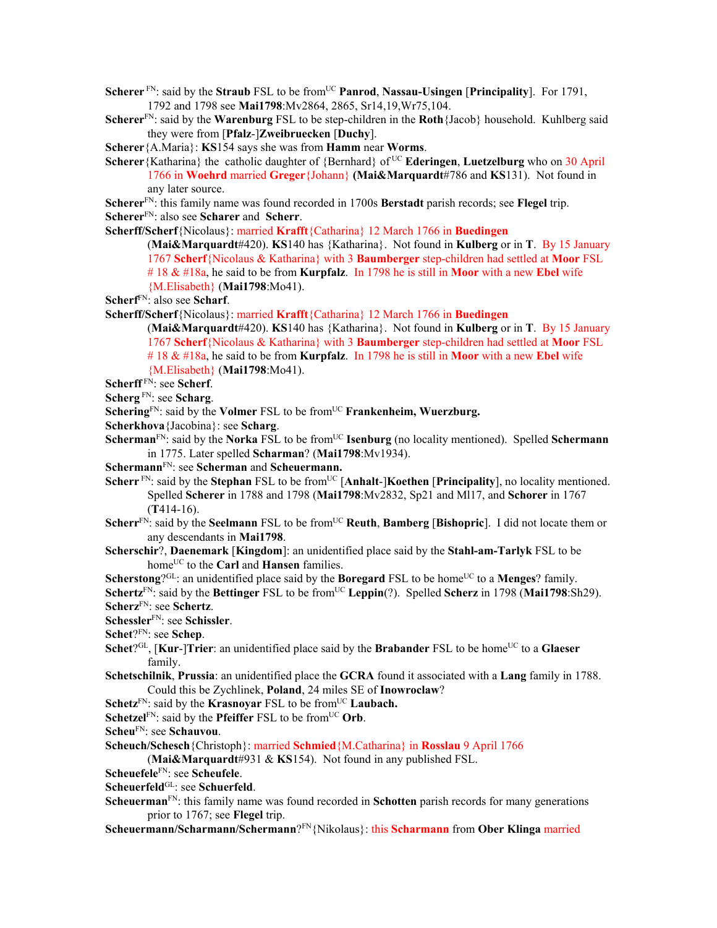**Scherer**<sup>FN</sup>: said by the **Straub** FSL to be from<sup>UC</sup> **Panrod**, **Nassau-Usingen** [**Principality**]. For 1791, 1792 and 1798 see **Mai1798**:Mv2864, 2865, Sr14,19,Wr75,104.

**Scherer**FN: said by the **Warenburg** FSL to be step-children in the **Roth**{Jacob} household. Kuhlberg said they were from [**Pfalz**-]**Zweibruecken** [**Duchy**].

**Scherer**{A.Maria}: **KS**154 says she was from **Hamm** near **Worms**.

**Scherer**{Katharina} the catholic daughter of {Bernhard} of UC **Ederingen**, **Luetzelburg** who on 30 April 1766 in **Woehrd** married **Greger**{Johann} **(Mai&Marquardt**#786 and **KS**131). Not found in any later source.

**Scherer**FN: this family name was found recorded in 1700s **Berstadt** parish records; see **Flegel** trip. **Scherer**FN: also see **Scharer** and **Scherr**.

**Scherff/Scherf**{Nicolaus}: married **Krafft**{Catharina} 12 March 1766 in **Buedingen** 

(**Mai&Marquardt**#420). **KS**140 has {Katharina}. Not found in **Kulberg** or in **T**. By 15 January 1767 **Scherf**{Nicolaus & Katharina} with 3 **Baumberger** step-children had settled at **Moor** FSL # 18 & #18a, he said to be from **Kurpfalz**. In 1798 he is still in **Moor** with a new **Ebel** wife {M.Elisabeth} (**Mai1798**:Mo41).

**Scherff/Scherf**{Nicolaus}: married **Krafft**{Catharina} 12 March 1766 in **Buedingen** 

(**Mai&Marquardt**#420). **KS**140 has {Katharina}. Not found in **Kulberg** or in **T**. By 15 January 1767 **Scherf**{Nicolaus & Katharina} with 3 **Baumberger** step-children had settled at **Moor** FSL # 18 & #18a, he said to be from **Kurpfalz**. In 1798 he is still in **Moor** with a new **Ebel** wife {M.Elisabeth} (**Mai1798**:Mo41).

**Scherff** FN: see **Scherf**.

**Scherg** FN: see **Scharg**.

- Schering<sup>FN</sup>: said by the **Volmer** FSL to be from<sup>UC</sup> **Frankenheim**, **Wuerzburg.**
- **Scherkhova**{Jacobina}: see **Scharg**.
- **Scherman**<sup>FN</sup>: said by the **Norka** FSL to be from<sup>UC</sup> **Isenburg** (no locality mentioned). Spelled **Schermann** in 1775. Later spelled **Scharman**? (**Mai1798**:Mv1934).
- **Schermann**FN: see **Scherman** and **Scheuermann.**
- **Scherr** FN: said by the **Stephan** FSL to be from<sup>UC</sup> [Anhalt-]**Koethen** [Principality], no locality mentioned. Spelled **Scherer** in 1788 and 1798 (**Mai1798**:Mv2832, Sp21 and Ml17, and **Schorer** in 1767 (**T**414-16).
- **Scherr**<sup>FN</sup>: said by the **Seelmann** FSL to be from<sup>UC</sup> **Reuth**, **Bamberg** [Bishopric]. I did not locate them or any descendants in **Mai1798**.
- **Scherschir**?, **Daenemark** [**Kingdom**]: an unidentified place said by the **Stahl-am-Tarlyk** FSL to be home<sup>UC</sup> to the **Carl** and **Hansen** families.
- **Scherstong**?<sup>GL</sup>: an unidentified place said by the **Boregard** FSL to be home<sup>UC</sup> to a **Menges**? family.
- **Schertz**<sup>FN</sup>: said by the **Bettinger** FSL to be from<sup>UC</sup> **Leppin**(?). Spelled **Scherz** in 1798 (**Mai1798**:Sh29). **Scherz**FN: see **Schertz**.
- **Schessler**FN: see **Schissler**.
- **Schet**?FN: see **Schep**.
- Schet?<sup>GL</sup>, [Kur-]Trier: an unidentified place said by the Brabander FSL to be home<sup>UC</sup> to a Glaeser family.
- **Schetschilnik**, **Prussia**: an unidentified place the **GCRA** found it associated with a **Lang** family in 1788. Could this be Zychlinek, **Poland**, 24 miles SE of **Inowroclaw**?
- **Schetz**<sup>FN</sup>: said by the **Krasnovar** FSL to be from<sup>UC</sup> **Laubach.**
- **Schetzel** $F_N$ : said by the **Pfeiffer** FSL to be from<sup>UC</sup> Orb.
- **Scheu**FN: see **Schauvou**.
- **Scheuch/Schesch**{Christoph}: married **Schmied**{M.Catharina} in **Rosslau** 9 April 1766

(**Mai&Marquardt**#931 & **KS**154). Not found in any published FSL.

**Scheuefele**FN: see **Scheufele**.

- **Scheuerfeld**GL: see **Schuerfeld**.
- **Scheuerman**FN: this family name was found recorded in **Schotten** parish records for many generations prior to 1767; see **Flegel** trip.
- **Scheuermann/Scharmann/Schermann**?FN{Nikolaus}: this **Scharmann** from **Ober Klinga** married

**Scherf**FN: also see **Scharf**.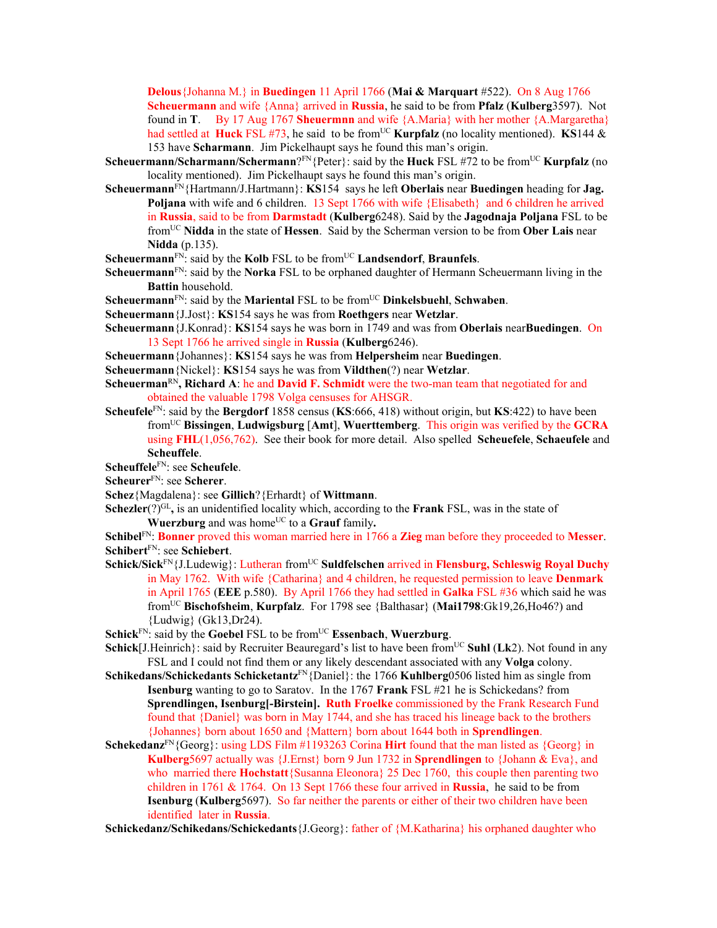**Delous**{Johanna M.} in **Buedingen** 11 April 1766 (**Mai & Marquart** #522). On 8 Aug 1766 **Scheuermann** and wife {Anna} arrived in **Russia**, he said to be from **Pfalz** (**Kulberg**3597). Not found in **T**. By 17 Aug 1767 **Sheuermnn** and wife {A.Maria} with her mother {A.Margaretha} had settled at **Huck** FSL #73, he said to be from<sup>UC</sup> **Kurpfalz** (no locality mentioned). **KS**144 & 153 have **Scharmann**. Jim Pickelhaupt says he found this man's origin.

- **Scheuermann/Scharmann/Schermann**?<sup>FN</sup>{Peter}: said by the **Huck** FSL #72 to be from<sup>UC</sup> **Kurpfalz** (no locality mentioned). Jim Pickelhaupt says he found this man's origin.
- **Scheuermann**FN{Hartmann/J.Hartmann}: **KS**154 says he left **Oberlais** near **Buedingen** heading for **Jag. Poljana** with wife and 6 children. 13 Sept 1766 with wife {Elisabeth} and 6 children he arrived in **Russia**, said to be from **Darmstadt** (**Kulberg**6248). Said by the **Jagodnaja Poljana** FSL to be fromUC **Nidda** in the state of **Hessen**. Said by the Scherman version to be from **Ober Lais** near **Nidda** (p.135).
- **Scheuermann**<sup>FN</sup>: said by the **Kolb** FSL to be from<sup>UC</sup> **Landsendorf**, **Braunfels**.
- **Scheuermann**<sup>FN</sup>: said by the **Norka** FSL to be orphaned daughter of Hermann Scheuermann living in the **Battin** household.
- **Scheuermann**<sup>FN</sup>: said by the **Mariental** FSL to be from<sup>UC</sup> **Dinkelsbuehl**, **Schwaben**.
- **Scheuermann**{J.Jost}: **KS**154 says he was from **Roethgers** near **Wetzlar**.
- **Scheuermann**{J.Konrad}: **KS**154 says he was born in 1749 and was from **Oberlais** near**Buedingen**. On 13 Sept 1766 he arrived single in **Russia** (**Kulberg**6246).
- **Scheuermann**{Johannes}: **KS**154 says he was from **Helpersheim** near **Buedingen**.
- **Scheuermann**{Nickel}: **KS**154 says he was from **Vildthen**(?) near **Wetzlar**.
- **Scheuerman**RN**, Richard A**: he and **David F. Schmidt** were the two-man team that negotiated for and obtained the valuable 1798 Volga censuses for AHSGR.
- **Scheufele**<sup>FN</sup>: said by the **Bergdorf** 1858 census (**KS**:666, 418) without origin, but **KS**:422) to have been fromUC **Bissingen**, **Ludwigsburg** [**Amt**], **Wuerttemberg**. This origin was verified by the **GCRA** using **FHL**(1,056,762). See their book for more detail. Also spelled **Scheuefele**, **Schaeufele** and **Scheuffele**.
- **Scheuffele**FN: see **Scheufele**.
- **Scheurer**FN: see **Scherer**.
- **Schez**{Magdalena}: see **Gillich**?{Erhardt} of **Wittmann**.
- **Schezler**(?)<sup>GL</sup>, is an unidentified locality which, according to the **Frank** FSL, was in the state of **Wuerzburg** and was home<sup>UC</sup> to a **Grauf** family.

**Schibel**FN: **Bonner** proved this woman married here in 1766 a **Zieg** man before they proceeded to **Messer**. **Schibert**FN: see **Schiebert**.

- **Schick/Sick**FN{J.Ludewig}: Lutheran fromUC **Suldfelschen** arrived in **Flensburg, Schleswig Royal Duchy** in May 1762. With wife {Catharina} and 4 children, he requested permission to leave **Denmark** in April 1765 (**EEE** p.580). By April 1766 they had settled in **Galka** FSL #36 which said he was fromUC **Bischofsheim**, **Kurpfalz**. For 1798 see {Balthasar} (**Mai1798**:Gk19,26,Ho46?) and {Ludwig} (Gk13,Dr24).
- **Schick**<sup>FN</sup>: said by the **Goebel FSL** to be from<sup>UC</sup> **Essenbach**, **Wuerzburg**.
- **Schick**[J.Heinrich}: said by Recruiter Beauregard's list to have been from<sup>UC</sup> **Suhl (Lk2)**. Not found in any FSL and I could not find them or any likely descendant associated with any **Volga** colony.
- **Schikedans/Schickedants Schicketantz**FN{Daniel}: the 1766 **Kuhlberg**0506 listed him as single from **Isenburg** wanting to go to Saratov. In the 1767 **Frank** FSL #21 he is Schickedans? from **Sprendlingen, Isenburg[-Birstein]. Ruth Froelke** commissioned by the Frank Research Fund found that {Daniel} was born in May 1744, and she has traced his lineage back to the brothers {Johannes} born about 1650 and {Mattern} born about 1644 both in **Sprendlingen**.
- **Schekedanz**FN{Georg}: using LDS Film #1193263 Corina **Hirt** found that the man listed as {Georg} in **Kulberg**5697 actually was {J.Ernst} born 9 Jun 1732 in **Sprendlingen** to {Johann & Eva}, and who married there **Hochstatt** {Susanna Eleonora} 25 Dec 1760, this couple then parenting two children in 1761 & 1764. On 13 Sept 1766 these four arrived in **Russia**, he said to be from **Isenburg** (**Kulberg**5697). So far neither the parents or either of their two children have been identified later in **Russia**.

**Schickedanz/Schikedans/Schickedants**{J.Georg}: father of {M.Katharina} his orphaned daughter who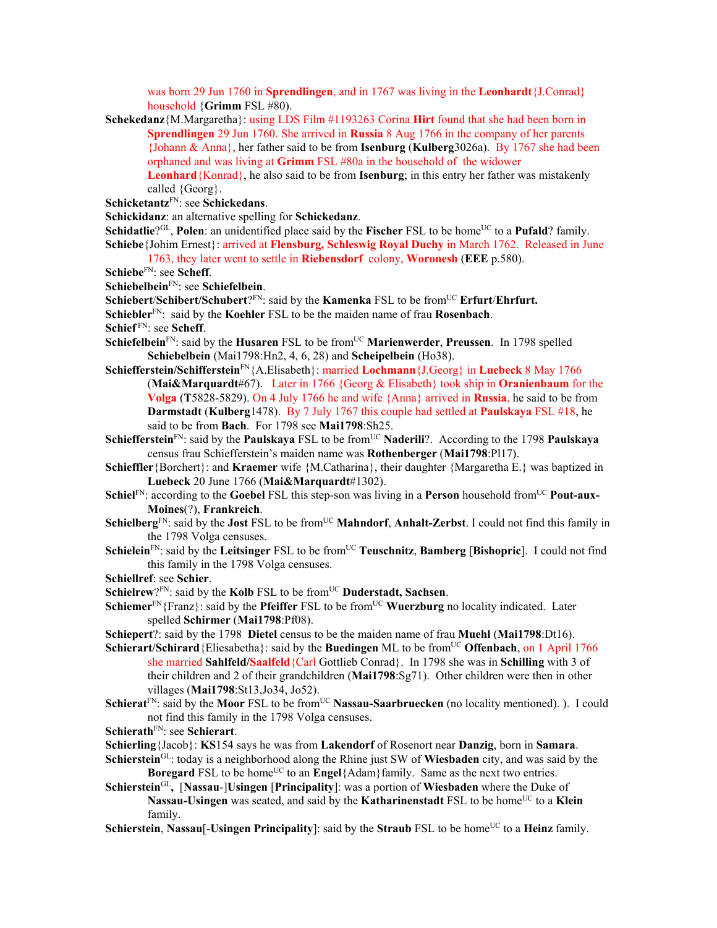was born 29 Jun 1760 in **Sprendlingen**, and in 1767 was living in the **Leonhardt**{J.Conrad} household {**Grimm** FSL #80).

- **Schekedanz**{M.Margaretha}: using LDS Film #1193263 Corina **Hirt** found that she had been born in **Sprendlingen** 29 Jun 1760. She arrived in **Russia** 8 Aug 1766 in the company of her parents {Johann & Anna}, her father said to be from **Isenburg** (**Kulberg**3026a). By 1767 she had been orphaned and was living at **Grimm** FSL #80a in the household of the widower **Leonhard**{Konrad}, he also said to be from **Isenburg**; in this entry her father was mistakenly called {Georg}.
- **Schicketantz**FN: see **Schickedans**.
- **Schickidanz**: an alternative spelling for **Schickedanz**.

**Schidatlie**?GL, **Polen**: an unidentified place said by the **Fischer** FSL to be home<sup>UC</sup> to a **Pufald**? family. **Schiebe**{Johim Ernest}: arrived at **Flensburg, Schleswig Royal Duchy** in March 1762. Released in June 1763, they later went to settle in **Riebensdorf** colony, **Woronesh** (**EEE** p.580).

- 
- **Schiebe**FN: see **Scheff**.
- **Schiebelbein**FN: see **Schiefelbein**.
- **Schiebert/Schibert/Schubert**?FN: said by the **Kamenka** FSL to be from<sup>UC</sup> **Erfurt/Ehrfurt.**
- **Schiebler**FN: said by the **Koehler** FSL to be the maiden name of frau **Rosenbach**.

**Schief** FN: see **Scheff**.

- **Schiefelbein**<sup>FN</sup>: said by the **Husaren** FSL to be from<sup>UC</sup> **Marienwerder**, **Preussen**. In 1798 spelled **Schiebelbein** (Mai1798:Hn2, 4, 6, 28) and **Scheipelbein** (Ho38).
- **Schiefferstein/Schifferstein**FN{A.Elisabeth}: married **Lochmann**{J.Georg} in **Luebeck** 8 May 1766 (**Mai&Marquardt**#67). Later in 1766 {Georg & Elisabeth} took ship in **Oranienbaum** for the **Volga** (**T**5828-5829). On 4 July 1766 he and wife {Anna} arrived in **Russia**, he said to be from **Darmstadt** (**Kulberg**1478). By 7 July 1767 this couple had settled at **Paulskaya** FSL #18, he said to be from **Bach**. For 1798 see **Mai1798**:Sh25.
- Schiefferstein<sup>FN</sup>: said by the **Paulskaya** FSL to be from<sup>UC</sup> **Naderili**?. According to the 1798 **Paulskaya** census frau Schiefferstein's maiden name was **Rothenberger** (**Mai1798**:Pl17).
- **Schieffler**{Borchert}: and **Kraemer** wife {M.Catharina}, their daughter {Margaretha E.} was baptized in **Luebeck** 20 June 1766 (**Mai&Marquardt**#1302).
- Schiel<sup>FN</sup>: according to the Goebel FSL this step-son was living in a Person household from<sup>UC</sup> Pout-aux-**Moines**(?), **Frankreich**.
- **Schielberg**<sup>FN</sup>: said by the **Jost** FSL to be from<sup>UC</sup> **Mahndorf**, **Anhalt-Zerbst**. I could not find this family in the 1798 Volga censuses.
- **Schielein**<sup>FN</sup>: said by the Leitsinger FSL to be from<sup>UC</sup> Teuschnitz, Bamberg [Bishopric]. I could not find this family in the 1798 Volga censuses.
- **Schiellref**: see **Schier**.
- **Schielrew**?<sup>FN</sup>: said by the **Kolb** FSL to be from<sup>UC</sup> Duderstadt, Sachsen.
- **Schiemer**<sup>FN</sup>{Franz}: said by the **Pfeiffer** FSL to be from<sup>UC</sup> **Wuerzburg** no locality indicated. Later spelled **Schirmer** (**Mai1798**:Pf08).
- **Schiepert**?: said by the 1798 **Dietel** census to be the maiden name of frau **Muehl** (**Mai1798**:Dt16).
- **Schierart/Schirard** {Eliesabetha}: said by the **Buedingen** ML to be from<sup>UC</sup> **Offenbach**, on 1 April 1766 she married **Sahlfeld/Saalfeld**{Carl Gottlieb Conrad}. In 1798 she was in **Schilling** with 3 of their children and 2 of their grandchildren (**Mai1798**:Sg71). Other children were then in other villages (**Mai1798**:St13,Jo34, Jo52).
- **Schierat**<sup>FN</sup>: said by the **Moor** FSL to be from<sup>UC</sup> **Nassau-Saarbruecken** (no locality mentioned). ). I could not find this family in the 1798 Volga censuses.
- **Schierath**FN: see **Schierart**.
- **Schierling**{Jacob}: **KS**154 says he was from **Lakendorf** of Rosenort near **Danzig**, born in **Samara**.
- **Schierstein**GL: today is a neighborhood along the Rhine just SW of **Wiesbaden** city, and was said by the **Boregard** FSL to be home<sup>UC</sup> to an **Engel**{Adam}family. Same as the next two entries.
- **Schierstein**GL**,** [**Nassau**-]**Usingen** [**Principality**]: was a portion of **Wiesbaden** where the Duke of **Nassau-Usingen** was seated, and said by the **Katharinenstadt** FSL to be home<sup>UC</sup> to a **Klein** family.
- **Schierstein, Nassau**[-**Usingen Principality**]: said by the **Straub** FSL to be home<sup>UC</sup> to a **Heinz** family.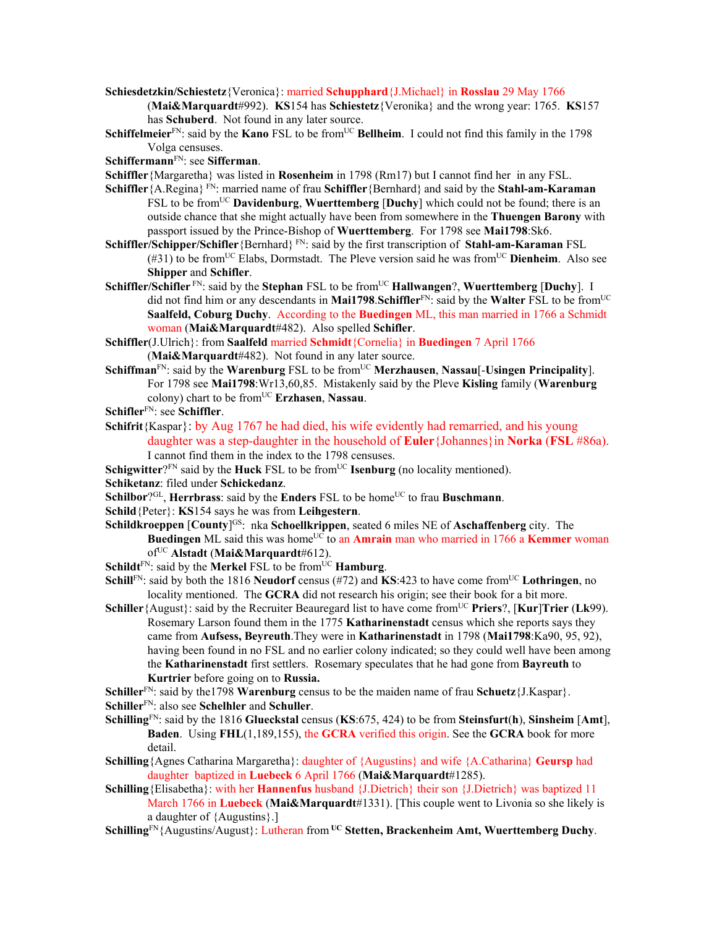**Schiesdetzkin/Schiestetz**{Veronica}: married **Schupphard**{J.Michael} in **Rosslau** 29 May 1766

(**Mai&Marquardt**#992). **KS**154 has **Schiestetz**{Veronika} and the wrong year: 1765. **KS**157 has **Schuberd**. Not found in any later source.

**Schiffelmeier**<sup>FN</sup>: said by the **Kano** FSL to be from<sup>UC</sup> **Bellheim**. I could not find this family in the 1798 Volga censuses.

## **Schiffermann**FN: see **Sifferman**.

**Schiffler**{Margaretha} was listed in **Rosenheim** in 1798 (Rm17) but I cannot find her in any FSL.

- **Schiffler**{A.Regina} FN: married name of frau **Schiffler**{Bernhard} and said by the **Stahl-am-Karaman** FSL to be fromUC **Davidenburg**, **Wuerttemberg** [**Duchy**] which could not be found; there is an outside chance that she might actually have been from somewhere in the **Thuengen Barony** with passport issued by the Prince-Bishop of **Wuerttemberg**. For 1798 see **Mai1798**:Sk6.
- **Schiffler/Schipper/Schifler**{Bernhard} FN: said by the first transcription of **Stahl-am-Karaman** FSL (#31) to be fromUC Elabs, Dormstadt. The Pleve version said he was fromUC **Dienheim**. Also see **Shipper** and **Schifler**.
- **Schiffler/Schifler** FN: said by the **Stephan** FSL to be fromUC **Hallwangen**?, **Wuerttemberg** [**Duchy**]. I did not find him or any descendants in **Mai1798**.**Schiffler**FN: said by the **Walter** FSL to be fromUC **Saalfeld, Coburg Duchy**. According to the **Buedingen** ML, this man married in 1766 a Schmidt woman (**Mai&Marquardt**#482). Also spelled **Schifler**.
- **Schiffler**(J.Ulrich}: from **Saalfeld** married **Schmidt**{Cornelia} in **Buedingen** 7 April 1766 (**Mai&Marquardt**#482). Not found in any later source.
- **Schiffman**<sup>FN</sup>: said by the **Warenburg** FSL to be from<sup>UC</sup> **Merzhausen**, **Nassau**[-**Usingen Principality**]. For 1798 see **Mai1798**:Wr13,60,85. Mistakenly said by the Pleve **Kisling** family (**Warenburg** colony) chart to be fromUC **Erzhasen**, **Nassau**.
- **Schifler**FN: see **Schiffler**.
- **Schifrit**{Kaspar}: by Aug 1767 he had died, his wife evidently had remarried, and his young daughter was a step-daughter in the household of **Euler**{Johannes}in **Norka** (**FSL** #86a). I cannot find them in the index to the 1798 censuses.

**Schigwitter**? $F_N$  said by the **Huck** FSL to be from $U_C$  **Isenburg** (no locality mentioned).

- **Schiketanz**: filed under **Schickedanz**.
- **Schilbor**?<sup>GL</sup>, **Herrbrass**: said by the **Enders** FSL to be home<sup>UC</sup> to frau **Buschmann**.
- **Schild**{Peter}: **KS**154 says he was from **Leihgestern**.
- **Schildkroeppen** [County]<sup>GS</sup>: nka **Schoellkrippen**, seated 6 miles NE of **Aschaffenberg** city. The **Buedingen** ML said this was home<sup>UC</sup> to an **Amrain** man who married in 1766 a **Kemmer** woman ofUC **Alstadt** (**Mai&Marquardt**#612).
- **Schildt**<sup>FN</sup>: said by the **Merkel** FSL to be from<sup>UC</sup> **Hamburg**.
- **Schill**<sup>FN</sup>: said by both the 1816 **Neudorf** census (#72) and **KS**:423 to have come from<sup>UC</sup> **Lothringen**, no locality mentioned. The **GCRA** did not research his origin; see their book for a bit more.
- **Schiller** { August}: said by the Recruiter Beauregard list to have come from<sup>UC</sup> **Priers**?, [**Kur**]**Trier** (**Lk**99). Rosemary Larson found them in the 1775 **Katharinenstadt** census which she reports says they came from **Aufsess, Beyreuth**.They were in **Katharinenstadt** in 1798 (**Mai1798**:Ka90, 95, 92), having been found in no FSL and no earlier colony indicated; so they could well have been among the **Katharinenstadt** first settlers. Rosemary speculates that he had gone from **Bayreuth** to **Kurtrier** before going on to **Russia.**

**Schiller**FN: said by the1798 **Warenburg** census to be the maiden name of frau **Schuetz**{J.Kaspar}.

- **Schiller**FN: also see **Schelhler** and **Schuller**.
- **Schilling**FN: said by the 1816 **Glueckstal** census (**KS**:675, 424) to be from **Steinsfurt**(**h**), **Sinsheim** [**Amt**], **Baden**. Using **FHL**(1,189,155), the **GCRA** verified this origin. See the **GCRA** book for more detail.
- **Schilling**{Agnes Catharina Margaretha}: daughter of {Augustins} and wife {A.Catharina} **Geursp** had daughter baptized in **Luebeck** 6 April 1766 (**Mai&Marquardt**#1285).
- **Schilling**{Elisabetha}: with her **Hannenfus** husband {J.Dietrich} their son {J.Dietrich} was baptized 11 March 1766 in **Luebeck** (**Mai&Marquardt**#1331). [This couple went to Livonia so she likely is a daughter of {Augustins}.]
- Schilling<sup>FN</sup>{Augustins/August}: Lutheran from <sup>UC</sup> Stetten, Brackenheim Amt, Wuerttemberg Duchy.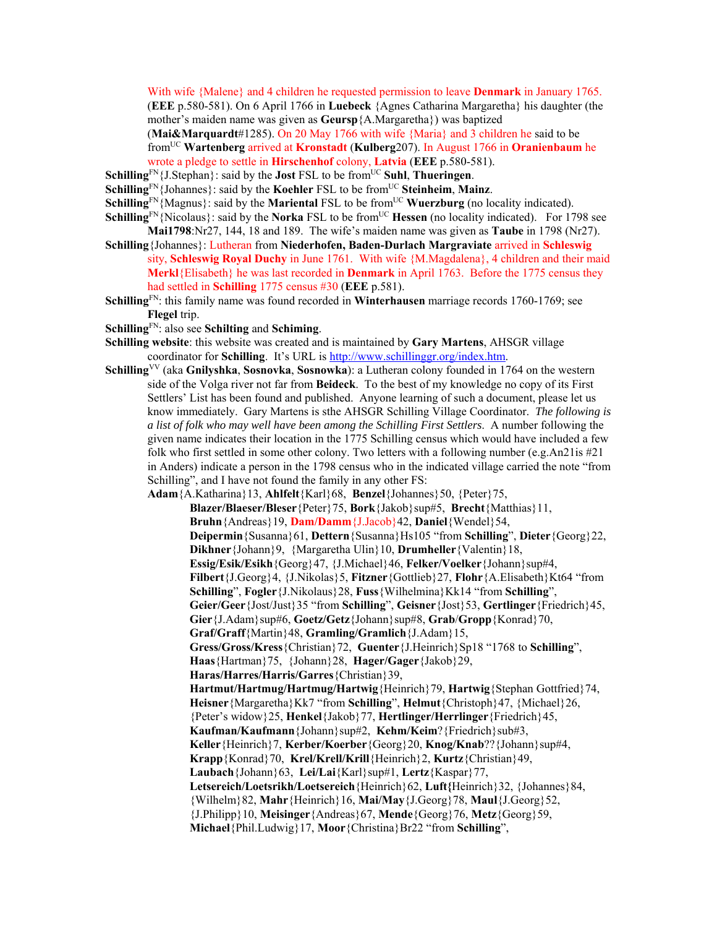With wife {Malene} and 4 children he requested permission to leave **Denmark** in January 1765. (**EEE** p.580-581). On 6 April 1766 in **Luebeck** {Agnes Catharina Margaretha} his daughter (the mother's maiden name was given as **Geursp**{A.Margaretha}) was baptized

(**Mai&Marquardt**#1285). On 20 May 1766 with wife {Maria} and 3 children he said to be fromUC **Wartenberg** arrived at **Kronstadt** (**Kulberg**207). In August 1766 in **Oranienbaum** he wrote a pledge to settle in **Hirschenhof** colony, **Latvia** (**EEE** p.580-581).

- **Schilling**<sup>FN</sup>{J.Stephan}: said by the **Jost** FSL to be from<sup>UC</sup> **Suhl**, **Thueringen**.
- **Schilling** $\text{FN}$ {Johannes}: said by the **Koehler** FSL to be from<sup>UC</sup> **Steinheim**, **Mainz**.
- **Schilling**<sup>FN</sup>{Magnus}: said by the **Mariental** FSL to be from<sup>UC</sup> **Wuerzburg** (no locality indicated).
- **Schilling**<sup>FN</sup>{Nicolaus}: said by the **Norka** FSL to be from<sup>UC</sup> **Hessen** (no locality indicated). For 1798 see **Mai1798**:Nr27, 144, 18 and 189. The wife's maiden name was given as **Taube** in 1798 (Nr27).
- **Schilling**{Johannes}: Lutheran from **Niederhofen, Baden-Durlach Margraviate** arrived in **Schleswig** sity, **Schleswig Royal Duchy** in June 1761. With wife {M.Magdalena}, 4 children and their maid **Merkl**{Elisabeth} he was last recorded in **Denmark** in April 1763. Before the 1775 census they had settled in **Schilling** 1775 census #30 (**EEE** p.581).
- **Schilling**FN: this family name was found recorded in **Winterhausen** marriage records 1760-1769; see **Flegel** trip.
- **Schilling**FN: also see **Schilting** and **Schiming**.
- **Schilling website**: this website was created and is maintained by **Gary Martens**, AHSGR village coordinator for **Schilling**. It's URL is http://www.schillinggr.org/index.htm.
- **Schilling**VV (aka **Gnilyshka**, **Sosnovka**, **Sosnowka**): a Lutheran colony founded in 1764 on the western side of the Volga river not far from **Beideck**. To the best of my knowledge no copy of its First Settlers' List has been found and published. Anyone learning of such a document, please let us know immediately. Gary Martens is sthe AHSGR Schilling Village Coordinator. *The following is a list of folk who may well have been among the Schilling First Settlers*. A number following the given name indicates their location in the 1775 Schilling census which would have included a few folk who first settled in some other colony. Two letters with a following number (e.g.An21is #21 in Anders) indicate a person in the 1798 census who in the indicated village carried the note "from Schilling", and I have not found the family in any other FS:

**Adam**{A.Katharina}13, **Ahlfelt**{Karl}68, **Benzel**{Johannes}50, {Peter}75, **Blazer/Blaeser/Bleser**{Peter}75, **Bork**{Jakob}sup#5, **Brecht**{Matthias}11, **Bruhn**{Andreas}19, **Dam/Damm**{J.Jacob}42, **Daniel**{Wendel}54, **Deipermin**{Susanna}61, **Dettern**{Susanna}Hs105 "from **Schilling**", **Dieter**{Georg}22, **Dikhner**{Johann}9, {Margaretha Ulin}10, **Drumheller**{Valentin}18, **Essig/Esik/Esikh**{Georg}47, {J.Michael}46, **Felker/Voelker**{Johann}sup#4, **Filbert**{J.Georg}4, {J.Nikolas}5, **Fitzner**{Gottlieb}27, **Flohr**{A.Elisabeth}Kt64 "from **Schilling**", **Fogler**{J.Nikolaus}28, **Fuss**{Wilhelmina}Kk14 "from **Schilling**", **Geier/Geer**{Jost/Just}35 "from **Schilling**", **Geisner**{Jost}53, **Gertlinger**{Friedrich}45, **Gier**{J.Adam}sup#6, **Goetz/Getz**{Johann}sup#8, **Grab**/**Gropp**{Konrad}70, **Graf/Graff**{Martin}48, **Gramling/Gramlich**{J.Adam}15, **Gress/Gross/Kress**{Christian}72, **Guenter**{J.Heinrich}Sp18 "1768 to **Schilling**", **Haas**{Hartman}75, {Johann}28, **Hager/Gager**{Jakob}29, **Haras/Harres/Harris/Garres**{Christian}39, **Hartmut/Hartmug/Hartmug/Hartwig**{Heinrich}79, **Hartwig**{Stephan Gottfried}74, **Heisner**{Margaretha}Kk7 "from **Schilling**", **Helmut**{Christoph}47, {Michael}26, {Peter's widow}25, **Henkel**{Jakob}77, **Hertlinger/Herrlinger**{Friedrich}45, **Kaufman/Kaufmann**{Johann}sup#2, **Kehm/Keim**?{Friedrich}sub#3, **Keller**{Heinrich}7, **Kerber/Koerber**{Georg}20, **Knog/Knab**??{Johann}sup#4, **Krapp**{Konrad}70, **Krel/Krell/Krill**{Heinrich}2, **Kurtz**{Christian}49, **Laubach**{Johann}63, **Lei/Lai**{Karl}sup#1, **Lertz**{Kaspar}77, **Letsereich/Loetsrikh/Loetsereich**{Heinrich}62, **Luft{**Heinrich}32, {Johannes}84, {Wilhelm}82, **Mahr**{Heinrich}16, **Mai/May**{J.Georg}78, **Maul**{J.Georg}52, {J.Philipp}10, **Meisinger**{Andreas}67, **Mende**{Georg}76, **Metz**{Georg}59, **Michael**{Phil.Ludwig}17, **Moor**{Christina}Br22 "from **Schilling**",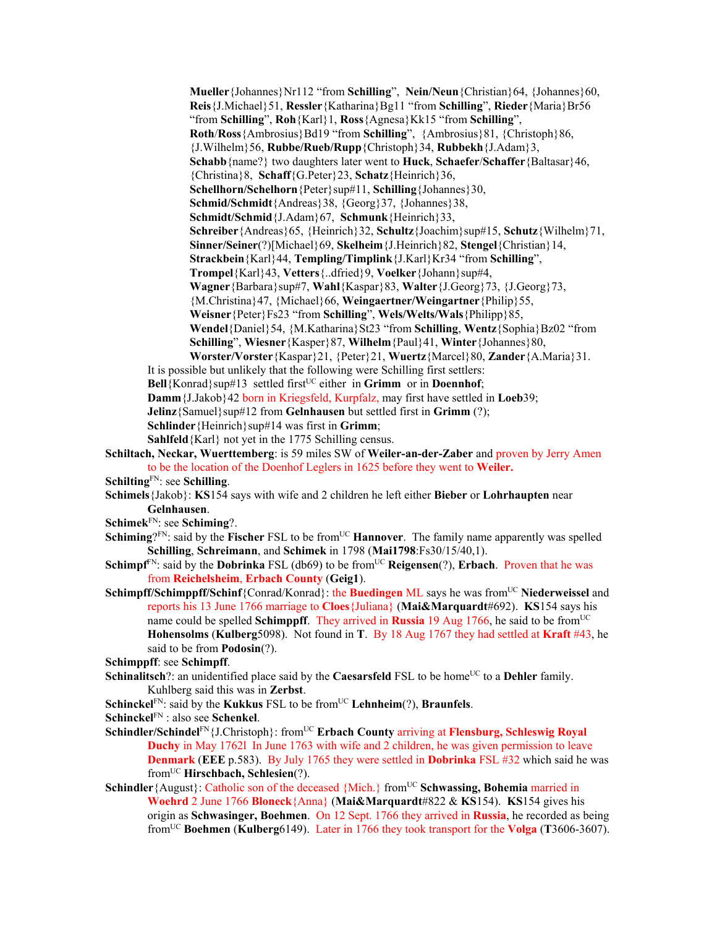**Mueller**{Johannes}Nr112 "from **Schilling**", **Nein/Neun**{Christian}64, {Johannes}60, **Reis**{J.Michael}51, **Ressler**{Katharina}Bg11 "from **Schilling**", **Rieder**{Maria}Br56 "from **Schilling**", **Roh**{Karl}1, **Ross**{Agnesa}Kk15 "from **Schilling**", **Roth**/**Ross**{Ambrosius}Bd19 "from **Schilling**", {Ambrosius}81, {Christoph}86, {J.Wilhelm}56, **Rubbe/Rueb/Rupp**{Christoph}34, **Rubbekh**{J.Adam}3, **Schabb**{name?} two daughters later went to **Huck**, **Schaefer**/**Schaffer**{Baltasar}46, {Christina}8, **Schaff**{G.Peter}23, **Schatz**{Heinrich}36, **Schellhorn/Schelhorn**{Peter}sup#11, **Schilling**{Johannes}30, **Schmid/Schmidt**{Andreas}38, {Georg}37, {Johannes}38, **Schmidt/Schmid**{J.Adam}67, **Schmunk**{Heinrich}33, **Schreiber**{Andreas}65, {Heinrich}32, **Schultz**{Joachim}sup#15, **Schutz**{Wilhelm}71, **Sinner/Seiner**(?)[Michael}69, **Skelheim**{J.Heinrich}82, **Stengel**{Christian}14, **Strackbein**{Karl}44, **Templing/Timplink**{J.Karl}Kr34 "from **Schilling**", **Trompel**{Karl}43, **Vetters**{..dfried}9, **Voelker**{Johann}sup#4, **Wagner**{Barbara}sup#7, **Wahl**{Kaspar}83, **Walter**{J.Georg}73, {J.Georg}73, {M.Christina}47, {Michael}66, **Weingaertner/Weingartner**{Philip}55, **Weisner**{Peter}Fs23 "from **Schilling**", **Wels/Welts/Wals**{Philipp}85, **Wendel**{Daniel}54, {M.Katharina}St23 "from **Schilling**, **Wentz**{Sophia}Bz02 "from **Schilling**", **Wiesner**{Kasper}87, **Wilhelm**{Paul}41, **Winter**{Johannes}80, **Worster/Vorster**{Kaspar}21, {Peter}21, **Wuertz**{Marcel}80, **Zander**{A.Maria}31.

- It is possible but unlikely that the following were Schilling first settlers:
- **Bell**{Konrad}sup#13 settled first<sup>UC</sup> either in Grimm or in **Doennhof**;

**Damm**{J.Jakob}42 born in Kriegsfeld, Kurpfalz, may first have settled in **Loeb**39;

**Jelinz**{Samuel}sup#12 from **Gelnhausen** but settled first in **Grimm** (?);

**Schlinder**{Heinrich}sup#14 was first in **Grimm**;

**Sahlfeld**{Karl} not yet in the 1775 Schilling census.

- **Schiltach, Neckar, Wuerttemberg**: is 59 miles SW of **Weiler-an-der-Zaber** and proven by Jerry Amen to be the location of the Doenhof Leglers in 1625 before they went to **Weiler.**
- **Schilting**FN: see **Schilling**.
- **Schimels**{Jakob}: **KS**154 says with wife and 2 children he left either **Bieber** or **Lohrhaupten** near **Gelnhausen**.
- **Schimek**FN: see **Schiming**?.
- **Schiming** $2^{FN}$ : said by the **Fischer** FSL to be from<sup>UC</sup> **Hannover**. The family name apparently was spelled **Schilling**, **Schreimann**, and **Schimek** in 1798 (**Mai1798**:Fs30/15/40,1).
- **Schimpf**<sup>FN</sup>: said by the **Dobrinka** FSL (db69) to be from<sup>UC</sup> **Reigensen**(?), **Erbach**. Proven that he was from **Reichelsheim**, **Erbach County** (**Geig1**).
- **Schimpff/Schimppff/Schinf**{Conrad/Konrad}: the **Buedingen** ML says he was from<sup>UC</sup> Niederweissel and reports his 13 June 1766 marriage to **Cloes**{Juliana} (**Mai&Marquardt**#692). **KS**154 says his name could be spelled **Schimppff**. They arrived in **Russia** 19 Aug 1766, he said to be from<sup>UC</sup> **Hohensolms** (**Kulberg**5098). Not found in **T**. By 18 Aug 1767 they had settled at **Kraft** #43, he said to be from **Podosin**(?).
- **Schimppff**: see **Schimpff**.
- **Schinalitsch**?: an unidentified place said by the **Caesarsfeld** FSL to be home<sup>UC</sup> to a **Dehler** family. Kuhlberg said this was in **Zerbst**.
- **Schinckel<sup>FN</sup>: said by the Kukkus FSL to be from<sup>UC</sup> Lehnheim(?), Braunfels.**
- **Schinckel**FN : also see **Schenkel**.
- Schindler/Schindel<sup>FN</sup>{J.Christoph}: from<sup>UC</sup> **Erbach County** arriving at **Flensburg, Schleswig Royal Duchy** in May 1762l In June 1763 with wife and 2 children, he was given permission to leave **Denmark** (**EEE** p.583). By July 1765 they were settled in **Dobrinka** FSL #32 which said he was fromUC **Hirschbach, Schlesien**(?).
- **Schindler** {August}: Catholic son of the deceased {Mich.} from<sup>UC</sup> **Schwassing, Bohemia married in Woehrd** 2 June 1766 **Bloneck**{Anna} (**Mai&Marquardt**#822 & **KS**154). **KS**154 gives his origin as **Schwasinger, Boehmen**. On 12 Sept. 1766 they arrived in **Russia**, he recorded as being fromUC **Boehmen** (**Kulberg**6149). Later in 1766 they took transport for the **Volga** (**T**3606-3607).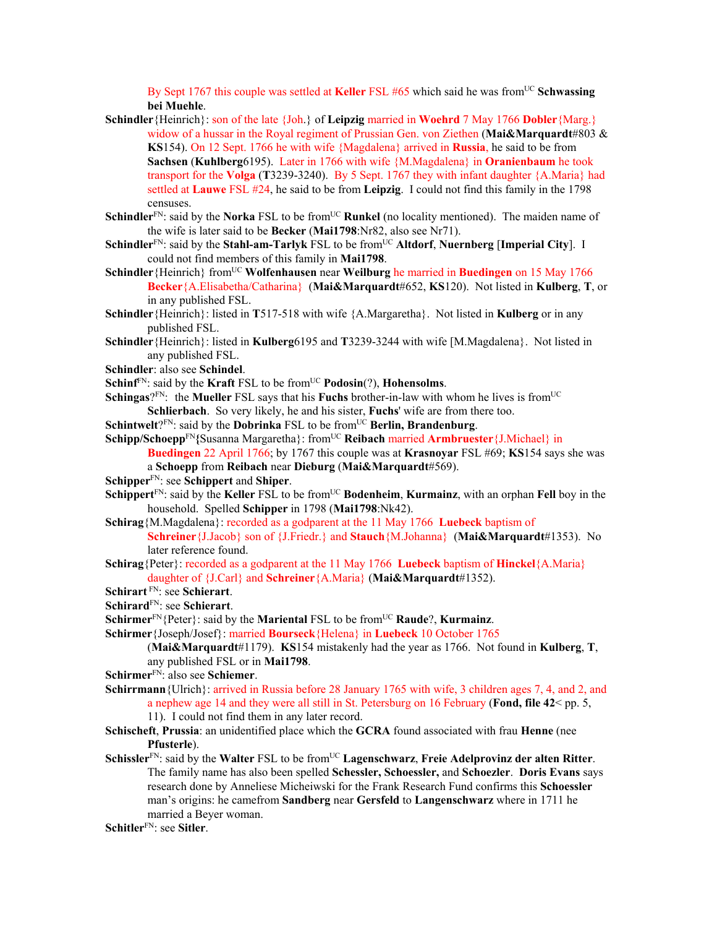By Sept 1767 this couple was settled at **Keller** FSL #65 which said he was from<sup>UC</sup> Schwassing **bei Muehle**.

- **Schindler**{Heinrich}: son of the late {Joh.} of **Leipzig** married in **Woehrd** 7 May 1766 **Dobler**{Marg.} widow of a hussar in the Royal regiment of Prussian Gen. von Ziethen (**Mai&Marquardt**#803 & **KS**154). On 12 Sept. 1766 he with wife {Magdalena} arrived in **Russia**, he said to be from **Sachsen** (**Kuhlberg**6195). Later in 1766 with wife {M.Magdalena} in **Oranienbaum** he took transport for the **Volga** (**T**3239-3240). By 5 Sept. 1767 they with infant daughter {A.Maria} had settled at **Lauwe** FSL #24, he said to be from **Leipzig**. I could not find this family in the 1798 censuses.
- **Schindler**<sup>FN</sup>: said by the **Norka** FSL to be from<sup>UC</sup> **Runkel** (no locality mentioned). The maiden name of the wife is later said to be **Becker** (**Mai1798**:Nr82, also see Nr71).
- **Schindler**FN: said by the **Stahl-am-Tarlyk** FSL to be fromUC **Altdorf**, **Nuernberg** [**Imperial City**]. I could not find members of this family in **Mai1798**.
- **Schindler**{Heinrich} from<sup>UC</sup> **Wolfenhausen** near **Weilburg** he married in **Buedingen** on 15 May 1766 **Becker**{A.Elisabetha/Catharina} (**Mai&Marquardt**#652, **KS**120). Not listed in **Kulberg**, **T**, or in any published FSL.
- **Schindler**{Heinrich}: listed in **T**517-518 with wife {A.Margaretha}. Not listed in **Kulberg** or in any published FSL.
- **Schindler**{Heinrich}: listed in **Kulberg**6195 and **T**3239-3244 with wife [M.Magdalena}. Not listed in any published FSL.
- **Schindler**: also see **Schindel**.
- **Schinf**<sup>FN</sup>: said by the **Kraft** FSL to be from<sup>UC</sup> **Podosin**(?), **Hohensolms**.
- **Schingas**? $F_N$ : the **Mueller** FSL says that his **Fuchs** brother-in-law with whom he lives is from<sup>UC</sup> **Schlierbach**. So very likely, he and his sister, **Fuchs**' wife are from there too.
- **Schintwelt**?FN: said by the **Dobrinka** FSL to be from<sup>UC</sup> Berlin, Brandenburg.

**Schipp/Schoepp**<sup>FN</sup>{Susanna Margaretha}: from<sup>UC</sup> **Reibach** married **Armbruester**{J.Michael} in

- **Buedingen** 22 April 1766; by 1767 this couple was at **Krasnoyar** FSL #69; **KS**154 says she was a **Schoepp** from **Reibach** near **Dieburg** (**Mai&Marquardt**#569).
- **Schipper**FN: see **Schippert** and **Shiper**.
- **Schippert**<sup>FN</sup>: said by the **Keller** FSL to be from<sup>UC</sup> **Bodenheim, Kurmainz**, with an orphan **Fell** boy in the household. Spelled **Schipper** in 1798 (**Mai1798**:Nk42).

**Schirag**{M.Magdalena}: recorded as a godparent at the 11 May 1766 **Luebeck** baptism of

- **Schreiner**{J.Jacob} son of {J.Friedr.} and **Stauch**{M.Johanna} (**Mai&Marquardt**#1353). No later reference found.
- **Schirag**{Peter}: recorded as a godparent at the 11 May 1766 **Luebeck** baptism of **Hinckel**{A.Maria} daughter of {J.Carl} and **Schreiner**{A.Maria} (**Mai&Marquardt**#1352).
- **Schirart** FN: see **Schierart**.
- **Schirard**FN: see **Schierart**.
- **Schirmer**<sup>FN</sup>{Peter}: said by the **Mariental** FSL to be from<sup>UC</sup> **Raude**?, **Kurmainz**.
- **Schirmer**{Joseph/Josef}: married **Bourseck**{Helena} in **Luebeck** 10 October 1765

(**Mai&Marquardt**#1179). **KS**154 mistakenly had the year as 1766. Not found in **Kulberg**, **T**, any published FSL or in **Mai1798**.

- **Schirmer**FN: also see **Schiemer**.
- **Schirrmann**{Ulrich}: arrived in Russia before 28 January 1765 with wife, 3 children ages 7, 4, and 2, and a nephew age 14 and they were all still in St. Petersburg on 16 February (**Fond, file 42**< pp. 5,
	- 11). I could not find them in any later record.
- **Schischeft**, **Prussia**: an unidentified place which the **GCRA** found associated with frau **Henne** (nee **Pfusterle**).
- **Schissler**FN: said by the **Walter** FSL to be fromUC **Lagenschwarz**, **Freie Adelprovinz der alten Ritter**. The family name has also been spelled **Schessler, Schoessler,** and **Schoezler**. **Doris Evans** says research done by Anneliese Micheiwski for the Frank Research Fund confirms this **Schoessler** man's origins: he camefrom **Sandberg** near **Gersfeld** to **Langenschwarz** where in 1711 he married a Beyer woman.
- **Schitler**FN: see **Sitler**.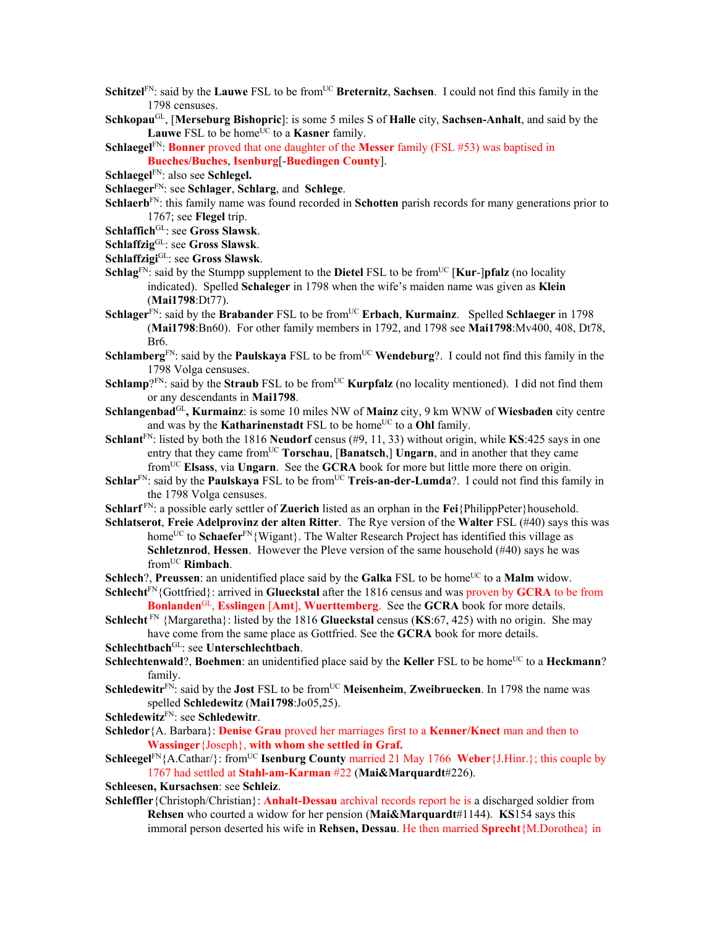- **Schitzel**<sup>FN</sup>: said by the **Lauwe** FSL to be from<sup>UC</sup> **Breternitz**, **Sachsen**. I could not find this family in the 1798 censuses.
- **Schkopau**GL, [**Merseburg Bishopric**]: is some 5 miles S of **Halle** city, **Sachsen-Anhalt**, and said by the Lauwe FSL to be home<sup>UC</sup> to a **Kasner** family.

**Schlaegel**FN: **Bonner** proved that one daughter of the **Messer** family (FSL #53) was baptised in **Bueches/Buches**, **Isenburg**[-**Buedingen County**].

**Schlaegel**FN: also see **Schlegel.** 

**Schlaeger**FN: see **Schlager**, **Schlarg**, and **Schlege**.

**Schlaerb**FN: this family name was found recorded in **Schotten** parish records for many generations prior to 1767; see **Flegel** trip.

**Schlaffich**GL: see **Gross Slawsk**.

**Schlaffzig**GL: see **Gross Slawsk**.

- **Schlaffzigi**GL: see **Gross Slawsk**.
- **Schlag**<sup>FN</sup>: said by the Stumpp supplement to the **Dietel** FSL to be from<sup>UC</sup> [**Kur-**]**pfalz** (no locality indicated). Spelled **Schaleger** in 1798 when the wife's maiden name was given as **Klein** (**Mai1798**:Dt77).
- **Schlager**<sup>FN</sup>: said by the **Brabander** FSL to be from<sup>UC</sup> **Erbach**, **Kurmainz**. Spelled **Schlaeger** in 1798 (**Mai1798**:Bn60). For other family members in 1792, and 1798 see **Mai1798**:Mv400, 408, Dt78, Br6.
- **Schlamberg**<sup>FN</sup>: said by the **Paulskaya** FSL to be from<sup>UC</sup> **Wendeburg**?. I could not find this family in the 1798 Volga censuses.
- **Schlamp**?FN: said by the **Straub** FSL to be from<sup>UC</sup> **Kurpfalz** (no locality mentioned). I did not find them or any descendants in **Mai1798**.
- **Schlangenbad**GL**, Kurmainz**: is some 10 miles NW of **Mainz** city, 9 km WNW of **Wiesbaden** city centre and was by the **Katharinenstadt** FSL to be home<sup>UC</sup> to a **Ohl** family.
- **Schlant**FN: listed by both the 1816 **Neudorf** census (#9, 11, 33) without origin, while **KS**:425 says in one entry that they came from<sup>UC</sup> **Torschau**, [**Banatsch**,] **Ungarn**, and in another that they came fromUC **Elsass**, via **Ungarn**. See the **GCRA** book for more but little more there on origin.
- **Schlar**FN: said by the **Paulskaya** FSL to be from<sup>UC</sup> **Treis-an-der-Lumda**?. I could not find this family in the 1798 Volga censuses.
- **Schlarf** FN: a possible early settler of **Zuerich** listed as an orphan in the **Fei**{PhilippPeter}household.
- **Schlatserot**, **Freie Adelprovinz der alten Ritter**. The Rye version of the **Walter** FSL (#40) says this was home<sup>UC</sup> to **Schaefer**<sup>FN</sup>{Wigant}. The Walter Research Project has identified this village as **Schletznrod**, **Hessen**. However the Pleve version of the same household (#40) says he was fromUC **Rimbach**.
- **Schlech**?, **Preussen**: an unidentified place said by the **Galka** FSL to be home<sup>UC</sup> to a **Malm** widow.
- **Schlecht**FN{Gottfried}: arrived in **Glueckstal** after the 1816 census and was proven by **GCRA** to be from **Bonlanden**GL, **Esslingen** [**Amt**], **Wuerttemberg**. See the **GCRA** book for more details.
- **Schlecht** FN {Margaretha}: listed by the 1816 **Glueckstal** census (**KS**:67, 425) with no origin. She may have come from the same place as Gottfried. See the **GCRA** book for more details.
- **Schlechtbach**GL: see **Unterschlechtbach**.
- **Schlechtenwald**?, **Boehmen**: an unidentified place said by the Keller FSL to be home<sup>UC</sup> to a Heckmann? family.
- **Schledewitr**<sup>FN</sup>: said by the **Jost** FSL to be from<sup>UC</sup> **Meisenheim**, **Zweibruecken**. In 1798 the name was spelled **Schledewitz** (**Mai1798**:Jo05,25).
- **Schledewitz**FN: see **Schledewitr**.
- **Schledor**{A. Barbara}: **Denise Grau** proved her marriages first to a **Kenner/Knect** man and then to **Wassinger**{Joseph}, **with whom she settled in Graf.**
- **Schleegel**<sup>FN</sup>{A.Cathar/}: from<sup>UC</sup> **Isenburg County** married 21 May 1766 **Weber**{J.Hinr.}; this couple by 1767 had settled at **Stahl-am-Karman** #22 (**Mai&Marquardt**#226).

**Schleesen, Kursachsen**: see **Schleiz**.

**Schleffler**{Christoph/Christian}: **Anhalt-Dessau** archival records report he is a discharged soldier from **Rehsen** who courted a widow for her pension (**Mai&Marquardt**#1144). **KS**154 says this immoral person deserted his wife in **Rehsen, Dessau**. He then married **Sprecht**{M.Dorothea} in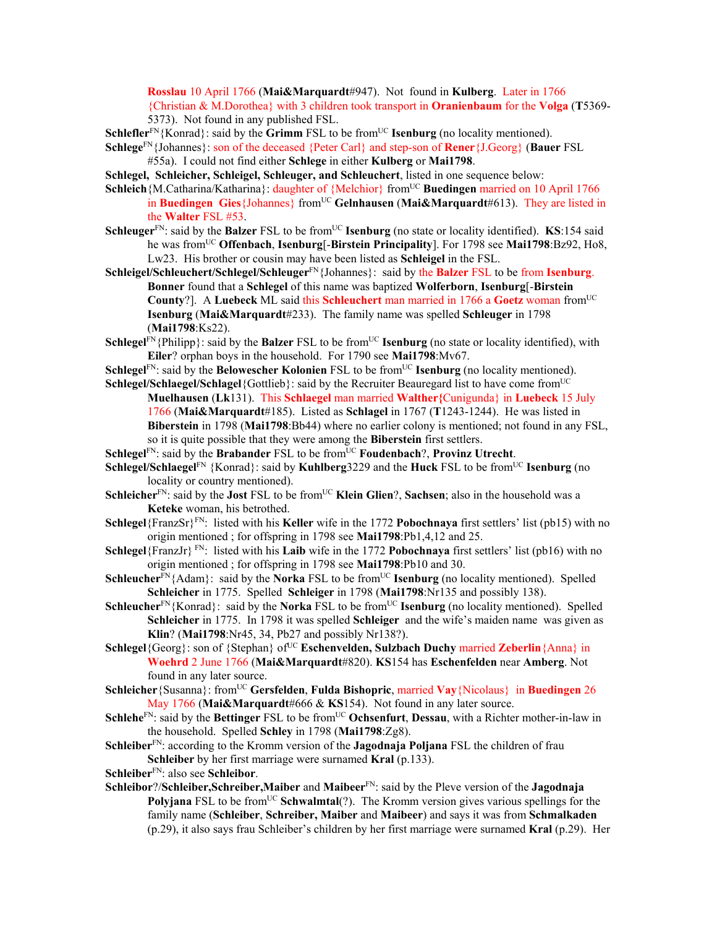**Rosslau** 10 April 1766 (**Mai&Marquardt**#947). Not found in **Kulberg**. Later in 1766 {Christian & M.Dorothea} with 3 children took transport in **Oranienbaum** for the **Volga** (**T**5369- 5373). Not found in any published FSL.

**Schlefler**<sup>FN</sup>{Konrad}: said by the **Grimm** FSL to be from<sup>UC</sup> **Isenburg** (no locality mentioned).

- **Schlege**FN{Johannes}: son of the deceased {Peter Carl} and step-son of **Rener**{J.Georg} (**Bauer** FSL #55a). I could not find either **Schlege** in either **Kulberg** or **Mai1798**.
- **Schlegel, Schleicher, Schleigel, Schleuger, and Schleuchert**, listed in one sequence below:
- **Schleich**{M.Catharina/Katharina}: daughter of {Melchior} from<sup>UC</sup> **Buedingen** married on 10 April 1766 in **Buedingen** Gies {Johannes} from<sup>UC</sup> Gelnhausen (Mai&Marquardt#613). They are listed in the **Walter** FSL #53.
- **Schleuger**<sup>FN</sup>: said by the **Balzer** FSL to be from<sup>UC</sup> **Isenburg** (no state or locality identified). **KS**:154 said he was fromUC **Offenbach**, **Isenburg**[-**Birstein Principality**]. For 1798 see **Mai1798**:Bz92, Ho8, Lw23. His brother or cousin may have been listed as **Schleigel** in the FSL.
- **Schleigel/Schleuchert/Schlegel/Schleuger**FN{Johannes}: said by the **Balzer** FSL to be from **Isenburg**. **Bonner** found that a **Schlegel** of this name was baptized **Wolferborn**, **Isenburg**[-**Birstein County**?]. A **Luebeck** ML said this **Schleuchert** man married in 1766 a **Goetz** woman fromUC **Isenburg** (**Mai&Marquardt**#233). The family name was spelled **Schleuger** in 1798 (**Mai1798**:Ks22).
- **Schlegel<sup>FN</sup>**{Philipp}: said by the **Balzer** FSL to be from<sup>UC</sup> **Isenburg** (no state or locality identified), with **Eiler**? orphan boys in the household. For 1790 see **Mai1798**:Mv67.
- **Schlegel**<sup>FN</sup>: said by the **Belowescher Kolonien** FSL to be from<sup>UC</sup> **Isenburg** (no locality mentioned). **Schlegel/Schlaegel/Schlagel**{Gottlieb}: said by the Recruiter Beauregard list to have come from<sup>UC</sup>
- **Muelhausen** (**Lk**131). This **Schlaegel** man married **Walther{**Cunigunda} in **Luebeck** 15 July 1766 (**Mai&Marquardt**#185). Listed as **Schlagel** in 1767 (**T**1243-1244). He was listed in **Biberstein** in 1798 (**Mai1798**:Bb44) where no earlier colony is mentioned; not found in any FSL, so it is quite possible that they were among the **Biberstein** first settlers.
- **Schlegel**<sup>FN</sup>: said by the **Brabander** FSL to be from<sup>UC</sup> **Foudenbach**?, **Provinz Utrecht**.
- **Schlegel/Schlaegel**<sup>FN</sup> {Konrad}: said by **Kuhlberg**3229 and the **Huck** FSL to be from<sup>UC</sup> **Isenburg** (no locality or country mentioned).
- **Schleicher**<sup>FN</sup>: said by the **Jost** FSL to be from<sup>UC</sup> **Klein Glien**?, **Sachsen**; also in the household was a **Keteke** woman, his betrothed.
- **Schlegel**{FranzSr}FN: listed with his **Keller** wife in the 1772 **Pobochnaya** first settlers' list (pb15) with no origin mentioned ; for offspring in 1798 see **Mai1798**:Pb1,4,12 and 25.
- **Schlegel**{FranzJr} FN: listed with his **Laib** wife in the 1772 **Pobochnaya** first settlers' list (pb16) with no origin mentioned ; for offspring in 1798 see **Mai1798**:Pb10 and 30.
- **Schleucher**FN{Adam}: said by the **Norka** FSL to be from<sup>UC</sup> **Isenburg** (no locality mentioned). Spelled **Schleicher** in 1775. Spelled **Schleiger** in 1798 (**Mai1798**:Nr135 and possibly 138).
- **Schleucher**<sup>FN</sup>{Konrad}: said by the **Norka** FSL to be from<sup>UC</sup> **Isenburg** (no locality mentioned). Spelled **Schleicher** in 1775. In 1798 it was spelled **Schleiger** and the wife's maiden name was given as **Klin**? (**Mai1798**:Nr45, 34, Pb27 and possibly Nr138?).
- **Schlegel**{Georg}: son of {Stephan} of<sup>UC</sup> **Eschenvelden, Sulzbach Duchy** married **Zeberlin**{Anna} in **Woehrd** 2 June 1766 (**Mai&Marquardt**#820). **KS**154 has **Eschenfelden** near **Amberg**. Not found in any later source.
- **Schleicher**{Susanna}: fromUC **Gersfelden**, **Fulda Bishopric**, married **Vay**{Nicolaus} in **Buedingen** 26 May 1766 (**Mai&Marquardt**#666 & **KS**154). Not found in any later source.
- **Schlehe**<sup>FN</sup>: said by the **Bettinger** FSL to be from<sup>UC</sup> **Ochsenfurt**, **Dessau**, with a Richter mother-in-law in the household. Spelled **Schley** in 1798 (**Mai1798**:Zg8).
- **Schleiber**FN: according to the Kromm version of the **Jagodnaja Poljana** FSL the children of frau **Schleiber** by her first marriage were surnamed **Kral** (p.133).
- **Schleiber**FN: also see **Schleibor**.
- **Schleibor**?/**Schleiber,Schreiber,Maiber** and **Maibeer**FN: said by the Pleve version of the **Jagodnaja Polyjana** FSL to be from<sup>UC</sup> **Schwalmtal**(?). The Kromm version gives various spellings for the family name (**Schleiber**, **Schreiber, Maiber** and **Maibeer**) and says it was from **Schmalkaden** (p.29), it also says frau Schleiber's children by her first marriage were surnamed **Kral** (p.29). Her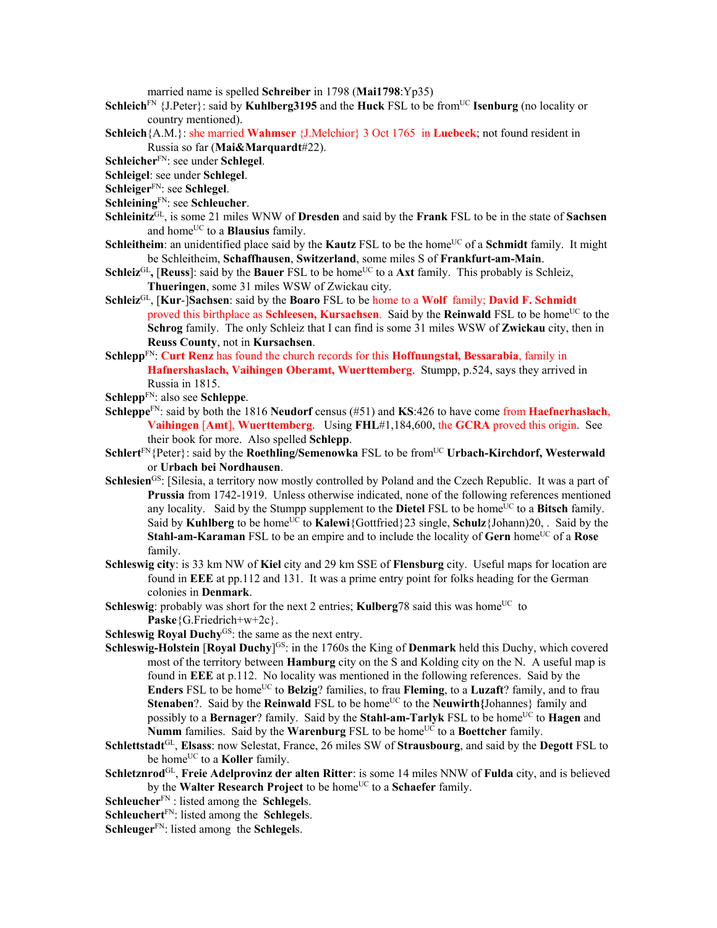married name is spelled **Schreiber** in 1798 (**Mai1798**:Yp35)

- **Schleich**<sup>FN</sup> {J.Peter}: said by **Kuhlberg3195** and the **Huck** FSL to be from<sup>UC</sup> **Isenburg** (no locality or country mentioned).
- **Schleich**{A.M.}: she married **Wahmser** {J.Melchior} 3 Oct 1765 in **Luebeck**; not found resident in Russia so far (**Mai&Marquardt**#22).
- **Schleicher**FN: see under **Schlegel**.
- **Schleigel**: see under **Schlegel**.
- **Schleiger**FN: see **Schlegel**.
- **Schleining**FN: see **Schleucher**.
- **Schleinitz**GL, is some 21 miles WNW of **Dresden** and said by the **Frank** FSL to be in the state of **Sachsen** and home<sup>UC</sup> to a **Blausius** family.
- **Schleitheim**: an unidentified place said by the **Kautz** FSL to be the home<sup>UC</sup> of a **Schmidt** family. It might be Schleitheim, **Schaffhausen**, **Switzerland**, some miles S of **Frankfurt-am-Main**.
- **Schleiz<sup>GL</sup>, [Reuss]**: said by the **Bauer** FSL to be home<sup>UC</sup> to a **Axt** family. This probably is Schleiz, **Thueringen**, some 31 miles WSW of Zwickau city.
- **Schleiz**GL, [**Kur**-]**Sachsen**: said by the **Boaro** FSL to be home to a **Wolf** family; **David F. Schmidt** proved this birthplace as **Schleesen, Kursachsen**. Said by the **Reinwald** FSL to be home<sup>UC</sup> to the **Schrog** family. The only Schleiz that I can find is some 31 miles WSW of **Zwickau** city, then in **Reuss County**, not in **Kursachsen**.
- **Schlepp**FN: **Curt Renz** has found the church records for this **Hoffnungstal, Bessarabia**, family in **Hafnershaslach, Vaihingen Oberamt, Wuerttemberg**. Stumpp, p.524, says they arrived in Russia in 1815.
- **Schlepp**FN: also see **Schleppe**.
- **Schleppe**FN: said by both the 1816 **Neudorf** census (#51) and **KS**:426 to have come from **Haefnerhaslach**, **Vaihingen** [**Amt**], **Wuerttemberg**. Using **FHL**#1,184,600, the **GCRA** proved this origin. See their book for more. Also spelled **Schlepp**.
- **Schlert**<sup>FN</sup>{Peter}: said by the **Roethling/Semenowka** FSL to be from<sup>UC</sup> Urbach-Kirchdorf, Westerwald or **Urbach bei Nordhausen**.
- **Schlesien**<sup>GS</sup>: [Silesia, a territory now mostly controlled by Poland and the Czech Republic. It was a part of **Prussia** from 1742-1919. Unless otherwise indicated, none of the following references mentioned any locality. Said by the Stumpp supplement to the **Dietel** FSL to be home<sup>UC</sup> to a **Bitsch** family. Said by **Kuhlberg** to be home<sup>UC</sup> to **Kalewi**{Gottfried}23 single, **Schulz**{Johann)20, . Said by the **Stahl-am-Karaman** FSL to be an empire and to include the locality of Gern home<sup>UC</sup> of a Rose family.
- **Schleswig city**: is 33 km NW of **Kiel** city and 29 km SSE of **Flensburg** city. Useful maps for location are found in **EEE** at pp.112 and 131. It was a prime entry point for folks heading for the German colonies in **Denmark**.
- **Schleswig**: probably was short for the next 2 entries; **Kulberg** 78 said this was home<sup>UC</sup> to **Paske**{G.Friedrich+w+2c}.
- **Schleswig Royal Duchy**<sup>GS</sup>: the same as the next entry.
- **Schleswig-Holstein [Royal Duchy]<sup>GS</sup>:** in the 1760s the King of **Denmark** held this Duchy, which covered most of the territory between **Hamburg** city on the S and Kolding city on the N. A useful map is found in **EEE** at p.112. No locality was mentioned in the following references. Said by the **Enders** FSL to be home<sup>UC</sup> to **Belzig**? families, to frau **Fleming**, to a **Luzaft**? family, and to frau **Stenaben**?. Said by the **Reinwald** FSL to be home<sup>UC</sup> to the **Neuwirth**{Johannes} family and possibly to a **Bernager**? family. Said by the **Stahl-am-Tarlyk** FSL to be home<sup>UC</sup> to **Hagen** and **Numm** families. Said by the **Warenburg** FSL to be home<sup>UC</sup> to a **Boettcher** family.
- **Schlettstadt**GL, **Elsass**: now Selestat, France, 26 miles SW of **Strausbourg**, and said by the **Degott** FSL to be home<sup>UC</sup> to a **Koller** family.
- **Schletznrod**GL, **Freie Adelprovinz der alten Ritter**: is some 14 miles NNW of **Fulda** city, and is believed by the **Walter Research Project** to be home<sup>UC</sup> to a **Schaefer** family.
- **Schleucher**FN : listed among the **Schlegel**s.
- **Schleuchert**FN: listed among the **Schlegel**s.
- **Schleuger**<sup>FN</sup>: listed among the **Schlegels**.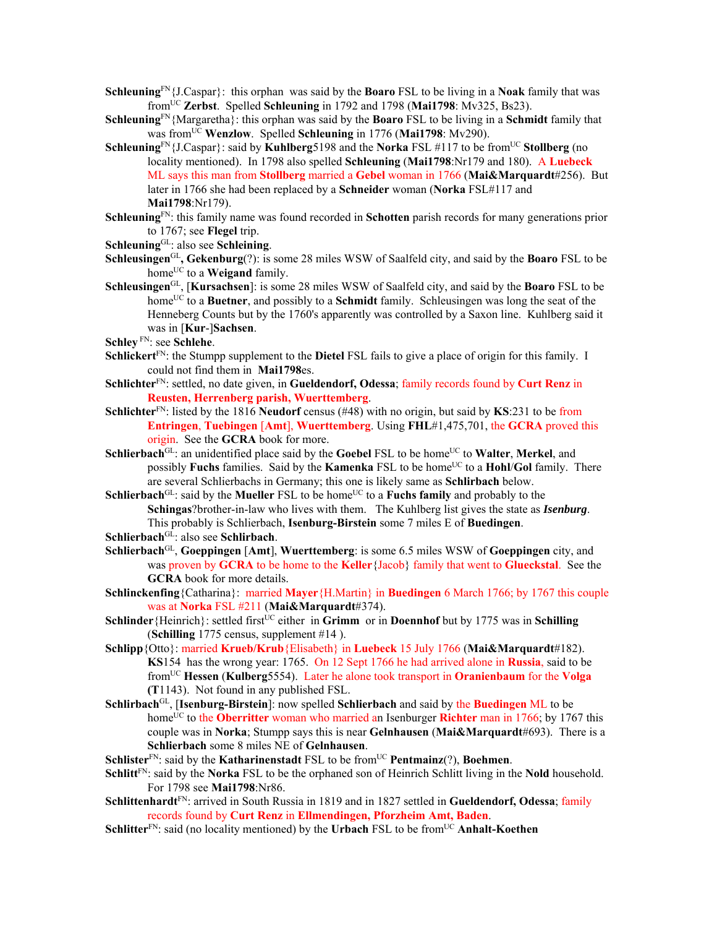**Schleuning**FN{J.Caspar}: this orphan was said by the **Boaro** FSL to be living in a **Noak** family that was fromUC **Zerbst**. Spelled **Schleuning** in 1792 and 1798 (**Mai1798**: Mv325, Bs23).

- **Schleuning**FN{Margaretha}: this orphan was said by the **Boaro** FSL to be living in a **Schmidt** family that was fromUC **Wenzlow**. Spelled **Schleuning** in 1776 (**Mai1798**: Mv290).
- **Schleuning**FN{J.Caspar}: said by **Kuhlberg**5198 and the **Norka** FSL #117 to be from<sup>UC</sup> **Stollberg** (no locality mentioned). In 1798 also spelled **Schleuning** (**Mai1798**:Nr179 and 180). A **Luebeck** ML says this man from **Stollberg** married a **Gebel** woman in 1766 (**Mai&Marquardt**#256). But later in 1766 she had been replaced by a **Schneider** woman (**Norka** FSL#117 and **Mai1798**:Nr179).
- **Schleuning**FN: this family name was found recorded in **Schotten** parish records for many generations prior to 1767; see **Flegel** trip.
- **Schleuning**GL: also see **Schleining**.
- **Schleusingen**GL**, Gekenburg**(?): is some 28 miles WSW of Saalfeld city, and said by the **Boaro** FSL to be home<sup>UC</sup> to a **Weigand** family.
- **Schleusingen**GL, [**Kursachsen**]: is some 28 miles WSW of Saalfeld city, and said by the **Boaro** FSL to be home<sup>UC</sup> to a **Buetner**, and possibly to a **Schmidt** family. Schleusingen was long the seat of the Henneberg Counts but by the 1760's apparently was controlled by a Saxon line. Kuhlberg said it was in [**Kur**-]**Sachsen**.
- **Schley** FN: see **Schlehe**.
- **Schlickert**FN: the Stumpp supplement to the **Dietel** FSL fails to give a place of origin for this family. I could not find them in **Mai1798**es.
- **Schlichter**FN: settled, no date given, in **Gueldendorf, Odessa**; family records found by **Curt Renz** in **Reusten, Herrenberg parish, Wuerttemberg**.
- **Schlichter**FN: listed by the 1816 **Neudorf** census (#48) with no origin, but said by **KS**:231 to be from **Entringen**, **Tuebingen** [**Amt**], **Wuerttemberg**. Using **FHL**#1,475,701, the **GCRA** proved this origin. See the **GCRA** book for more.
- **Schlierbach<sup>GL</sup>:** an unidentified place said by the **Goebel** FSL to be home<sup>UC</sup> to **Walter**, **Merkel**, and possibly **Fuchs** families. Said by the **Kamenka** FSL to be home<sup>UC</sup> to a **Hohl/Gol** family. There are several Schlierbachs in Germany; this one is likely same as **Schlirbach** below.
- Schlierbach<sup>GL</sup>: said by the Mueller FSL to be home<sup>UC</sup> to a Fuchs family and probably to the **Schingas**?brother-in-law who lives with them. The Kuhlberg list gives the state as *Isenburg*. This probably is Schlierbach, **Isenburg-Birstein** some 7 miles E of **Buedingen**.

- **Schlierbach**GL, **Goeppingen** [**Amt**], **Wuerttemberg**: is some 6.5 miles WSW of **Goeppingen** city, and was proven by **GCRA** to be home to the **Keller**{Jacob} family that went to **Glueckstal**. See the **GCRA** book for more details.
- **Schlinckenfing**{Catharina}: married **Mayer**{H.Martin} in **Buedingen** 6 March 1766; by 1767 this couple was at **Norka** FSL #211 (**Mai&Marquardt**#374).
- **Schlinder**{Heinrich}: settled first<sup>UC</sup> either in **Grimm** or in **Doennhof** but by 1775 was in **Schilling** (**Schilling** 1775 census, supplement #14 ).
- **Schlipp**{Otto}: married **Krueb/Krub**{Elisabeth} in **Luebeck** 15 July 1766 (**Mai&Marquardt**#182). **KS**154 has the wrong year: 1765. On 12 Sept 1766 he had arrived alone in **Russia**, said to be fromUC **Hessen** (**Kulberg**5554). Later he alone took transport in **Oranienbaum** for the **Volga (T**1143). Not found in any published FSL.
- **Schlirbach**GL, [**Isenburg-Birstein**]: now spelled **Schlierbach** and said by the **Buedingen** ML to be home<sup>UC</sup> to the **Oberritter** woman who married an Isenburger **Richter** man in 1766; by 1767 this couple was in **Norka**; Stumpp says this is near **Gelnhausen** (**Mai&Marquardt**#693). There is a **Schlierbach** some 8 miles NE of **Gelnhausen**.
- **Schlister**<sup>FN</sup>: said by the **Katharinenstadt** FSL to be from<sup>UC</sup> **Pentmainz**(?), **Boehmen**.
- **Schlitt**<sup>FN</sup>: said by the **Norka** FSL to be the orphaned son of Heinrich Schlitt living in the **Nold** household. For 1798 see **Mai1798**:Nr86.
- **Schlittenhardt**FN: arrived in South Russia in 1819 and in 1827 settled in **Gueldendorf, Odessa**; family records found by **Curt Renz** in **Ellmendingen, Pforzheim Amt, Baden**.
- **Schlitter**<sup>FN</sup>: said (no locality mentioned) by the **Urbach** FSL to be from<sup>UC</sup> **Anhalt-Koethen**

**Schlierbach**GL: also see **Schlirbach**.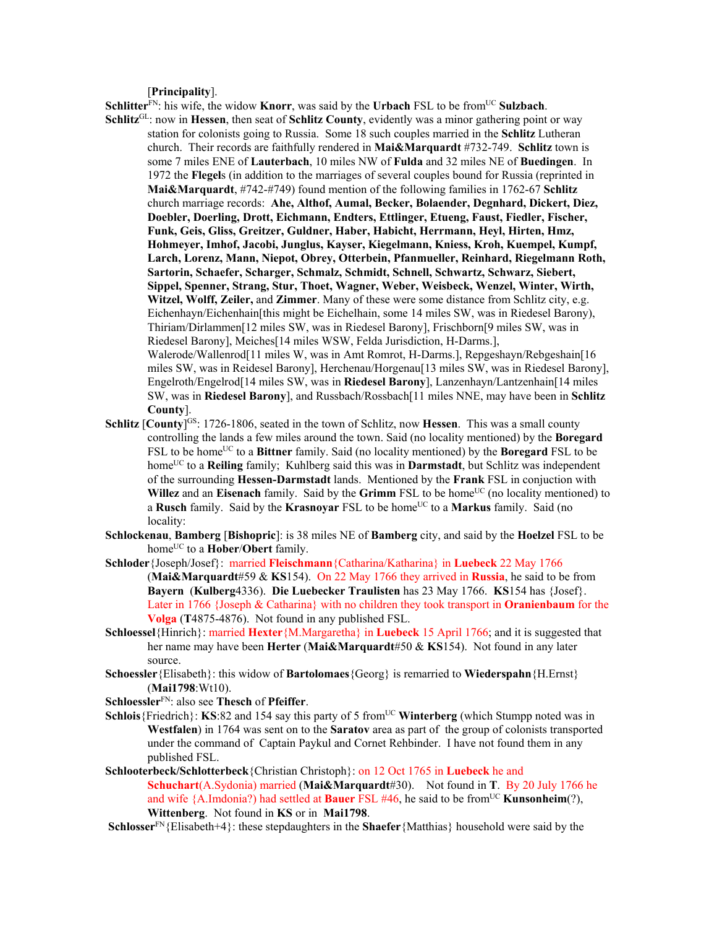[**Principality**].

**Schlitter**<sup>FN</sup>: his wife, the widow **Knorr**, was said by the **Urbach** FSL to be from<sup>UC</sup> Sulzbach.

- **Schlitz**GL: now in **Hessen**, then seat of **Schlitz County**, evidently was a minor gathering point or way station for colonists going to Russia. Some 18 such couples married in the **Schlitz** Lutheran church. Their records are faithfully rendered in **Mai&Marquardt** #732-749. **Schlitz** town is some 7 miles ENE of **Lauterbach**, 10 miles NW of **Fulda** and 32 miles NE of **Buedingen**. In 1972 the **Flegel**s (in addition to the marriages of several couples bound for Russia (reprinted in **Mai&Marquardt**, #742-#749) found mention of the following families in 1762-67 **Schlitz** church marriage records: **Ahe, Althof, Aumal, Becker, Bolaender, Degnhard, Dickert, Diez, Doebler, Doerling, Drott, Eichmann, Endters, Ettlinger, Etueng, Faust, Fiedler, Fischer, Funk, Geis, Gliss, Greitzer, Guldner, Haber, Habicht, Herrmann, Heyl, Hirten, Hmz, Hohmeyer, Imhof, Jacobi, Junglus, Kayser, Kiegelmann, Kniess, Kroh, Kuempel, Kumpf, Larch, Lorenz, Mann, Niepot, Obrey, Otterbein, Pfanmueller, Reinhard, Riegelmann Roth, Sartorin, Schaefer, Scharger, Schmalz, Schmidt, Schnell, Schwartz, Schwarz, Siebert, Sippel, Spenner, Strang, Stur, Thoet, Wagner, Weber, Weisbeck, Wenzel, Winter, Wirth, Witzel, Wolff, Zeiler,** and **Zimmer**. Many of these were some distance from Schlitz city, e.g. Eichenhayn/Eichenhain[this might be Eichelhain, some 14 miles SW, was in Riedesel Barony), Thiriam/Dirlammen[12 miles SW, was in Riedesel Barony], Frischborn[9 miles SW, was in Riedesel Barony], Meiches[14 miles WSW, Felda Jurisdiction, H-Darms.], Walerode/Wallenrod[11 miles W, was in Amt Romrot, H-Darms.], Repgeshayn/Rebgeshain[16 miles SW, was in Reidesel Barony], Herchenau/Horgenau[13 miles SW, was in Riedesel Barony], Engelroth/Engelrod[14 miles SW, was in **Riedesel Barony**], Lanzenhayn/Lantzenhain[14 miles SW, was in **Riedesel Barony**], and Russbach/Rossbach[11 miles NNE, may have been in **Schlitz County**].
- **Schlitz [County**]<sup>GS:</sup> 1726-1806, seated in the town of Schlitz, now **Hessen**. This was a small county controlling the lands a few miles around the town. Said (no locality mentioned) by the **Boregard** FSL to be home<sup>UC</sup> to a **Bittner** family. Said (no locality mentioned) by the **Boregard** FSL to be homeUC to a **Reiling** family; Kuhlberg said this was in **Darmstadt**, but Schlitz was independent of the surrounding **Hessen-Darmstadt** lands. Mentioned by the **Frank** FSL in conjuction with **Willez** and an **Eisenach** family. Said by the **Grimm** FSL to be home<sup>UC</sup> (no locality mentioned) to a **Rusch** family. Said by the **Krasnovar** FSL to be home<sup>UC</sup> to a **Markus** family. Said (no locality:
- **Schlockenau**, **Bamberg** [**Bishopric**]: is 38 miles NE of **Bamberg** city, and said by the **Hoelzel** FSL to be home<sup>UC</sup> to a **Hober/Obert** family.
- **Schloder**{Joseph/Josef}: married **Fleischmann**{Catharina/Katharina} in **Luebeck** 22 May 1766 (**Mai&Marquardt**#59 & **KS**154). On 22 May 1766 they arrived in **Russia**, he said to be from **Bayern** (**Kulberg**4336). **Die Luebecker Traulisten** has 23 May 1766. **KS**154 has {Josef}. Later in 1766 {Joseph & Catharina} with no children they took transport in **Oranienbaum** for the **Volga** (**T**4875-4876). Not found in any published FSL.
- **Schloessel**{Hinrich}: married **Hexter**{M.Margaretha} in **Luebeck** 15 April 1766; and it is suggested that her name may have been **Herter** (**Mai&Marquardt**#50 & **KS**154). Not found in any later source.
- **Schoessler**{Elisabeth}: this widow of **Bartolomaes**{Georg} is remarried to **Wiederspahn**{H.Ernst} (**Mai1798**:Wt10).
- **Schloessler**FN: also see **Thesch** of **Pfeiffer**.
- **Schlois**{Friedrich}: **KS**:82 and 154 say this party of 5 from<sup>UC</sup> **Winterberg** (which Stumpp noted was in **Westfalen**) in 1764 was sent on to the **Saratov** area as part of the group of colonists transported under the command of Captain Paykul and Cornet Rehbinder. I have not found them in any published FSL.
- **Schlooterbeck/Schlotterbeck**{Christian Christoph}: on 12 Oct 1765 in **Luebeck** he and **Schuchart**(A.Sydonia) married (**Mai&Marquardt**#30). Not found in **T**. By 20 July 1766 he and wife {A.Imdonia?) had settled at **Bauer** FSL #46, he said to be from<sup>UC</sup> **Kunsonheim**(?), **Wittenberg**. Not found in **KS** or in **Mai1798**.
- **Schlosser**<sup>FN</sup>{Elisabeth+4}: these stepdaughters in the **Shaefer**{Matthias} household were said by the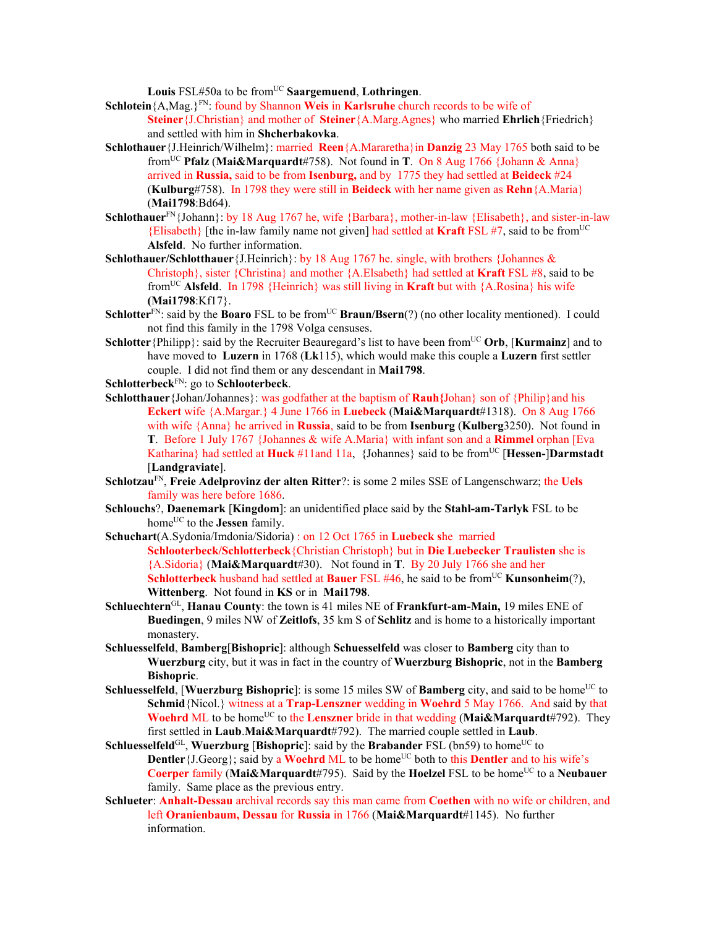Louis FSL#50a to be from<sup>UC</sup> Saargemuend, Lothringen.

- **Schlotein**{A,Mag.}FN: found by Shannon **Weis** in **Karlsruhe** church records to be wife of **Steiner**{J.Christian} and mother of **Steiner**{A.Marg.Agnes} who married **Ehrlich**{Friedrich} and settled with him in **Shcherbakovka**.
- **Schlothauer**{J.Heinrich/Wilhelm}: married **Reen**{A.Mararetha}in **Danzig** 23 May 1765 both said to be fromUC **Pfalz** (**Mai&Marquardt**#758). Not found in **T**. On 8 Aug 1766 {Johann & Anna} arrived in **Russia,** said to be from **Isenburg,** and by 1775 they had settled at **Beideck** #24 (**Kulburg**#758). In 1798 they were still in **Beideck** with her name given as **Rehn**{A.Maria} (**Mai1798**:Bd64).
- **Schlothauer**FN{Johann}: by 18 Aug 1767 he, wife {Barbara}, mother-in-law {Elisabeth}, and sister-in-law {Elisabeth} [the in-law family name not given] had settled at **Kraft** FSL #7, said to be fromUC **Alsfeld**. No further information.
- **Schlothauer/Schlotthauer**{J.Heinrich}: by 18 Aug 1767 he. single, with brothers {Johannes & Christoph}, sister {Christina} and mother {A.Elsabeth} had settled at **Kraft** FSL #8, said to be fromUC **Alsfeld**. In 1798 {Heinrich} was still living in **Kraft** but with {A.Rosina} his wife **(Mai1798**:Kf17}.
- **Schlotter**<sup>FN</sup>: said by the **Boaro** FSL to be from<sup>UC</sup> **Braun/Bsern**(?) (no other locality mentioned). I could not find this family in the 1798 Volga censuses.
- **Schlotter**{Philipp}: said by the Recruiter Beauregard's list to have been from<sup>UC</sup> Orb, [**Kurmainz**] and to have moved to **Luzern** in 1768 (**Lk**115), which would make this couple a **Luzern** first settler couple. I did not find them or any descendant in **Mai1798**.
- **Schlotterbeck**FN: go to **Schlooterbeck**.
- **Schlotthauer**{Johan/Johannes}: was godfather at the baptism of **Rauh{**Johan} son of {Philip}and his **Eckert** wife {A.Margar.} 4 June 1766 in **Luebeck** (**Mai&Marquardt**#1318). On 8 Aug 1766 with wife {Anna} he arrived in **Russia**, said to be from **Isenburg** (**Kulberg**3250). Not found in **T**. Before 1 July 1767 {Johannes & wife A.Maria} with infant son and a **Rimmel** orphan [Eva Katharina} had settled at **Huck** #11and 11a, {Johannes} said to be from<sup>UC</sup> [**Hessen-**]Darmstadt [**Landgraviate**].
- **Schlotzau**FN, **Freie Adelprovinz der alten Ritter**?: is some 2 miles SSE of Langenschwarz; the **Uels** family was here before 1686.
- **Schlouchs**?, **Daenemark** [**Kingdom**]: an unidentified place said by the **Stahl-am-Tarlyk** FSL to be home<sup>UC</sup> to the **Jessen** family.
- **Schuchart**(A.Sydonia/Imdonia/Sidoria) : on 12 Oct 1765 in **Luebeck s**he married **Schlooterbeck/Schlotterbeck**{Christian Christoph} but in **Die Luebecker Traulisten** she is {A.Sidoria} (**Mai&Marquardt**#30). Not found in **T**. By 20 July 1766 she and her **Schlotterbeck** husband had settled at **Bauer** FSL #46, he said to be from<sup>UC</sup> **Kunsonheim**(?), **Wittenberg**. Not found in **KS** or in **Mai1798**.
- **Schluechtern**GL, **Hanau County**: the town is 41 miles NE of **Frankfurt-am-Main,** 19 miles ENE of **Buedingen**, 9 miles NW of **Zeitlofs**, 35 km S of **Schlitz** and is home to a historically important monastery.
- **Schluesselfeld**, **Bamberg**[**Bishopric**]: although **Schuesselfeld** was closer to **Bamberg** city than to **Wuerzburg** city, but it was in fact in the country of **Wuerzburg Bishopric**, not in the **Bamberg Bishopric**.
- **Schluesselfeld, [Wuerzburg Bishopric**]: is some 15 miles SW of **Bamberg** city, and said to be home<sup>UC</sup> to **Schmid**{Nicol.} witness at a **Trap-Lenszner** wedding in **Woehrd** 5 May 1766. And said by that **Woehrd** ML to be home<sup>UC</sup> to the **Lenszner** bride in that wedding (Mai&Marquardt#792). They first settled in **Laub**.**Mai&Marquardt**#792). The married couple settled in **Laub**.
- **Schluesselfeld**<sup>GL</sup>, **Wuerzburg** [Bishopric]: said by the Brabander FSL (bn59) to home<sup>UC</sup> to **Dentler**  $\{J.Georg\}$ ; said by a **Woehrd** ML to be home<sup>UC</sup> both to this **Dentler** and to his wife's **Coerper** family (Mai&Marquardt#795). Said by the Hoelzel FSL to be home<sup>UC</sup> to a Neubauer family. Same place as the previous entry.
- **Schlueter**: **Anhalt-Dessau** archival records say this man came from **Coethen** with no wife or children, and left **Oranienbaum, Dessau** for **Russia** in 1766 (**Mai&Marquardt**#1145). No further information.